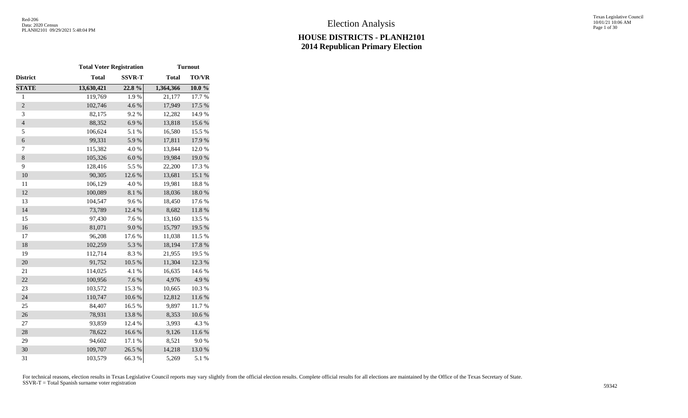Texas Legislative Council 10/01/21 10:06 AM Page 1 of 30

|                  | <b>Total Voter Registration</b> |               |              | <b>Turnout</b> |
|------------------|---------------------------------|---------------|--------------|----------------|
| District         | <b>Total</b>                    | <b>SSVR-T</b> | <b>Total</b> | TO/VR          |
| <b>STATE</b>     | 13,630,421                      | 22.8%         | 1,364,366    | 10.0%          |
| $\mathbf{1}$     | 119,769                         | 1.9%          | 21,177       | 17.7 %         |
| $\overline{2}$   | 102,746                         | 4.6%          | 17,949       | 17.5 %         |
| 3                | 82,175                          | 9.2%          | 12,282       | 14.9%          |
| $\overline{4}$   | 88,352                          | 6.9%          | 13,818       | 15.6 %         |
| 5                | 106,624                         | 5.1 %         | 16,580       | 15.5 %         |
| $\boldsymbol{6}$ | 99,331                          | 5.9%          | 17,811       | 17.9 %         |
| $\tau$           | 115,382                         | 4.0%          | 13,844       | 12.0%          |
| $\,8\,$          | 105,326                         | 6.0 %         | 19,984       | 19.0%          |
| 9                | 128,416                         | 5.5 %         | 22,200       | 17.3 %         |
| 10               | 90,305                          | 12.6%         | 13,681       | 15.1 %         |
| 11               | 106,129                         | 4.0%          | 19,981       | 18.8%          |
| 12               | 100,089                         | $8.1~\%$      | 18,036       | $18.0\ \%$     |
| 13               | 104,547                         | 9.6%          | 18,450       | 17.6 %         |
| 14               | 73,789                          | 12.4 %        | 8,682        | $11.8\ \%$     |
| 15               | 97,430                          | 7.6%          | 13,160       | 13.5 %         |
| 16               | 81,071                          | 9.0 %         | 15,797       | 19.5 %         |
| 17               | 96,208                          | 17.6 %        | 11,038       | 11.5 %         |
| 18               | 102,259                         | 5.3 %         | 18,194       | 17.8 %         |
| 19               | 112,714                         | 8.3%          | 21,955       | 19.5 %         |
| 20               | 91,752                          | 10.5 %        | 11,304       | 12.3 %         |
| 21               | 114,025                         | 4.1 %         | 16,635       | 14.6 %         |
| 22               | 100,956                         | 7.6%          | 4,976        | 4.9%           |
| 23               | 103,572                         | 15.3 %        | 10,665       | 10.3%          |
| 24               | 110,747                         | $10.6~\%$     | 12,812       | $11.6\ \%$     |
| 25               | 84,407                          | 16.5 %        | 9,897        | 11.7%          |
| 26               | 78,931                          | 13.8%         | 8,353        | $10.6\;\%$     |
| $27\,$           | 93,859                          | 12.4 %        | 3,993        | 4.3 %          |
| 28               | 78,622                          | 16.6%         | 9,126        | $11.6\ \%$     |
| 29               | 94,602                          | 17.1 %        | 8,521        | 9.0%           |
| 30               | 109,707                         | 26.5 %        | 14,218       | 13.0%          |
| 31               | 103,579                         | 66.3%         | 5,269        | 5.1 %          |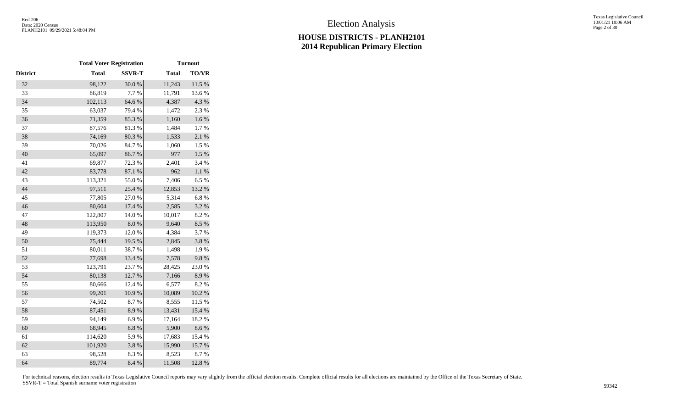Texas Legislative Council 10/01/21 10:06 AM Page 2 of 30

|          | <b>Total Voter Registration</b> |               |              | <b>Turnout</b> |
|----------|---------------------------------|---------------|--------------|----------------|
| District | <b>Total</b>                    | <b>SSVR-T</b> | <b>Total</b> | <b>TO/VR</b>   |
| 32       | 98,122                          | 30.0%         | 11,243       | 11.5 %         |
| 33       | 86,819                          | 7.7 %         | 11,791       | 13.6 %         |
| 34       | 102,113                         | 64.6%         | 4,387        | 4.3 %          |
| 35       | 63,037                          | 79.4 %        | 1,472        | 2.3 %          |
| 36       | 71,359                          | 85.3%         | 1,160        | $1.6\ \%$      |
| 37       | 87,576                          | 81.3%         | 1,484        | 1.7%           |
| 38       | 74,169                          | 80.3%         | 1,533        | 2.1%           |
| 39       | 70,026                          | 84.7%         | 1,060        | $1.5~\%$       |
| 40       | 65,097                          | 86.7%         | 977          | $1.5~\%$       |
| 41       | 69,877                          | 72.3 %        | 2,401        | 3.4 %          |
| 42       | 83,778                          | 87.1 %        | 962          | $1.1~\%$       |
| 43       | 113,321                         | 55.0%         | 7,406        | 6.5%           |
| 44       | 97,511                          | 25.4 %        | 12,853       | 13.2 %         |
| 45       | 77,805                          | 27.0%         | 5,314        | 6.8%           |
| 46       | 80,604                          | 17.4 %        | 2,585        | 3.2 %          |
| 47       | 122,807                         | 14.0 %        | 10,017       | 8.2%           |
| 48       | 113,950                         | 8.0%          | 9,640        | 8.5%           |
| 49       | 119,373                         | 12.0%         | 4,384        | 3.7%           |
| 50       | 75,444                          | 19.5 %        | 2,845        | 3.8 %          |
| 51       | 80,011                          | 38.7%         | 1,498        | 1.9%           |
| 52       | 77,698                          | 13.4 %        | 7,578        | 9.8%           |
| 53       | 123,791                         | 23.7 %        | 28,425       | 23.0%          |
| 54       | 80,138                          | 12.7 %        | 7,166        | 8.9%           |
| 55       | 80,666                          | 12.4 %        | 6,577        | 8.2%           |
| 56       | 99,201                          | 10.9%         | 10,089       | $10.2~\%$      |
| 57       | 74,502                          | 8.7%          | 8,555        | 11.5 %         |
| 58       | 87,451                          | 8.9%          | 13,431       | 15.4 %         |
| 59       | 94,149                          | 6.9%          | 17,164       | 18.2%          |
| 60       | 68,945                          | $8.8\ \%$     | 5,900        | 8.6 %          |
| 61       | 114,620                         | 5.9%          | 17,683       | 15.4 %         |
| 62       | 101,920                         | 3.8%          | 15,990       | 15.7%          |
| 63       | 98,528                          | 8.3%          | 8,523        | 8.7%           |
| 64       | 89,774                          | 8.4 %         | 11,508       | 12.8%          |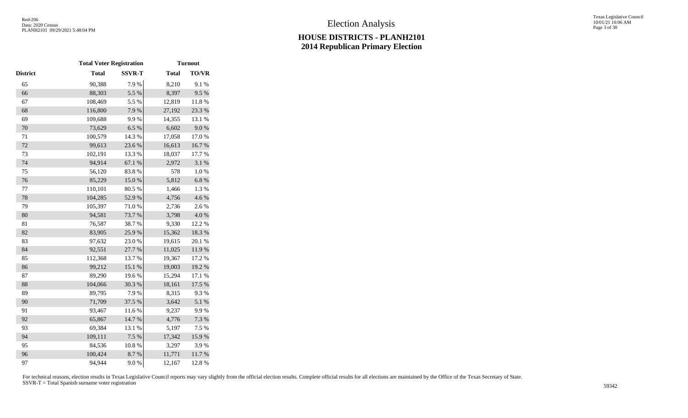|              |               |                                 | <b>Turnout</b> |
|--------------|---------------|---------------------------------|----------------|
| <b>Total</b> | <b>SSVR-T</b> | <b>Total</b>                    | <b>TO/VR</b>   |
| 90,388       | 7.9%          | 8,210                           | 9.1 %          |
| 88,303       | 5.5 %         | 8,397                           | 9.5%           |
| 108,469      | 5.5 %         | 12,819                          | $11.8~\%$      |
| 116,800      | 7.9%          | 27,192                          | 23.3 %         |
| 109,688      | 9.9%          | 14,355                          | 13.1 %         |
| 73,629       | 6.5 %         | 6,602                           | 9.0%           |
| 100,579      | 14.3 %        | 17,058                          | 17.0%          |
| 99,613       | 23.6 %        | 16,613                          | 16.7%          |
| 102,191      | 13.3 %        | 18,037                          | 17.7 %         |
| 94,914       | 67.1 %        | 2,972                           | 3.1 %          |
| 56,120       | 83.8%         | 578                             | $1.0\ \%$      |
| 85,229       | $15.0\ \%$    | 5,812                           | $6.8~\%$       |
| 110,101      | 80.5 %        | 1,466                           | 1.3%           |
| 104,285      | 52.9%         | 4,756                           | 4.6%           |
| 105,397      | 71.0%         | 2,736                           | 2.6 %          |
| 94,581       | 73.7%         | 3,798                           | $4.0\ \%$      |
| 76,587       | 38.7%         | 9,330                           | 12.2 %         |
| 83,905       | 25.9%         | 15,362                          | 18.3 %         |
| 97,632       | 23.0%         | 19,615                          | 20.1 %         |
| 92,551       | 27.7 %        | 11,025                          | 11.9%          |
| 112,368      | 13.7 %        | 19,367                          | 17.2 %         |
| 99,212       | 15.1 %        | 19,003                          | $19.2~\%$      |
| 89,290       | 19.6%         | 15,294                          | 17.1 %         |
| 104,066      | 30.3 %        | 18,161                          | 17.5 %         |
| 89,795       | 7.9%          | 8,315                           | 9.3%           |
| 71,709       | 37.5 %        | 3,642                           | 5.1 %          |
| 93,467       | $11.6\ \%$    | 9,237                           | 9.9%           |
| 65,867       | 14.7 %        | 4,776                           | 7.3 %          |
| 69,384       | 13.1 %        | 5,197                           | 7.5 %          |
| 109,111      | 7.5 %         | 17,342                          | 15.9%          |
| 84,536       | 10.8%         | 3,297                           | 3.9%           |
| 100,424      | 8.7%          | 11,771                          | $11.7\ \%$     |
| 94,944       | 9.0 %         | 12,167                          | 12.8%          |
|              |               | <b>Total Voter Registration</b> |                |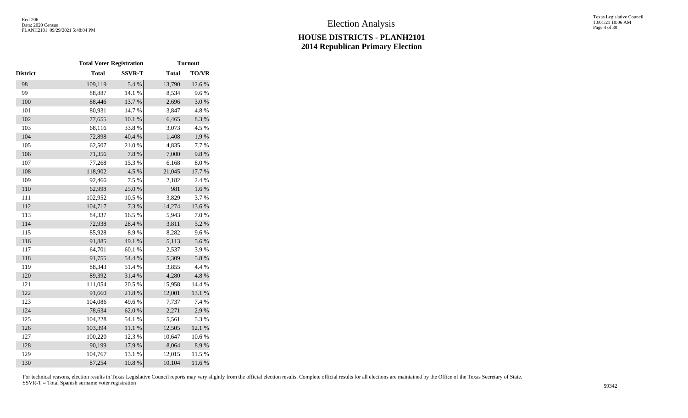|                 | <b>Total Voter Registration</b> |               |              | <b>Turnout</b> |
|-----------------|---------------------------------|---------------|--------------|----------------|
| <b>District</b> | <b>Total</b>                    | <b>SSVR-T</b> | <b>Total</b> | <b>TO/VR</b>   |
| 98              | 109,119                         | 5.4 %         | 13,790       | 12.6 %         |
| 99              | 88,887                          | 14.1 %        | 8,534        | 9.6%           |
| 100             | 88,446                          | 13.7 %        | 2,696        | $3.0\ \%$      |
| 101             | 80,931                          | 14.7%         | 3,847        | 4.8%           |
| 102             | 77,655                          | $10.1~\%$     | 6,465        | 8.3%           |
| 103             | 68,116                          | 33.8%         | 3,073        | 4.5 %          |
| 104             | 72,898                          | 40.4 %        | 1,408        | $1.9\ \%$      |
| 105             | 62,507                          | 21.0%         | 4,835        | 7.7 %          |
| 106             | 71,356                          | 7.8 %         | 7,000        | 9.8%           |
| 107             | 77,268                          | 15.3 %        | 6,168        | 8.0%           |
| 108             | 118,902                         | 4.5 %         | 21,045       | 17.7 %         |
| 109             | 92,466                          | 7.5 %         | 2,182        | 2.4 %          |
| 110             | 62,998                          | 25.0%         | 981          | $1.6\ \%$      |
| 111             | 102,952                         | 10.5 %        | 3,829        | 3.7%           |
| 112             | 104,717                         | 7.3 %         | 14,274       | 13.6 %         |
| 113             | 84,337                          | 16.5 %        | 5,943        | 7.0%           |
| 114             | 72,938                          | 28.4 %        | 3,811        | 5.2 %          |
| 115             | 85,928                          | 8.9%          | 8,282        | 9.6%           |
| 116             | 91,885                          | 49.1 %        | 5,113        | 5.6%           |
| 117             | 64,701                          | 60.1%         | 2,537        | 3.9%           |
| 118             | 91,755                          | 54.4 %        | 5,309        | 5.8 %          |
| 119             | 88,343                          | 51.4%         | 3,855        | 4.4 %          |
| 120             | 89,392                          | 31.4 %        | 4,280        | 4.8%           |
| 121             | 111,054                         | 20.5 %        | 15,958       | 14.4 %         |
| 122             | 91,660                          | 21.8 %        | 12,001       | 13.1 %         |
| 123             | 104,086                         | 49.6%         | 7,737        | 7.4 %          |
| 124             | 78,634                          | 62.0%         | 2,271        | 2.9%           |
| 125             | 104,228                         | 54.1 %        | 5,561        | 5.3 %          |
| 126             | 103,394                         | $11.1\ \%$    | 12,505       | 12.1 %         |
| 127             | 100,220                         | 12.3 %        | 10,647       | 10.6 %         |
| 128             | 90,199                          | 17.9%         | 8,064        | 8.9%           |
| 129             | 104,767                         | 13.1 %        | 12,015       | 11.5 %         |
| 130             | 87,254                          | 10.8 %        | 10,104       | 11.6%          |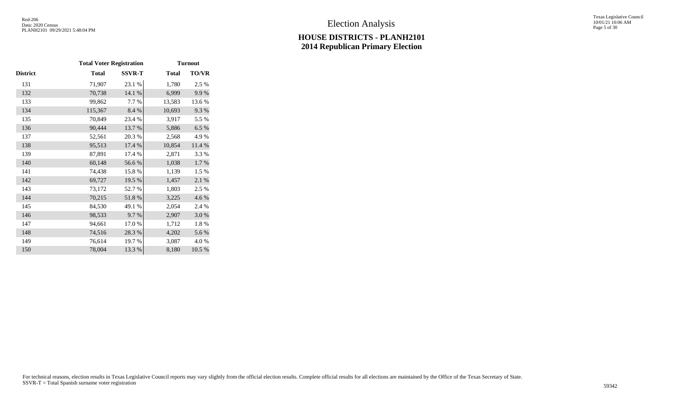Texas Legislative Council 10/01/21 10:06 AM Page 5 of 30

|          | <b>Total Voter Registration</b> |               |              | <b>Turnout</b> |
|----------|---------------------------------|---------------|--------------|----------------|
| District | <b>Total</b>                    | <b>SSVR-T</b> | <b>Total</b> | <b>TO/VR</b>   |
| 131      | 71,907                          | 23.1 %        | 1,780        | 2.5 %          |
| 132      | 70,738                          | 14.1 %        | 6,999        | 9.9%           |
| 133      | 99,862                          | 7.7 %         | 13,583       | 13.6 %         |
| 134      | 115,367                         | 8.4 %         | 10,693       | 9.3%           |
| 135      | 70,849                          | 23.4 %        | 3,917        | 5.5 %          |
| 136      | 90,444                          | 13.7 %        | 5,886        | 6.5%           |
| 137      | 52,561                          | 20.3%         | 2,568        | 4.9%           |
| 138      | 95,513                          | 17.4 %        | 10,854       | 11.4 %         |
| 139      | 87,891                          | 17.4 %        | 2,871        | 3.3 %          |
| 140      | 60,148                          | 56.6%         | 1,038        | 1.7 %          |
| 141      | 74,438                          | 15.8%         | 1,139        | 1.5 %          |
| 142      | 69,727                          | 19.5 %        | 1,457        | $2.1~\%$       |
| 143      | 73,172                          | 52.7 %        | 1,803        | 2.5 %          |
| 144      | 70,215                          | 51.8%         | 3,225        | 4.6 %          |
| 145      | 84,530                          | 49.1 %        | 2,054        | 2.4 %          |
| 146      | 98,533                          | 9.7%          | 2,907        | 3.0%           |
| 147      | 94,661                          | 17.0%         | 1,712        | 1.8%           |
| 148      | 74,516                          | 28.3%         | 4,202        | 5.6%           |
| 149      | 76,614                          | 19.7 %        | 3,087        | 4.0%           |
| 150      | 78,004                          | 13.3 %        | 8,180        | 10.5 %         |
|          |                                 |               |              |                |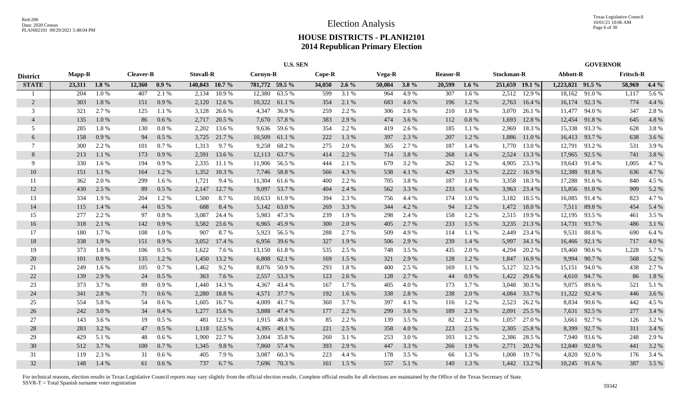|                 |               | <b>U.S. SEN</b> |                  |         |                  |        |                |               |          |         |        |         |                 |         |                |              |                  | <b>GOVERNOR</b> |                  |         |
|-----------------|---------------|-----------------|------------------|---------|------------------|--------|----------------|---------------|----------|---------|--------|---------|-----------------|---------|----------------|--------------|------------------|-----------------|------------------|---------|
| <b>District</b> | <b>Mapp-R</b> |                 | <b>Cleaver-R</b> |         | <b>Stovall-R</b> |        | Cornyn-R       |               | $Cope-R$ |         | Vega-R |         | <b>Reasor-R</b> |         | Stockman-R     |              | Abbott-R         |                 | <b>Fritsch-R</b> |         |
| <b>STATE</b>    | 23,311        | $1.8\%$         | 12,360           | $0.9\%$ | 140,843 10.7 %   |        | 781,772 59.5 % |               | 34,050   | $2.6\%$ | 50,084 | $3.8\%$ | 20,599          | $1.6\%$ | 251,659 19.1 % |              | 1,223,821 91.5 % |                 | 58,969           | $4.4\%$ |
|                 | 204           | 1.0%            | 407              | 2.1 %   | 2.134            | 10.9%  | 12,380         | 63.5 %        | 599      | 3.1%    | 964    | 4.9%    | 307             | 1.6%    | 2,512          | 12.9 %       |                  | 18,162 91.0 %   | 1,117            | 5.6 %   |
| $\overline{2}$  | 303           | 1.8%            | 151              | 0.9%    | 2,120            | 12.6 % |                | 10,322 61.1 % | 354      | 2.1 %   | 683    | 4.0%    | 196             | 1.2%    | 2,763          | 16.4 %       |                  | 16,174 92.3 %   | 774              | 4.4 %   |
| 3               | 321           | 2.7 %           | 125              | 1.1 %   | 3,128            | 26.6 % |                | 4,347 36.9 %  | 259      | 2.2 %   | 306    | 2.6 %   | 210             | 1.8%    | 3,070          | 26.1 %       |                  | 11,477 94.0 %   | 347              | 2.8%    |
| $\overline{4}$  | 135           | 1.0%            | 86               | 0.6 %   | 2,717            | 20.5 % |                | 7,670 57.8 %  | 383      | 2.9 %   | 474    | 3.6 %   | 112             | 0.8 %   | 1,693          | 12.8%        |                  | 12,454 91.8 %   | 645              | 4.8%    |
| 5               | 285           | 1.8%            | 130              | 0.8 %   | 2,202            | 13.6 % |                | 9,636 59.6 %  | 354      | 2.2 %   | 419    | 2.6 %   | 185             | 1.1%    | 2,969          | 18.3%        |                  | 15,338 93.3 %   | 628              | 3.8%    |
| 6               | 158           | 0.9%            | 94               | 0.5 %   | 3,725            | 21.7 % | 10,509         | 61.1 %        | 222      | 1.3%    | 397    | 2.3 %   | 207             | 1.2%    | 1,886          | 11.0 %       |                  | 16,413 93.7%    | 638              | 3.6 %   |
| 7               | 300           | 2.2 %           | 101              | 0.7%    | 1,313            | 9.7 %  | 9,258          | 68.2%         | 275      | 2.0%    | 365    | 2.7 %   | 187             | 1.4 %   | 1,770          | 13.0 %       |                  | 12,791 93.2 %   | 531              | 3.9%    |
| 8               | 213           | 1.1 %           | 173              | 0.9%    | 2,591            | 13.6 % |                | 12,113 63.7 % | 414      | 2.2 %   | 714    | 3.8%    | 268             | 1.4 %   | 2,524          | 13.3 %       |                  | 17,965 92.5 %   | 741              | 3.8%    |
| 9               | 330           | 1.6 %           | 194              | 0.9%    | 2,335            | 11.1 % | 11,906         | 56.5 %        | 444      | 2.1 %   | 679    | 3.2%    | 262             | 1.2%    | 4,905          | 23.3 %       | 19,643           | 91.4 %          | 1,005            | 4.7%    |
| 10              | 151           | 1.1%            | 164              | 1.2%    | 1,352            | 10.3%  |                | 7,746 58.8 %  | 566      | 4.3 %   | 538    | 4.1 %   | 429             | 3.3 %   | 2,222          | 16.9%        |                  | 12,388 91.8 %   | 636              | 4.7%    |
| 11              | 362           | 2.0%            | 299              | $1.6\%$ | 1,721            | 9.4 %  | 11,304         | 61.6 %        | 400      | 2.2%    | 705    | 3.8%    | 187             | 1.0%    | 3,358          | 18.3%        |                  | 17,288 91.6 %   | 840              | 4.5 %   |
| 12              | 430           | 2.5 %           | 89               | 0.5%    | 2,147            | 12.7 % |                | 9,097 53.7 %  | 404      | 2.4 %   | 562    | 3.3%    | 233             | 1.4 %   | 3,963          | 23.4 %       |                  | 15,856 91.0 %   | 909              | 5.2 %   |
| 13              | 334           | 1.9%            | 204              | 1.2 %   | 1,500            | 8.7%   |                | 10,633 61.9 % | 394      | 2.3 %   | 756    | 4.4 %   | 174             | 1.0%    | 3,182          | 18.5 %       |                  | 16,085 91.4 %   | 823              | 4.7%    |
| 14              | 115           | 1.4 %           | 44               | 0.5%    | 688              | 8.4 %  |                | 5,142 63.0 %  | 269      | 3.3%    | 344    | 4.2 %   | 94              | 1.2%    | 1,472          | 18.0%        |                  | 7,511 89.8 %    | 454              | 5.4 %   |
| 15              | 277           | 2.2 %           | 97               | 0.8%    | 3.087            | 24.4 % |                | 5,983 47.3 %  | 239      | 1.9%    | 298    | 2.4 %   | 158             | 1.2%    | 2,515          | 19.9%        |                  | 12,195 93.5 %   | 461              | 3.5 %   |
| 16              | 318           | 2.1 %           | 142              | 0.9%    | 3,582            | 23.6 % |                | 6,965 45.9 %  | 300      | 2.0%    | 405    | 2.7 %   | 233             | 1.5 %   | 3,235          | 21.3%        |                  | 14,731 93.7 %   | 486              | 3.1 %   |
| 17              | 180           | 1.7%            | 108              | 1.0%    | 907              | 8.7%   |                | 5,923 56.5 %  | 288      | 2.7 %   | 509    | 4.9%    | 114             | 1.1%    | 2,449          | 23.4 %       | 9,531            | 88.8%           | 690              | 6.4%    |
| 18              | 338           | 1.9%            | 151              | 0.9%    | 3,052            | 17.4 % | 6,956          | 39.6 %        | 327      | 1.9%    | 506    | 2.9 %   | 239             | 1.4 %   | 5,997          | 34.1 %       | 16,466           | 92.1 %          | 717              | 4.0 %   |
| 19              | 373           | 1.8%            | 106              | $0.5\%$ | 1,622            | 7.6 %  |                | 13,150 61.8 % | 535      | 2.5 %   | 748    | 3.5 %   | 435             | 2.0 %   | 4,294          | 20.2 %       | 19,460           | 90.6%           | 1,228            | 5.7%    |
| 20              | 101           | 0.9%            | 135              | 1.2 %   | 1,450            | 13.2 % |                | 6,808 62.1 %  | 169      | 1.5 %   | 321    | 2.9 %   | 128             | 1.2%    | 1,847          | 16.9%        | 9,994            | 90.7 %          | 568              | 5.2 %   |
| 21              | 249           | 1.6 %           | 105              | 0.7%    | 1,462            | 9.2 %  |                | 8,076 50.9 %  | 293      | 1.8%    | 400    | 2.5 %   | 169             | 1.1 %   | 5,127          | 32.3 %       |                  | 15,151 94.0 %   | 438              | 2.7 %   |
| 22              | 139           | 2.9 %           | 24               | 0.5 %   | 363              | 7.6 %  | 2,557          | 53.3 %        | 123      | 2.6 %   | 128    | 2.7 %   | 44              | 0.9 %   | 1,422          | 29.6 %       |                  | 4,610 94.7 %    | 86               | 1.8%    |
| 23              | 373           | 3.7%            | 89               | 0.9%    | 1.440            | 14.3 % | 4,367          | 43.4 %        | 167      | 1.7%    | 405    | 4.0%    | 173             | 1.7%    | 3,048          | 30.3%        |                  | 9,075 89.6 %    | 521              | 5.1 %   |
| 24              | 341           | 2.8%            | 71               | 0.6%    | 2,280            | 18.8%  |                | 4,571 37.7 %  | 192      | 1.6%    | 338    | 2.8%    | 238             | 2.0%    | 4,084          | 33.7%        | 11,322           | 92.4 %          | 446              | 3.6 %   |
| 25              | 554           | 5.8%            | -54              | $0.6\%$ | 1.605            | 16.7 % | 4.009          | 41.7%         | 360      | 3.7%    | 397    | 4.1 %   | 116             | 1.2%    | 2,523          | 26.2 %       |                  | 8,834 90.6 %    | 442              | 4.5 %   |
| 26              | 242           | 3.0%            | 34               | 0.4%    | 1,277            | 15.6 % | 3,888          | 47.4 %        | 177      | 2.2 %   | 299    | 3.6 %   | 189             | 2.3 %   | 2,091          | 25.5 %       | 7,631            | 92.5 %          | 277              | 3.4 %   |
| 27              | 143           | 3.6 %           | 19               | 0.5%    | 481              | 12.3 % | 1,915          | 48.8%         | 85       | 2.2 %   | 139    | 3.5 %   | 82              | 2.1 %   | 1,057          | 27.0 %       | 3,661            | 92.7 %          | 126              | 3.2 %   |
| 28              | 283           | 3.2 %           | 47               | 0.5%    | 1,118            | 12.5 % | 4,395          | 49.1 %        | 221      | 2.5 %   | 358    | 4.0%    | 223             | 2.5 %   | 2,305          | 25.8 %       | 8,399            | 92.7 %          | 311              | 3.4 %   |
| 29              | 429           | 5.1 %           | 48               | $0.6\%$ | 1,900            | 22.7 % | 3,004          | 35.8%         | 260      | 3.1 %   | 253    | 3.0%    | 103             | 1.2%    | 2,386          | 28.5 %       |                  | 7,940 93.6 %    | 248              | 2.9%    |
| 30              | 512           | 3.7%            | 100              | 0.7 %   | 1,345            | 9.8%   |                | 7,860 57.4 %  | 393      | 2.9%    | 447    | 3.3 %   | 266             | 1.9%    | 2,771          | 20.2 %       | 12,840           | 92.0%           | 441              | 3.2 %   |
| 31              | 119           | 2.3 %           | 31               | 0.6%    | 405              | 7.9%   | 3,087          | 60.3%         | 223      | 4.4 %   | 178    | 3.5 %   | 66              | 1.3%    | 1,008          | 19.7%        | 4,820            | 92.0%           | 176              | 3.4 %   |
| 32              | 148           | 1.4 %           | 61               | 0.6%    | 737              | 6.7 %  |                | 7,696 70.3 %  | 161      | 1.5 %   | 557    | 5.1 %   | 140             | 1.3 %   |                | 1,442 13.2 % |                  | 10,245 91.6 %   | 387              | 3.5 %   |
|                 |               |                 |                  |         |                  |        |                |               |          |         |        |         |                 |         |                |              |                  |                 |                  |         |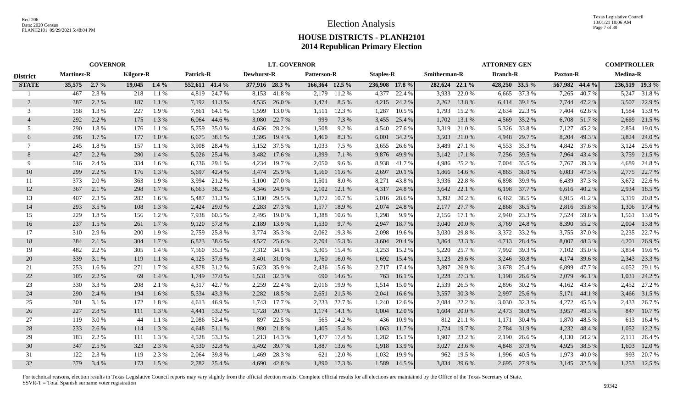|                 | <b>GOVERNOR</b>   |         |                  |         |                  |              |                   | <b>LT. GOVERNOR</b> |                    |              |                  |        |                     |              | <b>ATTORNEY GEN</b> |              |                 |              | <b>COMPTROLLER</b> |                |
|-----------------|-------------------|---------|------------------|---------|------------------|--------------|-------------------|---------------------|--------------------|--------------|------------------|--------|---------------------|--------------|---------------------|--------------|-----------------|--------------|--------------------|----------------|
| <b>District</b> | <b>Martinez-R</b> |         | <b>Kilgore-R</b> |         | <b>Patrick-R</b> |              | <b>Dewhurst-R</b> |                     | <b>Patterson-R</b> |              | <b>Staples-R</b> |        | <b>Smitherman-R</b> |              | <b>Branch-R</b>     |              | <b>Paxton-R</b> |              | <b>Medina-R</b>    |                |
| <b>STATE</b>    | 35,575            | $2.7\%$ | 19,045           | $1.4\%$ | 552,611 41.4 %   |              | 377,916 28.3 %    |                     | 166,364 12.5 %     |              | 236,908 17.8 %   |        | 282,624 22.1 %      |              | 428,250 33.5 %      |              | 567,982 44.4 %  |              |                    | 236,519 19.3 % |
|                 | 467               | 2.3 %   | 218              | 1.1%    | 4.819            | 24.7 %       |                   | 8,153 41.8%         | 2,179              | 11.2 %       | 4.377            | 22.4 % | 3,933               | 22.0 %       | 6,665               | 37.3 %       | 7,265           | 40.7%        | 5,247              | 31.8%          |
| 2               | 387               | 2.2 %   | 187              | 1.1%    | 7,192            | 41.3%        |                   | 4,535 26.0 %        | 1,474              | 8.5 %        | 4,215            | 24.2 % | 2,262               | 13.8%        | 6,414               | 39.1 %       | 7,744           | 47.2 %       |                    | 3,507 22.9 %   |
| 3               | 158               | 1.3 %   | 227              | 1.9%    | 7,861            | 64.1 %       | 1,599             | 13.0 %              | 1,511              | 12.3 %       | 1,287            | 10.5 % | 1,793               | 15.2 %       | 2,634               | 22.3 %       | 7,404           | 62.6 %       | 1,584              | 13.9%          |
| $\overline{4}$  | 292               | 2.2 %   | 175              | 1.3 %   | 6,064            | 44.6 %       | 3,080             | 22.7 %              | 999                | 7.3 %        | 3,455            | 25.4 % | 1,702               | 13.1 %       | 4,569               | 35.2 %       | 6,708           | 51.7%        | 2,669              | 21.5 %         |
| 5               | 290               | 1.8%    | 176              | 1.1%    | 5,759            | 35.0 %       | 4,636             | 28.2 %              | 1,508              | 9.2%         | 4,540            | 27.6 % | 3,319               | 21.0 %       | 5,326               | 33.8%        | 7,127           | 45.2 %       | 2,854              | 19.0%          |
| 6               | 296               | 1.7%    | 177              | 1.0%    | 6,675            | 38.1 %       | 3,395             | 19.4 %              | 1,460              | 8.3%         | 6,001            | 34.2 % | 3,503               | 21.0%        | 4,948               | 29.7 %       | 8,204           | 49.3 %       | 3,824              | 24.0 %         |
| 7               | 245               | 1.8%    | 157              | 1.1%    | 3,908            | 28.4 %       |                   | 5,152 37.5 %        | 1,033              | 7.5 %        | 3,655            | 26.6 % | 3,489               | 27.1 %       | 4,553               | 35.3 %       | 4,842           | 37.6 %       | 3,124              | 25.6 %         |
| 8               | 427               | 2.2 %   | 280              | 1.4 %   | 5,026            | 25.4 %       | 3,482             | 17.6 %              | 1,399              | 7.1 %        | 9,876            | 49.9 % | 3,142               | 17.1 %       | 7,256               | 39.5 %       | 7,964           | 43.4 %       | 3,759              | 21.5 %         |
| 9               | 516               | 2.4 %   | 334              | 1.6 %   | 6,236            | 29.1 %       | 4,234             | 19.7 %              | 2,050              | 9.6 %        | 8,938            | 41.7%  | 4,986               | 25.2 %       | 7,004               | 35.5 %       | 7,767           | 39.3 %       | 4,689              | 24.8%          |
| 10              | 299               | 2.2 %   | 176              | 1.3 %   | 5,697            | 42.4 %       | 3,474             | 25.9 %              | 1,560              | 11.6 %       | 2,697            | 20.1 % | 1,866               | 14.6 %       | 4,865               | 38.0%        | 6,083           | 47.5 %       | 2,775              | 22.7 %         |
| 11              | 373               | 2.0 %   | 363              | 1.9%    | 3,994            | 21.2 %       | 5,100             | 27.0 %              | 1,501              | 8.0%         | 8,271            | 43.8%  | 3,936               | 22.8%        | 6,898               | 39.9%        | 6,439           | 37.3 %       | 3,672              | 22.6 %         |
| 12              | 367               | 2.1 %   | 298              | 1.7 %   | 6,663            | 38.2 %       |                   | 4,346 24.9 %        | 2,102              | 12.1 %       | 4,317            | 24.8%  | 3,642               | 22.1 %       | 6,198               | 37.7 %       | 6,616           | 40.2 %       | 2,934              | 18.5 %         |
| 13              | 407               | 2.3 %   | 282              | 1.6 %   | 5.487            | 31.3 %       | 5,180             | 29.5 %              | 1,872              | 10.7%        | 5,016            | 28.6 % | 3,392               | 20.2 %       | 6,462               | 38.5 %       |                 | 6,915 41.2 % |                    | 3,319 20.8%    |
| 14              | 293               | 3.5 %   | 108              | 1.3 %   | 2,424            | 29.0 %       | 2,283             | 27.3 %              | 1,577              | 18.9%        | 2,074            | 24.8%  | 2,177               | 27.7 %       | 2,868               | 36.5 %       | 2,816           | 35.8%        | 1,306              | 17.4 %         |
| 15              | 229               | 1.8%    | 156              | 1.2%    | 7,938            | 60.5 %       | 2,495             | 19.0 %              | 1,388              | 10.6 %       | 1,298            | 9.9%   | 2,156               | 17.1 %       | 2,940               | 23.3 %       | 7,524           | 59.6 %       | 1,561              | 13.0 %         |
| 16              | 237               | $1.5\%$ | 261              | 1.7%    |                  | 9,120 57.8 % | 2,189             | 13.9 %              | 1,530              | 9.7 %        | 2,947            | 18.7%  | 3,040               | 20.0 %       | 3,769               | 24.8%        | 8,390           | 55.2 %       | 2,004              | 13.8%          |
| 17              | 310               | 2.9 %   | 200              | 1.9%    | 2,759            | 25.8%        |                   | 3,774 35.3 %        | 2,062              | 19.3 %       | 2,098            | 19.6 % | 3,030               | 29.8%        | 3,372               | 33.2 %       | 3,755           | 37.0 %       | 2,235              | 22.7 %         |
| 18              | 384               | 2.1 %   | 304              | 1.7 %   | 6,823            | 38.6 %       | 4,527             | 25.6 %              | 2,704              | 15.3 %       | 3,604            | 20.4 % | 3,864               | 23.3 %       | 4,713               | 28.4 %       | 8,007           | 48.3%        | 4,201              | 26.9%          |
| 19              | 482               | 2.2 %   | 305              | 1.4 %   | 7,560            | 35.3 %       | 7,312             | 34.1 %              | 3,305              | 15.4 %       | 3,253            | 15.2 % | 5,220               | 25.7 %       | 7,992               | 39.3 %       | 7,102           | 35.0 %       | 3,854              | 19.6 %         |
| 20              | 339               | 3.1 %   | 119              | 1.1%    | 4,125            | 37.6 %       | 3,401             | 31.0 %              | 1,760              | 16.0%        | 1,692            | 15.4 % | 3,123               | 29.6 %       | 3,246               | 30.8%        | 4,174           | 39.6 %       | 2,343              | 23.3 %         |
| 21              | 253               | 1.6 %   | 271              | 1.7 %   | 4,878            | 31.2 %       |                   | 5,623 35.9 %        | 2,436              | 15.6 %       | 2,717            | 17.4 % | 3,897               | 26.9%        | 3,678               | 25.4 %       | 6,899           | 47.7 %       | 4,052              | 29.1 %         |
| 22              | 105               | 2.2 %   | 69               | 1.4 %   | 1,749            | 37.0 %       | 1,531             | 32.3 %              | 690                | 14.6 %       | 763              | 16.1 % | 1,228               | 27.3 %       | 1,198               | 26.6 %       | 2,079           | 46.1%        | 1,031              | 24.2 %         |
| 23              | 330               | 3.3 %   | 208              | 2.1 %   | 4.317            | 42.7 %       | 2,259             | 22.4 %              | 2,016              | 19.9%        | 1,514            | 15.0%  | 2,539               | 26.5 %       | 2,896               | 30.2 %       | 4,162           | 43.4 %       | 2,452              | 27.2 %         |
| 24              | 290               | 2.4 %   | 194              | 1.6%    | 5,334            | 43.3 %       | 2,282             | 18.5 %              | 2,651              | 21.5 %       | 2,041            | 16.6 % | 3,557               | 30.3 %       | 2,997               | 25.6 %       | 5,171           | 44.1 %       |                    | 3,466 31.5 %   |
| 25              | 301               | 3.1 %   | 172              | 1.8%    | 4,613            | 46.9%        |                   | 1,743 17.7 %        | 2,233              | 22.7 %       | 1,240            | 12.6 % | 2,084               | 22.2 %       | 3,030               | 32.3 %       | 4,272           | 45.5 %       | 2,433              | 26.7 %         |
| 26              | 227               | 2.8 %   | 111              | 1.3 %   | 4,441            | 53.2 %       | 1,728             | 20.7 %              | 1,174              | 14.1 %       | 1,004            | 12.0 % | 1,604               | 20.0 %       | 2,473               | 30.8%        | 3,957           | 49.3 %       |                    | 847 10.7%      |
| 27              | 119               | 3.0%    | 44               | 1.1 %   | 2,086            | 52.4 %       | 897               | 22.5 %              | 565                | 14.2 %       | 436              | 10.9 % | 812                 | 21.1 %       | 1,171               | 30.4 %       | 1,870           | 48.5 %       | 613                | 16.4 %         |
| 28              | 233               | 2.6 %   | 114              | 1.3 %   | 4,648            | 51.1 %       | 1,980             | 21.8%               | 1,405              | 15.4 %       | 1,063            | 11.7 % | 1,724               | 19.7 %       | 2,784               | 31.9 %       | 4,232           | 48.4 %       | 1,052              | 12.2 %         |
| 29              | 183               | 2.2 %   | 111              | 1.3%    | 4,528            | 53.3 %       | 1,213             | 14.3 %              | 1,477              | 17.4 %       | 1,282            | 15.1 % | 1,907               | 23.2 %       | 2,190               | 26.6 %       |                 | 4,130 50.2 % |                    | 2,111 26.4 %   |
| 30              | 347               | 2.5 %   | 323              | 2.3 %   | 4,530            | 32.8%        |                   | 5,492 39.7 %        | 1,887              | 13.6 %       | 1,918            | 13.9 % | 3,027               | 23.6 %       | 4,848               | 37.9 %       | 4,925           | 38.5 %       | 1,603              | 12.0 %         |
| 31              | 122               | 2.3 %   | 119              | 2.3 %   | 2,064            | 39.8%        | 1,469             | 28.3 %              | 621                | 12.0 %       | 1,032            | 19.9%  | 962                 | 19.5 %       | 1,996               | 40.5 %       | 1,973           | 40.0 %       | 993                | 20.7 %         |
| 32              | 379               | 3.4 %   | 173              | 1.5 %   |                  | 2,782 25.4 % |                   | 4,690 42.8 %        |                    | 1,890 17.3 % | 1,589            | 14.5 % |                     | 3,834 39.6 % |                     | 2,695 27.9 % |                 | 3,145 32.5 % |                    | 1,253 12.5 %   |
|                 |                   |         |                  |         |                  |              |                   |                     |                    |              |                  |        |                     |              |                     |              |                 |              |                    |                |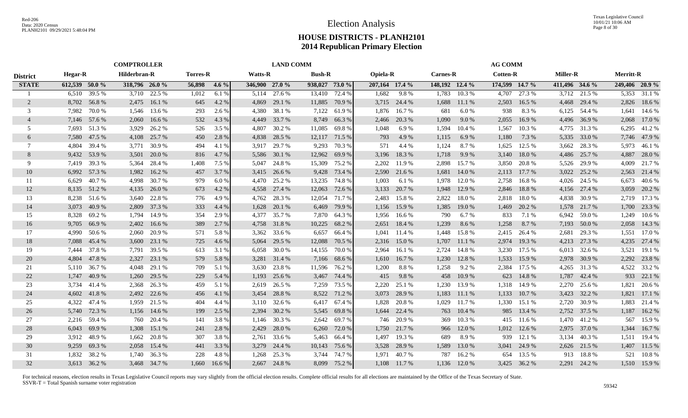|                 | <b>COMPTROLLER</b> |              |               |              |                 |         | <b>LAND COMM</b> |              |                |               |                |              |                 | <b>AG COMM</b> |                 |              |                 |              |                  |              |
|-----------------|--------------------|--------------|---------------|--------------|-----------------|---------|------------------|--------------|----------------|---------------|----------------|--------------|-----------------|----------------|-----------------|--------------|-----------------|--------------|------------------|--------------|
| <b>District</b> | <b>Hegar-R</b>     |              | Hilderbran-R  |              | <b>Torres-R</b> |         | <b>Watts-R</b>   |              | <b>Bush-R</b>  |               | Opiela-R       |              | <b>Carnes-R</b> |                | <b>Cotten-R</b> |              | <b>Miller-R</b> |              | <b>Merritt-R</b> |              |
| <b>STATE</b>    | 612,539 50.0 %     |              | 318,796 26.0% |              | 56,898          | $4.6\%$ | 346,900 27.0 %   |              | 938,027 73.0 % |               | 207,164 17.4 % |              | 148,192 12.4 %  |                | 174,599 14.7 %  |              | 411,496 34.6 %  |              | 249,406 20.9 %   |              |
|                 | 6,510              | 39.5 %       | 3,710         | 22.5 %       | 1,012           | 6.1 %   |                  | 5,114 27.6 % |                | 13,410 72.4 % | 1,682          | 9.8%         | 1,783           | 10.3 %         | 4,707           | 27.3 %       |                 | 3,712 21.5 % |                  | 5,353 31.1 % |
| 2               | 8,702              | 56.8%        | 2,475         | 16.1%        | 645             | 4.2 %   | 4,869            | 29.1 %       | 11,885         | 70.9 %        |                | 3,715 24.4 % | 1,688           | 11.1 %         | 2,503           | 16.5 %       | 4,468           | 29.4 %       |                  | 2,826 18.6 % |
| 3               | 7,982              | 70.0%        | 1,546         | 13.6 %       | 293             | 2.6 %   | 4,380            | 38.1 %       | 7,122          | 61.9 %        | 1,876          | 16.7 %       | 681             | 6.0%           | 938             | 8.3%         | 6,125           | 54.4 %       | 1,641            | 14.6 %       |
| $\overline{4}$  |                    | 7,146 57.6 % | 2,060         | 16.6 %       | 532             | 4.3 %   | 4,449            | 33.7 %       | 8,749          | 66.3%         | 2,466          | 20.3 %       | 1,090           | 9.0%           | 2,055           | 16.9%        | 4,496           | 36.9%        | 2,068            | 17.0 %       |
| .5              |                    | 7,693 51.3 % | 3,929         | 26.2 %       | 526             | 3.5 %   | 4,807            | 30.2 %       | 11,085         | 69.8%         | 1,048          | 6.9%         | 1,594           | 10.4 %         | 1,567           | 10.3%        | 4,775           | 31.3%        | 6,295            | 41.2%        |
| 6               | 7,580              | 47.5 %       | 4,108         | 25.7 %       | 450             | 2.8 %   | 4,838            | 28.5 %       |                | 12,117 71.5 % | 793            | 4.9%         | 1,115           | 6.9%           | 1,180           | 7.3 %        | 5,335           | 33.0 %       | 7,746            | 47.9 %       |
| 7               | 4,804              | 39.4 %       | 3,771         | 30.9 %       | 494             | 4.1 %   | 3,917            | 29.7 %       | 9,293          | 70.3 %        | 571            | 4.4 %        | 1,124           | 8.7%           | 1,625           | 12.5 %       | 3,662           | 28.3 %       | 5,973            | 46.1 %       |
| 8               | 9,432              | 53.9%        | 3,501         | 20.0 %       | 816             | 4.7 %   | 5,586            | 30.1 %       | 12,962         | 69.9%         | 3,196          | 18.3%        | 1,718           | 9.9%           | 3,140           | 18.0%        | 4,486           | 25.7 %       | 4,887            | 28.0 %       |
| 9               | 7,419              | 39.3 %       | 5,364         | 28.4 %       | 1,408           | 7.5 %   | 5,047            | 24.8%        | 15,309         | 75.2 %        | 2,202          | 11.9 %       | 2,898           | 15.7 %         | 3,850           | 20.8%        | 5,526           | 29.9 %       | 4,009            | 21.7 %       |
| 10              | 6,992              | 57.3 %       | 1,982         | 16.2 %       | 457             | 3.7 %   | 3,415            | 26.6 %       | 9,428          | 73.4 %        | 2,590          | 21.6 %       | 1,681           | 14.0 %         | 2,113           | 17.7 %       | 3,022           | 25.2 %       | 2,563            | 21.4 %       |
| 11              | 6,629              | 40.7 %       | 4,998         | 30.7 %       | 979             | 6.0%    | 4,470            | 25.2 %       | 13,235         | 74.8 %        | 1,003          | 6.1%         | 1,978           | 12.0 %         | 2,758           | 16.8%        | 4,026           | 24.5 %       | 6,673            | 40.6 %       |
| 12              |                    | 8,135 51.2 % | 4,135         | 26.0 %       | 673             | 4.2 %   | 4,558            | 27.4 %       | 12,063         | 72.6 %        | 3,133          | 20.7 %       | 1,948           | 12.9 %         | 2,846           | 18.8%        | 4,156           | 27.4 %       | 3,059            | 20.2 %       |
| 13              |                    | 8,238 51.6 % |               | 3,640 22.8 % | 776             | 4.9%    | 4,762            | 28.3 %       | 12,054         | 71.7 %        | 2,483          | 15.8%        | 2,822           | 18.0%          | 2,818           | 18.0%        | 4,838           | 30.9 %       | 2,719            | 17.3 %       |
| 14              | 3.073              | 40.9%        | 2,809         | 37.3 %       | 333             | 4.4 %   | 1,628            | 20.1 %       | 6,469          | 79.9 %        | 1,156          | 15.9%        | 1,385           | 19.0 %         | 1,469           | 20.2 %       | 1,578           | 21.7 %       | 1,700            | 23.3 %       |
| 15              | 8,328              | 69.2%        | 1,794         | 14.9 %       | 354             | 2.9 %   |                  | 4,377 35.7 % |                | 7,870 64.3 %  | 1,956          | 16.6 %       | 790             | 6.7%           | 833             | 7.1 %        | 6,942           | 59.0%        | 1,249            | $10.6\%$     |
| 16              | 9,705              | 66.9%        | 2,402         | 16.6%        | 389             | 2.7 %   |                  | 4,758 31.8 % | 10,225         | 68.2 %        | 2,651          | 18.4 %       | 1,239           | 8.6 %          | 1,258           | 8.7 %        | 7,193           | 50.0 %       | 2,058            | 14.3 %       |
| 17              | 4,990              | 50.6 %       | 2,060         | 20.9 %       | 571             | 5.8%    | 3,362            | 33.6 %       | 6,657          | 66.4 %        | 1,041          | 11.4 %       | 1,448           | 15.8 %         | 2,415           | 26.4 %       | 2,681           | 29.3 %       | 1,551            | 17.0 %       |
| 18              | 7,088              | 45.4 %       | 3,600         | 23.1 %       | 725             | 4.6 %   | 5,064            | 29.5 %       | 12,088         | 70.5 %        | 2,316          | 15.0 %       | 1,707           | 11.1 %         | 2,974           | 19.3 %       | 4,213           | 27.3 %       | 4,235            | 27.4 %       |
| 19              | 7,444              | 37.8%        | 7,791         | 39.5 %       | 613             | 3.1 %   | 6,058            | 30.0 %       | 14,155         | 70.0%         | 2,964          | 16.1 %       | 2,724           | 14.8%          | 3,230           | 17.5 %       | 6,013           | 32.6 %       | 3,521            | 19.1 %       |
| 20              | 4,804              | 47.8%        | 2,327         | 23.1 %       | 579             | 5.8 %   | 3,281            | 31.4 %       | 7,166          | 68.6 %        | 1,610          | 16.7%        | 1,230           | 12.8 %         | 1,533           | 15.9 %       | 2,978           | 30.9%        | 2,292            | 23.8 %       |
| 21              | 5,110              | 36.7 %       | 4,048         | 29.1 %       | 709             | 5.1 %   | 3,630            | 23.8%        | 11,596         | 76.2 %        | 1,200          | 8.8%         | 1,258           | 9.2 %          | 2,384           | 17.5 %       | 4,265           | 31.3%        | 4,522            | 33.2 %       |
| 22              | 1,747              | 40.9%        | 1,260         | 29.5 %       | 229             | 5.4 %   | 1,193            | 25.6 %       | 3,467          | 74.4 %        | 415            | 9.8%         | 458             | 10.9%          | 623             | 14.8%        | 1,787           | 42.4 %       | 933              | 22.1 %       |
| 23              |                    | 3,734 41.4 % | 2,368         | 26.3 %       | 459             | 5.1 %   | 2,619            | 26.5 %       | 7,259          | 73.5 %        | 2,220          | 25.1 %       | 1,230           | 13.9%          | 1,318           | 14.9%        | 2,270           | 25.6 %       | 1,821            | 20.6 %       |
| 24              | 4,602              | 41.8%        | 2,492         | 22.6 %       | 456             | 4.1 %   | 3,454            | 28.8%        | 8,522          | 71.2 %        | 3,073          | 28.9%        | 1,183           | 11.1 %         | 1,133           | 10.7 %       | 3,423           | 32.2 %       | 1,821            | 17.1 %       |
| 25              | 4,322              | 47.4 %       | 1,959         | 21.5 %       | 404             | 4.4 %   | 3,110            | 32.6 %       | 6,417          | 67.4 %        | 1,828          | 20.8%        | 1,029           | 11.7 %         | 1,330           | 15.1 %       | 2,720           | 30.9 %       | 1,883            | 21.4 %       |
| 26              | 5,740              | 72.3 %       | 1,156         | 14.6 %       | 199             | 2.5 %   | 2,394            | 30.2 %       | 5,545          | 69.8%         | 1,644          | 22.4 %       | 763             | 10.4 %         | 985             | 13.4 %       |                 | 2,752 37.5 % | 1,187            | 16.2 %       |
| 27              | 2,216              | 59.4 %       | 760           | 20.4 %       | 141             | 3.8%    | 1,146            | 30.3 %       | 2,642          | 69.7%         | 746            | 20.9%        | 369             | 10.3%          | 415             | 11.6 %       | 1,470           | 41.2%        | 567              | 15.9%        |
| 28              | 6,043              | 69.9%        | 1,308         | 15.1 %       | 241             | 2.8%    | 2,429            | 28.0 %       | 6,260          | 72.0 %        | 1,750          | 21.7 %       | 966             | 12.0 %         | 1,012           | 12.6 %       | 2,975           | 37.0 %       | 1,344            | 16.7 %       |
| 29              | 3,912              | 48.9%        | 1,662         | 20.8%        | 307             | 3.8%    | 2,761            | 33.6 %       | 5,463          | 66.4 %        | 1,497          | 19.3 %       | 689             | 8.9%           | 939             | 12.1 %       | 3,134           | 40.3%        | 1,511            | 19.4 %       |
| 30              | 9,259              | 69.3%        | 2,058         | 15.4 %       | 441             | 3.3 %   | 3,279            | 24.4 %       | 10,143         | 75.6 %        | 3,528          | 28.9%        | 1,589           | 13.0 %         | 3,041           | 24.9 %       | 2,626           | 21.5 %       |                  | 1,407 11.5 % |
| 31              | 1.832              | 38.2 %       |               | 1,740 36.3 % | 228             | 4.8%    | 1,268            | 25.3 %       | 3,744          | 74.7 %        | 1,971          | 40.7%        | 787             | 16.2%          | 654             | 13.5 %       | 913             | 18.8%        | 521              | 10.8%        |
| 32              |                    | 3,613 36.2 % |               | 3,468 34.7 % | 1.660           | 16.6 %  |                  | 2,667 24.8 % | 8.099          | 75.2 %        |                | 1,108 11.7 % |                 | 1,136 12.0 %   |                 | 3,425 36.2 % |                 | 2,291 24.2 % |                  | 1,510 15.9 % |
|                 |                    |              |               |              |                 |         |                  |              |                |               |                |              |                 |                |                 |              |                 |              |                  |              |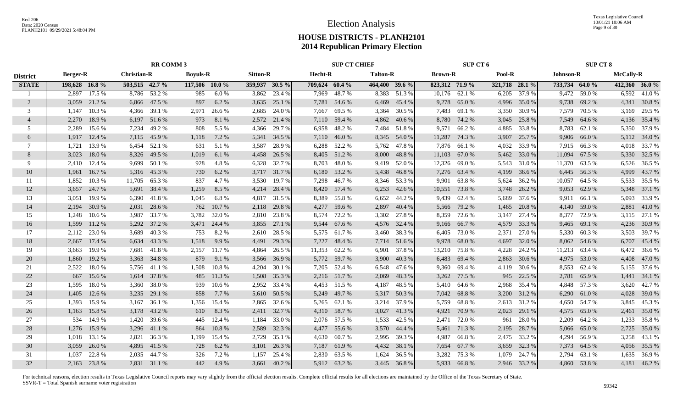Texas Legislative Council 10/01/21 10:06 AM Page 9 of 30

## **HOUSE DISTRICTS - PLANH2101 2014 Republican Primary Election**

|                 | <b>RR COMM 3</b> |              |                    |              |                 |              |                 | <b>SUP CT CHIEF</b> |                |               |                 | SUP CT 6     |                |               |                | <b>SUP CT 8</b> |                |               |                  |                |
|-----------------|------------------|--------------|--------------------|--------------|-----------------|--------------|-----------------|---------------------|----------------|---------------|-----------------|--------------|----------------|---------------|----------------|-----------------|----------------|---------------|------------------|----------------|
| <b>District</b> | <b>Berger-R</b>  |              | <b>Christian-R</b> |              | <b>Boyuls-R</b> |              | <b>Sitton-R</b> |                     | Hecht-R        |               | <b>Talton-R</b> |              | <b>Brown-R</b> |               | Pool-R         |                 | Johnson-R      |               | <b>McCally-R</b> |                |
| <b>STATE</b>    | 198,628 16.8 %   |              | 503,515 42.7 %     |              | 117,506 10.0 %  |              | 359,937 30.5 %  |                     | 709,624 60.4 % |               | 464,400 39.6 %  |              | 823,312 71.9 % |               | 321,718 28.1 % |                 | 733,734 64.0 % |               |                  | 412,360 36.0 % |
| -1              |                  | 2,897 17.5 % |                    | 8,786 53.2 % | 985             | 6.0%         |                 | 3,862 23.4 %        |                | 7,969 48.7%   |                 | 8,383 51.3 % |                | 10,176 62.1 % |                | 6,205 37.9 %    |                | 9,472 59.0 %  |                  | 6,592 41.0 %   |
| 2               |                  | 3,059 21.2 % |                    | 6,866 47.5 % | 897             | 6.2 %        | 3,635           | 25.1 %              |                | 7,781 54.6 %  |                 | 6,469 45.4 % | 9,278          | 65.0 %        |                | 4,996 35.0 %    |                | 9,738 69.2 %  |                  | 4,341 30.8 %   |
| 3               | 1,147            | 10.3 %       |                    | 4,366 39.1 % | 2,971           | 26.6 %       | 2,685           | 24.0 %              | 7,667          | 69.5 %        | 3,364           | 30.5 %       | 7,483          | 69.1 %        | 3,350          | 30.9%           | 7,579          | 70.5 %        |                  | 3,169 29.5 %   |
| $\overline{4}$  | 2,270            | 18.9%        |                    | 6,197 51.6 % | 973             | 8.1 %        | 2,572           | 21.4 %              |                | 7,110 59.4 %  | 4,862           | 40.6 %       | 8,780          | 74.2 %        | 3,045          | 25.8 %          | 7,549          | 64.6 %        |                  | 4,136 35.4 %   |
| .5              | 2,289            | 15.6 %       | 7,234              | 49.2 %       | 808             | 5.5 %        | 4,366           | 29.7 %              | 6,958          | 48.2 %        |                 | 7,484 51.8 % | 9,571          | 66.2%         | 4,885          | 33.8%           | 8,783          | 62.1 %        |                  | 5,350 37.9 %   |
| 6               | 1,917            | 12.4 %       | 7,115              | 45.9%        | 1,118           | 7.2 %        | 5,341           | 34.5 %              |                | 7,110 46.0 %  |                 | 8,345 54.0 % | 11,287         | 74.3 %        | 3,907          | 25.7 %          | 9,906          | 66.0%         |                  | 5,112 34.0 %   |
| 7               | 1.721            | 13.9 %       | 6.454              | 52.1 %       | 631             | 5.1 %        | 3,587           | 28.9%               |                | 6,288 52.2 %  |                 | 5,762 47.8 % |                | 7,876 66.1 %  | 4,032          | 33.9%           |                | 7,915 66.3 %  |                  | 4,018 33.7 %   |
| 8               | 3,023            | 18.0%        | 8,326              | 49.5 %       | 1,019           | 6.1 %        | 4,458           | 26.5 %              |                | 8,405 51.2 %  | 8,000           | 48.8%        | 11,103         | 67.0 %        |                | 5,462 33.0 %    | 11,094         | 67.5 %        |                  | 5,330 32.5 %   |
| 9               | 2,410            | 12.4 %       | 9,699              | 50.1 %       | 928             | 4.8%         | 6,328           | 32.7 %              | 8,703          | 48.0%         | 9,419           | 52.0%        | 12,326         | 69.0%         | 5,543          | 31.0%           | 11,370         | 63.5 %        |                  | 6,526 36.5 %   |
| 10              | 1,961            | 16.7%        | 5,316              | 45.3 %       | 730             | 6.2 %        |                 | 3,717 31.7 %        | 6,180          | 53.2 %        |                 | 5,438 46.8 % |                | 7,276 63.4 %  | 4,199          | 36.6 %          | 6,445          | 56.3%         |                  | 4,999 43.7 %   |
| 11              | 1,852            | 10.3%        | 11,705             | 65.3%        | 837             | 4.7%         | 3,530           | 19.7 %              |                | 7,298 46.7 %  |                 | 8,346 53.3 % |                | 9,901 63.8 %  | 5,624          | 36.2 %          | 10,057         | 64.5 %        |                  | 5,533 35.5 %   |
| 12              | 3,657            | 24.7 %       |                    | 5,691 38.4 % | 1,259           | 8.5 %        |                 | 4,214 28.4 %        |                | 8,420 57.4 %  | 6,253           | 42.6 %       |                | 10,551 73.8 % | 3,748          | 26.2 %          | 9,053          | 62.9%         |                  | 5,348 37.1 %   |
| 13              | 3,051            | 19.9%        |                    | 6,390 41.8 % | 1,045           | 6.8%         |                 | 4,817 31.5 %        |                | 8,389 55.8 %  |                 | 6,652 44.2 % |                | 9,439 62.4 %  | 5,689          | 37.6 %          | 9,911          | 66.1 %        |                  | 5,093 33.9 %   |
| 14              | 2,194            | 30.9 %       | 2,031              | 28.6 %       | 762             | 10.7 %       | 2,118           | 29.8%               |                | 4,277 59.6 %  | 2,897           | 40.4 %       |                | 5,566 79.2 %  | 1,465          | 20.8 %          |                | 4,140 59.0 %  |                  | 2,881 41.0 %   |
| 15              | 1,248            | 10.6%        |                    | 3,987 33.7 % | 3,782           | 32.0 %       |                 | 2,810 23.8 %        |                | 8,574 72.2 %  |                 | 3,302 27.8 % |                | 8,359 72.6 %  | 3,147          | 27.4 %          |                | 8,377 72.9 %  |                  | 3,115 27.1 %   |
| 16              | 1,599            | 11.2 %       | 5,292              | 37.2 %       |                 | 3,471 24.4 % |                 | 3,855 27.1 %        |                | 9,544 67.6 %  |                 | 4,576 32.4 % |                | 9,166 66.7 %  | 4,579          | 33.3 %          |                | 9,465 69.1 %  |                  | 4,236 30.9 %   |
| 17              | 2,112            | 23.0 %       | 3.689              | 40.3%        | 753             | 8.2%         | 2,610           | 28.5 %              |                | 5,575 61.7 %  |                 | 3,460 38.3 % | 6,405          | 73.0 %        | 2,371          | 27.0 %          | 5,330          | 60.3%         |                  | 3,503 39.7 %   |
| 18              | 2,667            | 17.4 %       | 6,634              | 43.3 %       | 1,518           | 9.9 %        | 4,491           | 29.3 %              | 7,227          | 48.4 %        |                 | 7,714 51.6 % | 9,978          | 68.0 %        | 4,697          | 32.0 %          |                | 8,062 54.6 %  |                  | 6,707 45.4 %   |
| 19              | 3,663            | 19.9 %       | 7,681              | 41.8%        | 2,157           | 11.7 %       | 4,864           | 26.5 %              |                | 11,353 62.2 % |                 | 6,901 37.8 % | 13,210         | 75.8 %        | 4,228          | 24.2 %          |                | 11,213 63.4 % |                  | 6,472 36.6 %   |
| 20              | 1,860            | 19.2 %       | 3,363              | 34.8%        | 879             | 9.1 %        | 3,566           | 36.9 %              |                | 5,772 59.7 %  | 3,900           | 40.3 %       | 6,483          | 69.4 %        | 2,863          | 30.6 %          | 4,975          | 53.0 %        |                  | 4,408 47.0 %   |
| 21              | 2,522            | 18.0%        |                    | 5,756 41.1 % | 1,508           | 10.8%        | 4,204           | 30.1 %              |                | 7,205 52.4 %  |                 | 6,548 47.6 % | 9,360          | 69.4 %        | 4,119          | 30.6%           | 8,553          | 62.4 %        |                  | 5,155 37.6 %   |
| 22              | 667              | 15.6 %       | 1,614              | 37.8%        | 485             | 11.3%        | 1,508           | 35.3 %              |                | 2,216 51.7 %  | 2,069           | 48.3%        | 3,262          | 77.5 %        | 945            | 22.5 %          | 2,781          | 65.9%         |                  | 1,441 34.1 %   |
| 23              | 1,595            | 18.0%        | 3,360              | 38.0%        | 939             | 10.6 %       | 2,952           | 33.4 %              |                | 4,453 51.5 %  | 4,187           | 48.5 %       | 5,410          | 64.6 %        | 2,968          | 35.4 %          |                | 4,848 57.3 %  |                  | 3,620 42.7 %   |
| 24              | 1,405            | 12.6 %       | 3,235              | 29.1 %       | 858             | 7.7 %        | 5,610           | 50.5 %              | 5,249          | 49.7 %        |                 | 5,317 50.3 % | 7,042          | 68.8%         | 3,200          | 31.2 %          | 6,290          | 61.0%         |                  | 4,028 39.0 %   |
| 25              | 1,393            | 15.9%        | 3,167              | 36.1 %       | 1,356           | 15.4 %       | 2,865           | 32.6 %              |                | 5,265 62.1 %  | 3,214           | 37.9 %       | 5,759          | 68.8%         |                | 2,613 31.2 %    |                | 4,650 54.7 %  |                  | 3,845 45.3 %   |
| 26              | 1,163            | 15.8%        | 3,178              | 43.2 %       | 610             | 8.3%         | 2,411           | 32.7 %              |                | 4,310 58.7 %  |                 | 3,027 41.3 % | 4,921          | 70.9 %        | 2,023          | 29.1 %          | 4,575          | 65.0%         | 2,461            | 35.0 %         |
| 27              | 534              | 14.9%        | 1,420              | 39.6 %       | 445             | 12.4 %       | 1,184           | 33.0 %              |                | 2,076 57.5 %  | 1,533           | 42.5 %       | 2,471          | 72.0 %        | 961            | 28.0%           | 2,209          | 64.2 %        | 1,233            | 35.8%          |
| 28              | 1,276            | 15.9%        |                    | 3,296 41.1 % | 864             | 10.8%        | 2,589           | 32.3 %              |                | 4,477 55.6 %  |                 | 3,570 44.4 % | 5,461          | 71.3 %        | 2,195          | 28.7%           | 5,066          | 65.0%         |                  | 2,725 35.0 %   |
| 29              | 1,018            | 13.1 %       |                    | 2,821 36.3 % | 1,199           | 15.4 %       | 2,729           | 35.1 %              |                | 4,630 60.7 %  | 2,995           | 39.3 %       | 4,987          | 66.8%         | 2,475          | 33.2 %          | 4,294          | 56.9%         |                  | 3,258 43.1 %   |
| 30              | 3,059            | 26.0%        |                    | 4,895 41.5 % | 728             | 6.2 %        | 3,101           | 26.3 %              | 7,187          | 61.9%         |                 | 4,432 38.1 % | 7,654          | 67.7 %        | 3,659          | 32.3 %          | 7,373          | 64.5 %        |                  | 4,056 35.5 %   |
| 31              | 1.037            | 22.8%        | 2,035              | 44.7 %       | 326             | 7.2 %        | 1,157           | 25.4 %              | 2,830          | 63.5 %        | 1,624           | 36.5 %       | 3,282          | 75.3 %        | 1,079          | 24.7 %          | 2.794          | 63.1 %        |                  | 1,635 36.9 %   |
| 32              |                  | 2,163 23.8 % |                    | 2,831 31.1 % | 442             | 4.9%         |                 | 3,661 40.2 %        |                | 5,912 63.2 %  |                 | 3,445 36.8%  |                | 5,933 66.8 %  |                | 2,946 33.2 %    |                | 4,860 53.8 %  |                  | 4,181 46.2 %   |
|                 |                  |              |                    |              |                 |              |                 |                     |                |               |                 |              |                |               |                |                 |                |               |                  |                |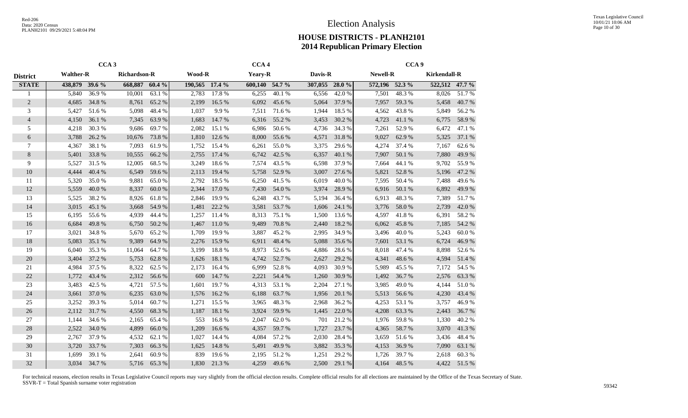|                 |                  | CCA <sub>3</sub> |                     |        |                |        | CCA <sub>4</sub> |        |                |        |                 | CCA <sub>9</sub> |                     |        |
|-----------------|------------------|------------------|---------------------|--------|----------------|--------|------------------|--------|----------------|--------|-----------------|------------------|---------------------|--------|
| <b>District</b> | <b>Walther-R</b> |                  | <b>Richardson-R</b> |        | <b>Wood-R</b>  |        | <b>Yeary-R</b>   |        | Davis-R        |        | <b>Newell-R</b> |                  | <b>Kirkendall-R</b> |        |
| <b>STATE</b>    | 438,879 39.6 %   |                  | 668,887             | 60.4%  | 190,565 17.4 % |        | 600,140 54.7 %   |        | 307,055 28.0 % |        | 572,196 52.3 %  |                  | 522,512 47.7 %      |        |
|                 | 5,840            | 36.9%            | 10,001              | 63.1 % | 2,783          | 17.8%  | 6,255            | 40.1%  | 6,556          | 42.0%  | 7,501           | 48.3%            | 8,026               | 51.7%  |
| $\overline{2}$  | 4,685            | 34.8%            | 8,761               | 65.2%  | 2,199          | 16.5 % | 6,092            | 45.6%  | 5,064          | 37.9 % | 7,957           | 59.3%            | 5,458               | 40.7%  |
| 3               | 5,427            | 51.6%            | 5,098               | 48.4%  | 1,037          | 9.9%   | 7,511            | 71.6%  | 1,944          | 18.5 % | 4,562           | 43.8%            | 5,849               | 56.2%  |
| $\overline{4}$  | 4,150            | 36.1 %           | 7,345               | 63.9%  | 1,683          | 14.7 % | 6,316            | 55.2%  | 3,453          | 30.2 % | 4,723           | 41.1%            | 6,775               | 58.9%  |
| 5               | 4,218            | 30.3 %           | 9,686               | 69.7%  | 2,082          | 15.1 % | 6,986            | 50.6%  | 4,736          | 34.3 % | 7,261           | 52.9%            | 6,472               | 47.1 % |
| 6               | 3,788            | 26.2 %           | 10,676              | 73.8%  | 1,810          | 12.6 % | 8,000            | 55.6%  | 4,571          | 31.8%  | 9,027           | 62.9%            | 5,325               | 37.1 % |
| 7               | 4,367            | 38.1 %           | 7,093               | 61.9%  | 1,752          | 15.4 % | 6,261            | 55.0%  | 3,375          | 29.6%  | 4,274           | 37.4 %           | 7,167               | 62.6 % |
| 8               | 5,401            | 33.8%            | 10,555              | 66.2%  | 2,755          | 17.4 % | 6,742            | 42.5 % | 6,357          | 40.1 % | 7,907           | 50.1 %           | 7,880               | 49.9%  |
| 9               | 5,527            | 31.5 %           | 12,005              | 68.5 % | 3,249          | 18.6%  | 7,574            | 43.5 % | 6,598          | 37.9 % | 7,664           | 44.1 %           | 9,702               | 55.9%  |
| 10              | 4,444            | 40.4 %           | 6,549               | 59.6%  | 2,113          | 19.4 % | 5,758            | 52.9%  | 3,007          | 27.6 % | 5,821           | 52.8%            | 5,196               | 47.2 % |
| 11              | 5,320            | 35.0%            | 9,881               | 65.0%  | 2,792          | 18.5 % | 6,250            | 41.5 % | 6,019          | 40.0%  | 7,595           | 50.4 %           | 7,488               | 49.6%  |
| 12              | 5,559            | 40.0%            | 8,337               | 60.0%  | 2,344          | 17.0 % | 7,430            | 54.0%  | 3,974          | 28.9%  | 6,916           | 50.1 %           | 6,892               | 49.9%  |
| 13              | 5,525            | 38.2%            | 8,926               | 61.8%  | 2,846          | 19.9%  | 6,248            | 43.7%  | 5,194          | 36.4 % | 6,913           | 48.3%            | 7,389               | 51.7%  |
| 14              | 3,015            | 45.1 %           | 3,668               | 54.9%  | 1,481          | 22.2 % | 3,581            | 53.7%  | 1,606          | 24.1 % | 3,776           | 58.0%            | 2,739               | 42.0%  |
| 15              | 6,195            | 55.6%            | 4,939               | 44.4 % | 1,257          | 11.4 % | 8,313            | 75.1 % | 1,500          | 13.6 % | 4,597           | 41.8%            | 6,391               | 58.2%  |
| 16              | 6,684            | 49.8%            | 6,750               | 50.2 % | 1,467          | 11.0 % | 9,489            | 70.8%  | 2,440          | 18.2%  | 6,062           | 45.8%            | 7,185               | 54.2 % |
| 17              | 3,021            | 34.8%            | 5,670               | 65.2%  | 1,709          | 19.9%  | 3,887            | 45.2%  | 2,995          | 34.9%  | 3,496           | 40.0%            | 5,243               | 60.0%  |
| 18              | 5,083            | 35.1 %           | 9,389               | 64.9%  | 2,276          | 15.9%  | 6,911            | 48.4%  | 5,088          | 35.6%  | 7,601           | 53.1 %           | 6,724               | 46.9%  |
| 19              | 6,040            | 35.3 %           | 11,064              | 64.7%  | 3,199          | 18.8%  | 8,973            | 52.6 % | 4,886          | 28.6%  | 8,018           | 47.4 %           | 8,898               | 52.6 % |
| 20              | 3,404            | 37.2 %           | 5,753               | 62.8%  | 1,626          | 18.1 % | 4,742            | 52.7%  | 2,627          | 29.2 % | 4,341           | 48.6%            | 4,594               | 51.4 % |
| 21              | 4,984            | 37.5 %           | 8,322               | 62.5 % | 2,173          | 16.4 % | 6,999            | 52.8%  | 4,093          | 30.9%  | 5,989           | 45.5 %           | 7,172               | 54.5 % |
| 22              | 1,772            | 43.4 %           | 2,312               | 56.6%  | 600            | 14.7 % | 2,221            | 54.4 % | 1,260          | 30.9%  | 1,492           | 36.7%            | 2,576               | 63.3%  |
| 23              | 3,483            | 42.5 %           | 4,721               | 57.5 % | 1,601          | 19.7%  | 4,313            | 53.1 % | 2,204          | 27.1 % | 3,985           | 49.0%            | 4,144               | 51.0%  |
| 24              | 3,661            | 37.0 %           | 6,235               | 63.0%  | 1,576          | 16.2%  | 6,188            | 63.7%  | 1,956          | 20.1 % | 5,513           | 56.6%            | 4,230               | 43.4 % |
| 25              | 3,252            | 39.3%            | 5,014               | 60.7%  | 1,271          | 15.5 % | 3,965            | 48.3%  | 2,968          | 36.2 % | 4,253           | 53.1 %           | 3,757               | 46.9%  |
| 26              | 2,112            | 31.7%            | 4,550               | 68.3%  | 1,187          | 18.1 % | 3,924            | 59.9%  | 1,445          | 22.0 % | 4,208           | 63.3 %           | 2,443               | 36.7%  |
| 27              | 1,144            | 34.6 %           | 2,165               | 65.4 % | 553            | 16.8%  | 2,047            | 62.0%  | 701            | 21.2%  | 1,976           | 59.8%            | 1,330               | 40.2%  |
| 28              | 2,522            | 34.0 %           | 4,899               | 66.0%  | 1,209          | 16.6 % | 4,357            | 59.7%  | 1,727          | 23.7 % | 4,365           | 58.7%            | 3,070               | 41.3%  |
| 29              | 2,767            | 37.9 %           | 4,532               | 62.1 % | 1,027          | 14.4 % | 4,084            | 57.2 % | 2,030          | 28.4 % | 3,659           | 51.6 %           | 3,436               | 48.4%  |
| 30              | 3,720            | 33.7 %           | 7,303               | 66.3%  | 1,625          | 14.8%  | 5,491            | 49.9%  | 3,882          | 35.3%  | 4,153           | 36.9%            | 7,090               | 63.1 % |
| 31              | 1,699            | 39.1 %           | 2,641               | 60.9%  | 839            | 19.6%  | 2,195            | 51.2%  | 1,251          | 29.2 % | 1,726           | 39.7%            | 2,618               | 60.3%  |
| 32              | 3,034            | 34.7 %           | 5,716               | 65.3%  | 1,830          | 21.3%  | 4,259            | 49.6%  | 2,500          | 29.1 % | 4.164           | 48.5 %           | 4,422               | 51.5 % |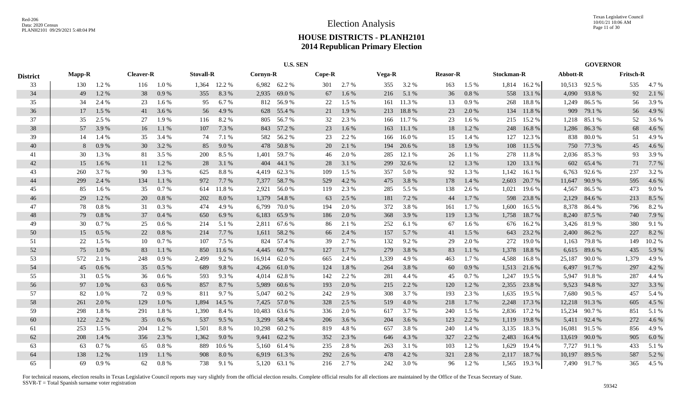|                 |               |       |                  |         |                  |              |                 | <b>U.S. SEN</b> |          |       |        |           |                 |          |                   |              |          | <b>GOVERNOR</b> |                  |       |
|-----------------|---------------|-------|------------------|---------|------------------|--------------|-----------------|-----------------|----------|-------|--------|-----------|-----------------|----------|-------------------|--------------|----------|-----------------|------------------|-------|
| <b>District</b> | <b>Mapp-R</b> |       | <b>Cleaver-R</b> |         | <b>Stovall-R</b> |              | <b>Cornyn-R</b> |                 | $Cope-R$ |       | Vega-R |           | <b>Reasor-R</b> |          | <b>Stockman-R</b> |              | Abbott-R |                 | <b>Fritsch-R</b> |       |
| 33              | 130           | 1.2%  | 116              | 1.0%    |                  | 1,364 12.2 % |                 | 6,982 62.2 %    | 301      | 2.7 % | 355    | 3.2 %     | 163             | 1.5 %    |                   | 1,814 16.2 % |          | 10,513 92.5 %   | 535              | 4.7%  |
| 34              | 49            | 1.2%  | 38               | 0.9%    | 355              | 8.3%         | 2,935           | 69.0%           | 67       | 1.6 % | 216    | 5.1 %     | 36              | $0.8~\%$ | 558               | 13.1 %       |          | 4,090 93.8 %    | 92               | 2.1 % |
| 35              | 34            | 2.4 % | 23               | 1.6 %   | 95               | 6.7%         | 812             | 56.9%           | 22       | 1.5 % | 161    | 11.3%     | 13              | 0.9%     | 268               | 18.8%        |          | 1,249 86.5 %    | 56               | 3.9%  |
| 36              | 17            | 1.5 % | 41               | 3.6 %   | 56               | 4.9 %        | 628             | 55.4 %          | 21       | 1.9%  | 213    | 18.8%     | 23              | 2.0 %    | 134               | 11.8%        |          | 909 79.1 %      | 56               | 4.9 % |
| 37              | 35            | 2.5 % | 27               | 1.9%    | 116              | 8.2 %        |                 | 805 56.7%       | 32       | 2.3 % | 166    | 11.7 %    | 23              | 1.6 %    | 215               | 15.2 %       |          | 1,218 85.1 %    | 52               | 3.6 % |
| 38              | 57            | 3.9%  | 16               | 1.1%    | 107              | 7.3 %        |                 | 843 57.2 %      | 23       | 1.6%  | 163    | 11.1 %    | 18              | 1.2%     | 248               | 16.8%        |          | 1,286 86.3%     | 68               | 4.6 % |
| 39              | 14            | 1.4 % | 35               | 3.4 %   | 74               | 7.1 %        |                 | 582 56.2 %      | 23       | 2.2 % | 166    | 16.0%     | 15              | 1.4 %    | 127               | 12.3 %       |          | 838 80.0 %      | 51               | 4.9%  |
| 40              | 8             | 0.9%  | 30               | 3.2 %   | 85               | 9.0%         |                 | 478 50.8%       | 20       | 2.1 % | 194    | 20.6 %    | 18              | 1.9 %    | 108               | 11.5 %       |          | 750 77.3 %      | 45               | 4.6 % |
| 41              | 30            | 1.3%  | 81               | 3.5 %   | 200              | 8.5 %        | 1,401           | 59.7%           | 46       | 2.0%  | 285    | 12.1 %    | 26              | 1.1 %    | 278               | 11.8%        |          | 2,036 85.3 %    | 93               | 3.9%  |
| 42              | 15            | 1.6 % | 11               | 1.2%    | 28               | 3.1 %        | 404             | 44.1 %          | 28       | 3.1 % | 299    | 32.6 %    | 12              | 1.3%     | 120               | 13.1 %       | 602      | 65.4 %          | 71               | 7.7 % |
| 43              | 260           | 3.7%  | 90               | 1.3 %   | 625              | 8.8%         | 4,419           | 62.3%           | 109      | 1.5%  | 357    | 5.0%      | 92              | 1.3%     | 1,142             | 16.1%        | 6,763    | 92.6 %          | 237              | 3.2%  |
| 44              | 299           | 2.4 % | 134              | 1.1 %   | 972              | 7.7 %        | 7,377           | 58.7%           | 529      | 4.2%  | 475    | 3.8%      | 178             | 1.4 %    | 2,603             | 20.7 %       | 11,647   | 90.9%           | 595              | 4.6 % |
| 45              | 85            | 1.6 % | 35               | 0.7%    | 614              | 11.8%        | 2,921           | 56.0%           | 119      | 2.3 % | 285    | 5.5 %     | 138             | 2.6 %    | 1,021             | 19.6 %       | 4,567    | 86.5%           | 473              | 9.0%  |
| 46              | 29            | 1.2%  | 20               | 0.8 %   | 202              | 8.0%         |                 | 1,379 54.8%     | 63       | 2.5 % | 181    | 7.2 %     | 44              | 1.7 %    | 598               | 23.8%        | 2,129    | 84.6 %          | 213              | 8.5 % |
| 47              | 78            | 0.8%  | 31               | 0.3%    | 474              | 4.9%         | 6,799           | 70.0%           | 194      | 2.0 % | 372    | 3.8%      | 161             | 1.7 %    | 1,600             | 16.5 %       |          | 8,378 86.4 %    | 796              | 8.2%  |
| 48              | 79            | 0.8%  | 37               | 0.4 %   | 650              | 6.9%         | 6,183           | 65.9%           | 186      | 2.0%  | 368    | 3.9%      | 119             | 1.3%     | 1,758             | 18.7%        |          | 8,240 87.5 %    | 740              | 7.9 % |
| 49              | 30            | 0.7%  | 25               | 0.6 %   | 214              | 5.1 %        | 2,811           | 67.6 %          | 86       | 2.1 % | 252    | 6.1 %     | 67              | 1.6 %    | 676               | 16.2 %       |          | 3,426 81.9 %    | 380              | 9.1 % |
| 50              | 15            | 0.5%  | 22               | 0.8%    | 214              | 7.7 %        |                 | 1,611 58.2 %    | 66       | 2.4 % | 157    | 5.7 %     | 41              | 1.5 %    | 643               | 23.2 %       |          | 2,400 86.2 %    | 227              | 8.2%  |
| 51              | 22            | 1.5 % | 10               | 0.7 %   | 107              | 7.5 %        | 824             | 57.4 %          | 39       | 2.7 % | 132    | 9.2%      | 29              | 2.0%     | 272               | 19.0%        | 1,163    | 79.8%           | 149              | 10.2% |
| 52              | 75            | 1.0%  | 83               | 1.1 %   | 850              | 11.6 %       | 4,445           | 60.7%           | 127      | 1.7%  | 279    | 3.8%      | 83              | 1.1 %    | 1,378             | 18.8%        | 6,615    | 89.6 %          | 435              | 5.9%  |
| 53              | 572           | 2.1 % | 248              | 0.9%    | 2,499            | 9.2%         | 16,914          | 62.0 %          | 665      | 2.4 % | 1,339  | 4.9%      | 463             | 1.7 %    | 4,588             | 16.8%        | 25,187   | 90.0%           | 1,379            | 4.9%  |
| 54              | 45            | 0.6%  | 35               | 0.5%    | 689              | 9.8%         | 4,266           | 61.0%           | 124      | 1.8%  | 264    | 3.8 %     | 60              | 0.9 %    | 1,513             | 21.6 %       | 6,497    | 91.7%           | 297              | 4.2 % |
| 55              | 31            | 0.5%  | 36               | $0.6\%$ | 593              | 9.3%         | 4,014           | 62.8%           | 142      | 2.2 % | 281    | 4.4 %     | 45              | 0.7%     | 1,247             | 19.5 %       | 5,947    | 91.8%           | 287              | 4.4 % |
| 56              | 97            | 1.0%  | 63               | 0.6 %   | 857              | 8.7 %        | 5,989           | 60.6%           | 193      | 2.0%  | 215    | 2.2 %     | 120             | 1.2%     | 2,355             | 23.8%        |          | 9,523 94.8%     | 327              | 3.3 % |
| 57              | 82            | 1.0%  | 72               | 0.9%    | 811              | 9.7%         |                 | 5,047 60.2 %    | 242      | 2.9 % | 308    | 3.7%      | 193             | 2.3 %    | 1,635             | 19.5 %       |          | 7,680 90.5 %    | 457              | 5.4 % |
| 58              | 261           | 2.0%  | 129              | 1.0%    | 1,894            | 14.5 %       |                 | 7,425 57.0 %    | 328      | 2.5 % | 519    | $4.0\ \%$ | 218             | 1.7 %    | 2,248             | 17.3 %       | 12,218   | 91.3%           | 605              | 4.5 % |
| 59              | 298           | 1.8%  | 291              | 1.8%    | 1,390            | 8.4%         | 10,483          | 63.6 %          | 336      | 2.0%  | 617    | 3.7 %     | 240             | 1.5 %    | 2,836             | 17.2 %       | 15,234   | 90.7%           | 851              | 5.1 % |
| 60              | 122           | 2.2 % | 35               | 0.6 %   | 537              | 9.5 %        | 3,299           | 58.4 %          | 206      | 3.6 % | 204    | 3.6%      | 123             | 2.2 %    | 1,119             | 19.8%        | 5,411    | 92.4 %          | 272              | 4.6 % |
| 61              | 253           | 1.5 % | 204              | 1.2 %   | 1,501            | 8.8%         | 10,298          | 60.2%           | 819      | 4.8%  | 657    | 3.8%      | 240             | 1.4 %    | 3,135             | 18.3%        | 16,081   | 91.5 %          | 856              | 4.9%  |
| 62              | 208           | 1.4 % | 356              | 2.3 %   | 1,362            | 9.0%         | 9,441           | 62.2 %          | 352      | 2.3 % | 646    | 4.3 %     | 327             | 2.2 %    | 2,483             | 16.4%        |          | 13,619 90.0 %   | 905              | 6.0%  |
| 63              | 63            | 0.7%  | 65               | 0.8%    | 889              | 10.6%        |                 | 5,160 61.4 %    | 235      | 2.8%  | 263    | 3.1 %     | 103             | 1.2%     | 1,629             | 19.4 %       | 7,727    | 91.1 %          | 433              | 5.1 % |
| 64              | 138           | 1.2%  | 119              | 1.1 %   | 908              | 8.0%         | 6.919           | 61.3%           | 292      | 2.6%  | 478    | 4.2 %     | 321             | 2.8%     | 2,117             | 18.7%        | 10,197   | 89.5%           | 587              | 5.2 % |
| 65              | 69            | 0.9%  | 62               | 0.8%    | 738              | 9.1 %        |                 | 5,120 63.1 %    | 216      | 2.7 % | 242    | 3.0%      | 96              | 1.2%     |                   | 1,565 19.3 % |          | 7,490 91.7 %    | 365              | 4.5 % |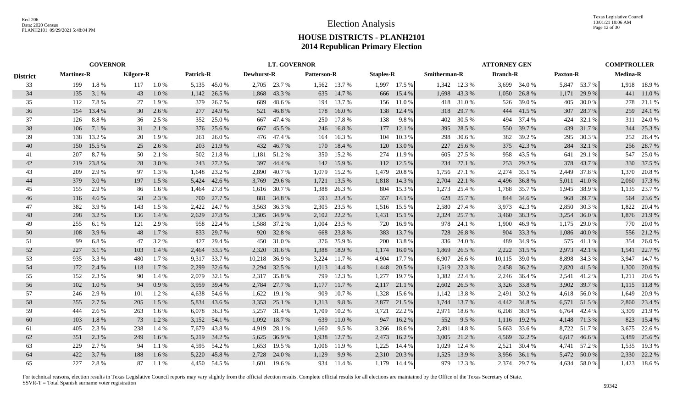| <b>GOVERNOR</b> |                   |        |                  |         |                  |              |                   | <b>LT. GOVERNOR</b> |                    |              |                  |              |              |              | <b>ATTORNEY GEN</b> |              |                 |              | <b>COMPTROLLER</b> |              |
|-----------------|-------------------|--------|------------------|---------|------------------|--------------|-------------------|---------------------|--------------------|--------------|------------------|--------------|--------------|--------------|---------------------|--------------|-----------------|--------------|--------------------|--------------|
| <b>District</b> | <b>Martinez-R</b> |        | <b>Kilgore-R</b> |         | <b>Patrick-R</b> |              | <b>Dewhurst-R</b> |                     | <b>Patterson-R</b> |              | <b>Staples-R</b> |              | Smitherman-R |              | <b>Branch-R</b>     |              | <b>Paxton-R</b> |              | <b>Medina-R</b>    |              |
| 33              | 199               | 1.8%   | 117              | 1.0%    |                  | 5,135 45.0 % |                   | 2,705 23.7 %        |                    | 1,562 13.7 % |                  | 1,997 17.5 % |              | 1,342 12.3 % |                     | 3,699 34.0 % |                 | 5,847 53.7 % |                    | 1,918 18.9%  |
| 34              | 135               | 3.1 %  | 43               | 1.0%    | 1,142            | 26.5 %       | 1,868             | 43.3 %              | 635                | 14.7 %       |                  | 666 15.4 %   | 1,698        | 43.3 %       | 1,050               | 26.8%        | 1,171           | 29.9 %       |                    | 441 11.0%    |
| 35              | 112               | 7.8%   | 27               | 1.9 %   | 379              | 26.7 %       | 689               | 48.6 %              | 194                | 13.7%        |                  | 156 11.0 %   |              | 418 31.0 %   | 526                 | 39.0%        | 405             | 30.0 %       | 278                | 21.1 %       |
| 36              | 154               | 13.4 % | 30               | 2.6 %   | 277              | 24.9 %       |                   | 521 46.8%           | 178                | 16.0%        |                  | 138 12.4 %   |              | 318 29.7 %   | 444                 | 41.5 %       |                 | 307 28.7 %   |                    | 259 24.1 %   |
| 37              | 126               | 8.8%   | 36               | 2.5 %   | 352              | 25.0 %       | 667               | 47.4 %              | 250                | 17.8%        | 138              | 9.8%         | 402          | 30.5 %       | 494                 | 37.4 %       | 424             | 32.1 %       |                    | 311 24.0 %   |
| 38              | 106               | 7.1 %  | 31               | 2.1 %   | 376              | 25.6 %       | 667               | 45.5 %              | 246                | 16.8%        |                  | 177 12.1 %   | 395          | 28.5 %       | 550                 | 39.7%        |                 | 439 31.7 %   |                    | 344 25.3 %   |
| 39              | 138               | 13.2 % | 20               | 1.9%    | 261              | 26.0%        |                   | 476 47.4 %          | 164                | 16.3%        | 104              | 10.3 %       | 298          | 30.6 %       | 382                 | 39.2 %       | 295             | 30.3 %       | 252                | 26.4 %       |
| 40              | 150               | 15.5 % | 25               | 2.6%    | 203              | 21.9 %       |                   | 432 46.7 %          | 170                | 18.4 %       |                  | 120 13.0 %   | 227          | 25.6 %       |                     | 375 42.3 %   | 284             | 32.1 %       | 256                | 28.7 %       |
| 41              | 207               | 8.7%   | 50               | 2.1 %   | 502              | 21.8%        | 1,181             | 51.2%               | 350                | 15.2 %       |                  | 274 11.9 %   | 605          | 27.5 %       | 958                 | 43.5 %       | 641             | 29.1 %       | 547                | 25.0 %       |
| 42              | 219               | 23.8%  | 28               | 3.0%    | 243              | 27.2 %       |                   | 397 44.4 %          | 142                | 15.9%        |                  | 112 12.5 %   | 234          | 27.1 %       | 253                 | 29.2 %       | 378             | 43.7 %       | 330                | 37.5 %       |
| 43              | 209               | 2.9 %  | 97               | 1.3 %   | 1,648            | 23.2 %       | 2,890             | 40.7 %              | 1,079              | 15.2 %       | 1,479            | 20.8%        | 1,756        | 27.1 %       | 2,274               | 35.1 %       | 2,449           | 37.8%        | 1,370              | 20.8%        |
| 44              | 379               | 3.0 %  | 197              | 1.5 %   | 5,424            | 42.6 %       | 3,769             | 29.6 %              | 1,721              | 13.5 %       |                  | 1,818 14.3 % | 2,704        | 22.1 %       | 4,496               | 36.8%        | 5,011           | 41.0 %       | 2,060              | 17.3 %       |
| 45              | 155               | 2.9 %  | 86               | 1.6 %   | 1,464            | 27.8%        |                   | 1,616 30.7 %        | 1,388              | 26.3 %       | 804              | 15.3 %       | 1,273        | 25.4 %       | 1,788               | 35.7 %       |                 | 1,945 38.9 % |                    | 1,135 23.7 % |
| 46              | 116               | 4.6 %  | 58               | 2.3 %   | 700              | 27.7 %       | 881               | 34.8%               | 593                | 23.4 %       |                  | 357 14.1 %   | 628          | 25.7 %       | 844                 | 34.6 %       | 968             | 39.7 %       |                    | 564 23.6 %   |
| 47              | 382               | 3.9%   | 143              | 1.5 %   | 2,422            | 24.7 %       | 3,563             | 36.3 %              | 2,305              | 23.5 %       |                  | 1,516 15.5 % | 2,580        | 27.4 %       | 3,973               | 42.3 %       |                 | 2,850 30.3 % | 1,822              | 20.4 %       |
| 48              | 298               | 3.2 %  | 136              | 1.4 %   | 2,629            | 27.8%        | 3,305             | 34.9 %              | 2,102              | 22.2 %       |                  | 1,431 15.1 % | 2,324        | 25.7 %       | 3,460               | 38.3 %       | 3,254           | 36.0%        |                    | 1,876 21.9%  |
| 49              | 255               | 6.1%   | 121              | 2.9 %   | 958              | 22.4 %       |                   | 1,588 37.2 %        | 1.004              | 23.5 %       |                  | 720 16.9 %   |              | 978 24.1 %   | 1.900               | 46.9%        | 1,175           | 29.0 %       |                    | 770 20.0 %   |
| 50              | 108               | 3.9 %  | 48               | 1.7 %   | 833              | 29.7 %       |                   | 920 32.8 %          | 668                | 23.8 %       |                  | 383 13.7 %   | 728          | 26.8%        | 904                 | 33.3 %       | 1,086           | 40.0%        |                    | 556 21.2 %   |
| 51              | 99                | 6.8%   | 47               | 3.2%    | 427              | 29.4 %       | 450               | 31.0%               | 376                | 25.9%        | 200              | 13.8%        | 336          | 24.0 %       | 489                 | 34.9%        | 575             | 41.1 %       | 354                | 26.0%        |
| 52              | 227               | 3.1 %  | 103              | 1.4 %   | 2,464            | 33.5 %       | 2,320             | 31.6 %              | 1,388              | 18.9%        | 1,174            | 16.0%        | 1,869        | 26.5 %       | 2,222               | 31.5 %       | 2,973           | 42.1 %       |                    | 1,541 22.7 % |
| 53              | 935               | 3.3 %  | 480              | 1.7 %   | 9.317            | 33.7 %       |                   | 10,218 36.9 %       | 3,224              | 11.7 %       | 4,904            | 17.7 %       | 6,907        | 26.6 %       | 10,115              | 39.0 %       | 8,898           | 34.3 %       |                    | 3,947 14.7 % |
| 54              | 172               | 2.4 %  | 118              | 1.7%    | 2,299            | 32.6 %       | 2,294             | 32.5 %              | 1,013              | 14.4 %       | 1,448            | 20.5 %       | 1,519        | 22.3 %       | 2,458               | 36.2%        |                 | 2,820 41.5 % | 1,300              | 20.0 %       |
| 55              | 152               | 2.3 %  | 90               | 1.4 %   | 2,079            | 32.1 %       | 2,317             | 35.8%               | 799                | 12.3 %       | 1,277            | 19.7 %       | 1,382        | 22.4 %       | 2,246               | 36.4 %       | 2,541           | 41.2%        | 1,211              | 20.6 %       |
| 56              | 102               | 1.0%   | 94               | 0.9%    | 3,959            | 39.4 %       | 2,784             | 27.7 %              | 1,177              | 11.7 %       |                  | 2,117 21.1 % | 2,602        | 26.5 %       | 3,326               | 33.8%        | 3,902           | 39.7 %       |                    | 1,115 11.8 % |
| 57              | 246               | 2.9 %  | 101              | 1.2 %   | 4,638            | 54.6 %       | 1,622             | 19.1 %              | 909                | 10.7%        | 1,328            | 15.6 %       | 1,142        | 13.8%        | 2,491               | 30.2 %       | 4,618           | 56.0 %       | 1,649              | 20.9%        |
| 58              | 355               | 2.7 %  | 205              | 1.5 %   | 5,834            | 43.6 %       | 3,353             | 25.1 %              | 1,313              | 9.8%         | 2,877            | 21.5 %       | 1,744        | 13.7 %       | 4,442               | 34.8%        | 6,571           | 51.5 %       | 2,860              | 23.4 %       |
| 59              | 444               | 2.6 %  | 263              | 1.6 %   | 6,078            | 36.3 %       | 5,257             | 31.4 %              | 1,709              | 10.2 %       | 3,721            | 22.2 %       | 2,971        | 18.6%        | 6,208               | 38.9%        | 6,764           | 42.4 %       | 3,309              | 21.9%        |
| 60              | 103               | 1.8%   | 73               | 1.2 %   | 3,152            | 54.1 %       | 1,092             | 18.7 %              | 639                | 11.0 %       | 947              | 16.2 %       | 552          | 9.5 %        | 1,116               | 19.2 %       |                 | 4,148 71.3 % | 823                | 15.4 %       |
| 61              | 405               | 2.3 %  | 238              | 1.4 %   | 7.679            | 43.8%        | 4,919             | 28.1 %              | 1,660              | 9.5%         | 3,266            | 18.6 %       | 2,491        | 14.8 %       | 5,663               | 33.6 %       |                 | 8,722 51.7 % |                    | 3,675 22.6 % |
| 62              | 351               | 2.3 %  | 249              | 1.6 %   | 5,219            | 34.2 %       | 5,625             | 36.9%               | 1,938              | 12.7 %       | 2,473            | $16.2\%$     | 3,005        | 21.2 %       | 4,569               | 32.2 %       | 6,617           | 46.6 %       |                    | 3,489 25.6 % |
| 63              | 229               | 2.7 %  | 94               | 1.1 %   | 4.595            | 54.2 %       | 1,653             | 19.5 %              | 1,006              | 11.9 %       | 1,225            | 14.4 %       | 1,029        | 12.4 %       | 2,521               | 30.4 %       |                 | 4,741 57.2 % |                    | 1,535 19.3 % |
| 64              | 422               | 3.7 %  | 188              | 1.6 %   | 5.220            | 45.8%        | 2,728             | 24.0 %              | 1,129              | 9.9 %        | 2,310            | 20.3 %       | 1,525        | 13.9 %       | 3,956               | 36.1 %       |                 | 5,472 50.0 % |                    | 2,330 22.2 % |
| 65              | 227               | 2.8%   | 87               | $1.1\%$ |                  | 4,450 54.5 % | 1.601             | 19.6 %              |                    | 934 11.4 %   |                  | 1,179 14.4 % |              | 979 12.3 %   | 2.374               | 29.7 %       |                 | 4,634 58.0 % |                    | 1,423 18.6 % |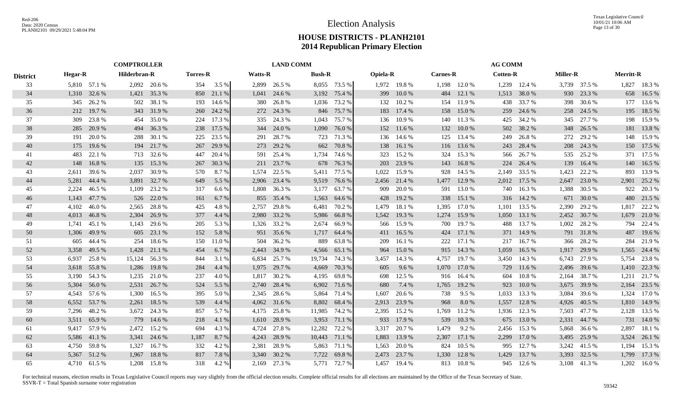|                 |                | <b>COMPTROLLER</b> |              |              |                 |        |                | <b>LAND COMM</b> |               |               |                 |              |                 |              | <b>AG COMM</b>  |              |                 |              |                  |              |
|-----------------|----------------|--------------------|--------------|--------------|-----------------|--------|----------------|------------------|---------------|---------------|-----------------|--------------|-----------------|--------------|-----------------|--------------|-----------------|--------------|------------------|--------------|
| <b>District</b> | <b>Hegar-R</b> |                    | Hilderbran-R |              | <b>Torres-R</b> |        | <b>Watts-R</b> |                  | <b>Bush-R</b> |               | <b>Opiela-R</b> |              | <b>Carnes-R</b> |              | <b>Cotten-R</b> |              | <b>Miller-R</b> |              | <b>Merritt-R</b> |              |
| 33              |                | 5,810 57.1 %       |              | 2,092 20.6 % | 354             | 3.5 %  |                | 2,899 26.5 %     |               | 8,055 73.5 %  |                 | 1,972 19.8 % |                 | 1,198 12.0 % |                 | 1,239 12.4 % |                 | 3,739 37.5 % |                  | 1,827 18.3 % |
| 34              | 1,310          | 32.6 %             | 1,421        | 35.3 %       | 850             | 21.1 % | 1,041          | 24.6 %           |               | 3,192 75.4 %  | 399             | 10.0 %       | 484             | 12.1 %       | 1,513           | 38.0%        | 930             | 23.3 %       | 658              | 16.5 %       |
| 35              | 345            | 26.2 %             | 502          | 38.1 %       | 193             | 14.6 % | 380            | 26.8%            | 1,036         | 73.2 %        | 132             | 10.2 %       | 154             | 11.9 %       | 438             | 33.7 %       | 398             | 30.6 %       | 177              | 13.6 %       |
| 36              | 212            | 19.7 %             | 343          | 31.9%        | 260             | 24.2 % |                | 272 24.3 %       | 846           | 75.7 %        | 183             | 17.4 %       | 158             | 15.0 %       | 259             | 24.6 %       | 258             | 24.5 %       | 195              | 18.5 %       |
| 37              | 309            | 23.8 %             | 454          | 35.0 %       | 224             | 17.3 % | 335            | 24.3 %           | 1,043         | 75.7 %        | 136             | 10.9 %       | 140             | 11.3 %       | 425             | 34.2 %       | 345             | 27.7 %       |                  | 198 15.9 %   |
| 38              | 285            | 20.9 %             |              | 494 36.3 %   | 238             | 17.5 % | 344            | 24.0 %           | 1,090         | 76.0%         |                 | 152 11.6 %   | 132             | 10.0%        | 502             | 38.2 %       | 348             | 26.5 %       |                  | 181 13.8 %   |
| 39              | 191            | 20.0 %             | 288          | 30.1 %       | 225             | 23.5 % | 291            | 28.7 %           | 723           | 71.3 %        |                 | 136 14.6 %   | 125             | 13.4 %       | 249             | 26.8%        | 272             | 29.2 %       |                  | 148 15.9 %   |
| 40              | 175            | 19.6 %             |              | 194 21.7 %   | 267             | 29.9 % |                | 273 29.2 %       | 662           | 70.8 %        |                 | 138 16.1 %   | 116             | 13.6 %       | 243             | 28.4 %       | 208             | 24.3 %       |                  | 150 17.5 %   |
| 41              | 483            | 22.1 %             |              | 713 32.6 %   | 447             | 20.4 % |                | 591 25.4 %       | 1,734         | 74.6 %        | 323             | 15.2 %       | 324             | 15.3 %       | 566             | 26.7 %       | 535             | 25.2 %       | 371              | 17.5 %       |
| 42              | 148            | 16.8%              | 135          | 15.3 %       | 267             | 30.3 % |                | 211 23.7 %       | 678           | 76.3 %        | 203             | 23.9 %       | 143             | 16.8%        | 224             | 26.4 %       | 139             | 16.4 %       |                  | 140 16.5 %   |
| 43              | 2,611          | 39.6 %             | 2,037        | 30.9%        | 570             | 8.7%   | 1,574          | 22.5 %           | 5,411         | 77.5 %        | 1,022           | 15.9%        | 928             | 14.5 %       | 2,149           | 33.5 %       | 1,423           | 22.2 %       | 893              | 13.9 %       |
| 44              | 5,281          | 44.4 %             | 3,891        | 32.7 %       | 649             | 5.5 %  | 2,906          | 23.4 %           | 9,519         | 76.6 %        |                 | 2,456 21.4 % | 1,477           | 12.9 %       | 2,012           | 17.5 %       | 2,647           | 23.0 %       | 2,901            | 25.2 %       |
| 45              | 2,224          | 46.5 %             | 1,109        | 23.2 %       | 317             | 6.6%   | 1,808          | 36.3 %           | 3,177         | 63.7 %        | 909             | 20.0 %       | 591             | 13.0 %       | 740             | 16.3%        | 1,388           | 30.5 %       |                  | 922 20.3 %   |
| 46              | 1,143          | 47.7 %             | 526          | 22.0 %       | 161             | 6.7 %  | 855            | 35.4 %           | 1,563         | 64.6 %        | 428             | 19.2 %       | 338             | 15.1 %       | 316             | 14.2 %       | 671             | 30.0 %       |                  | 480 21.5 %   |
| 47              | 4,102          | 46.0%              | 2,565        | 28.8%        | 425             | 4.8%   | 2,757          | 29.8%            | 6,481         | 70.2 %        | 1,479           | 18.1 %       | 1,395           | 17.0 %       | 1,101           | 13.5 %       | 2,390           | 29.2 %       | 1,817            | 22.2 %       |
| 48              | 4,013          | 46.8%              | 2,304        | 26.9 %       | 377             | 4.4 %  | 2,980          | 33.2 %           | 5,986         | 66.8 %        | 1,542           | 19.3 %       | 1,274           | 15.9 %       | 1,050           | 13.1 %       | 2,452           | 30.7 %       |                  | 1,679 21.0 % |
| 49              | 1,741          | 45.1 %             | 1,143        | 29.6 %       | 205             | 5.3 %  |                | 1,326 33.2 %     | 2,674         | 66.9%         | 566             | 15.9 %       | 700             | 19.7 %       | 488             | 13.7 %       | 1,002           | 28.2 %       | 794              | 22.4 %       |
| 50              | 1,306          | 49.9 %             | 605          | 23.1 %       | 152             | 5.8 %  |                | 951 35.6 %       | 1,717         | 64.4 %        |                 | 411 16.5 %   | 424             | 17.1 %       | 371             | 14.9 %       | 791             | 31.8%        | 487              | 19.6 %       |
| 51              | 605            | 44.4 %             | 254          | 18.6 %       | 150             | 11.0 % | 504            | 36.2 %           | 889           | 63.8%         | 209             | 16.1%        | 222             | 17.1 %       | 217             | 16.7%        | 366             | 28.2 %       | 284              | 21.9 %       |
| 52              | 3,358          | 49.5 %             | 1,428        | 21.1 %       | 454             | 6.7%   | 2,443          | 34.9 %           | 4,566         | 65.1 %        | 964             | 15.0 %       | 915             | 14.3 %       | 1,059           | 16.5 %       | 1,917           | 29.9 %       | 1,565            | 24.4 %       |
| 53              | 6,937          | 25.8%              | 15,124       | 56.3 %       | 844             | 3.1 %  | 6,834          | 25.7 %           | 19,734        | 74.3 %        | 3,457           | 14.3 %       | 4,757           | 19.7 %       | 3,450           | 14.3 %       | 6,743           | 27.9 %       | 5,754            | 23.8%        |
| 54              |                | 3,618 55.8%        | 1,286        | 19.8%        | 284             | 4.4 %  | 1,975          | 29.7 %           | 4,669         | 70.3 %        | 605             | 9.6 %        | 1,070           | 17.0 %       | 729             | 11.6 %       | 2,496           | 39.6 %       |                  | 1,410 22.3 % |
| 55              | 3,190          | 54.3 %             | 1,235        | 21.0%        | 237             | 4.0%   | 1,817          | 30.2 %           | 4,195         | 69.8 %        | 698             | 12.5 %       | 916             | 16.4 %       | 604             | 10.8%        | 2,164           | 38.7%        | 1,211            | 21.7 %       |
| 56              | 5,304          | 56.0%              | 2,531        | 26.7 %       | 524             | 5.5 %  | 2,740          | 28.4 %           | 6,902         | 71.6 %        | 680             | 7.4 %        | 1,765           | 19.2 %       | 923             | 10.0%        | 3,675           | 39.9 %       | 2,164            | 23.5 %       |
| 57              | 4,543          | 57.6 %             | 1,300        | 16.5 %       | 395             | 5.0 %  | 2,345          | 28.6 %           | 5,864         | 71.4 %        | 1,607           | 20.6 %       | 738             | 9.5 %        | 1,033           | 13.3 %       | 3,084           | 39.6 %       | 1,324            | 17.0 %       |
| 58              | 6,552          | 53.7 %             | 2,261        | 18.5 %       | 539             | 4.4 %  | 4,062          | 31.6 %           | 8,802         | 68.4%         | 2,913           | 23.9 %       | 968             | 8.0%         | 1,557           | 12.8 %       | 4,926           | 40.5 %       | 1,810            | 14.9 %       |
| 59              | 7,296          | 48.2%              | 3,672        | 24.3 %       | 857             | 5.7 %  | 4,175          | 25.8%            | 11,985        | 74.2 %        | 2,395           | 15.2 %       | 1,769           | 11.2 %       | 1,936           | 12.3 %       | 7,503           | 47.7 %       | 2,128            | 13.5 %       |
| 60              | 3,511          | 65.9%              | 779          | 14.6 %       | 218             | 4.1 %  | 1,610          | 28.9 %           |               | 3,953 71.1 %  | 933             | 17.9 %       | 539             | 10.3 %       | 675             | 13.0 %       | 2,331           | 44.7 %       | 731              | 14.0 %       |
| 61              |                | 9,417 57.9 %       |              | 2,472 15.2 % | 694             | 4.3 %  | 4,724          | 27.8%            | 12,282        | 72.2 %        | 3,317           | 20.7 %       | 1,479           | 9.2 %        | 2,456           | 15.3 %       | 5,868           | 36.6 %       | 2,897            | 18.1 %       |
| 62              |                | 5,586 41.1 %       |              | 3,341 24.6 % | 1,187           | 8.7 %  | 4,243          | 28.9 %           |               | 10,443 71.1 % | 1,883           | 13.9 %       | 2,307           | 17.1 %       | 2,299           | 17.0 %       | 3,495           | 25.9 %       |                  | 3,524 26.1 % |
| 63              |                | 4,750 59.8 %       | 1,327        | 16.7 %       | 332             | 4.2 %  | 2,381          | 28.9%            |               | 5,863 71.1 %  | 1,563           | 20.0 %       | 824             | 10.5 %       | 995             | 12.7 %       | 3,242           | 41.5 %       | 1,194            | 15.3 %       |
| 64              | 5,367          | 51.2%              | 1,967        | 18.8%        | 817             | 7.8 %  | 3,340          | 30.2 %           | 7,722         | 69.8%         | 2,473           | 23.7 %       | 1,330           | 12.8 %       | 1,429           | 13.7 %       | 3,393           | 32.5 %       | 1,799            | 17.3 %       |
| 65              |                | 4,710 61.5 %       | 1,208        | 15.8%        | 318             | 4.2 %  |                | 2,169 27.3 %     |               | 5,771 72.7 %  | 1,457           | 19.4 %       |                 | 813 10.8 %   | 945             | 12.6 %       |                 | 3,108 41.3 % | 1,202            | 16.0%        |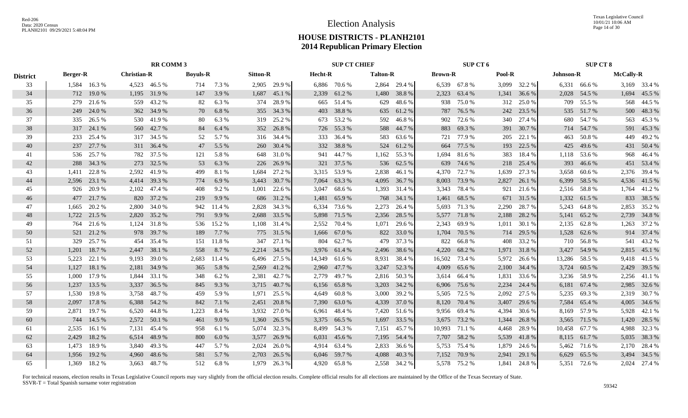Texas Legislative Council 10/01/21 10:06 AM Page 14 of 30

## **HOUSE DISTRICTS - PLANH2101 2014 Republican Primary Election**

|                 |                 |              |                    | <b>RR COMM 3</b> |                 |         |                 |              |         | <b>SUP CT CHIEF</b> |                 |              |                | SUP CT 6     |        |                |           | <b>SUP CT 8</b> |                  |              |
|-----------------|-----------------|--------------|--------------------|------------------|-----------------|---------|-----------------|--------------|---------|---------------------|-----------------|--------------|----------------|--------------|--------|----------------|-----------|-----------------|------------------|--------------|
| <b>District</b> | <b>Berger-R</b> |              | <b>Christian-R</b> |                  | <b>Boyuls-R</b> |         | <b>Sitton-R</b> |              | Hecht-R |                     | <b>Talton-R</b> |              | <b>Brown-R</b> |              | Pool-R |                | Johnson-R |                 | <b>McCally-R</b> |              |
| 33              |                 | 1,584 16.3 % |                    | 4,523 46.5 %     | 714             | 7.3 %   |                 | 2,905 29.9 % |         | 6,886 70.6 %        |                 | 2,864 29.4 % |                | 6,539 67.8 % |        | 3,099 32.2 %   |           | 6,331 66.6 %    |                  | 3,169 33.4 % |
| 34              |                 | 712 19.0 %   |                    | 1,195 31.9 %     | 147             | 3.9 %   |                 | 1,687 45.1 % |         | 2,339 61.2 %        |                 | 1,480 38.8 % |                | 2,323 63.4 % |        | 1,341 36.6 %   |           | 2,028 54.5 %    |                  | 1,694 45.5 % |
| 35              |                 | 279 21.6 %   |                    | 559 43.2 %       | 82              | 6.3 %   |                 | 374 28.9 %   |         | 665 51.4 %          | 629             | 48.6 %       |                | 938 75.0 %   | 312    | 25.0 %         |           | 709 55.5 %      | 568              | 44.5 %       |
| 36              |                 | 249 24.0 %   |                    | 362 34.9 %       | 70              | 6.8%    |                 | 355 34.3 %   | 403     | 38.8%               |                 | 635 61.2%    | 787            | 76.5 %       |        | 242 23.5 %     |           | 535 51.7%       |                  | 500 48.3 %   |
| 37              | 335             | 26.5 %       |                    | 530 41.9 %       | 80              | 6.3 %   |                 | 319 25.2 %   | 673     | 53.2 %              | 592             | 46.8%        | 902            | 72.6 %       | 340    | 27.4 %         |           | 680 54.7 %      | 563              | 45.3%        |
| 38              |                 | 317 24.1 %   |                    | 560 42.7%        | 84              | 6.4 %   |                 | 352 26.8 %   | 726     | 55.3%               |                 | 588 44.7 %   | 883            | 69.3%        |        | 391 30.7%      |           | 714 54.7%       |                  | 591 45.3%    |
| 39              |                 | 233 25.4 %   |                    | 317 34.5 %       | 52              | 5.7 %   |                 | 316 34.4 %   | 333     | 36.4 %              | 583             | 63.6 %       |                | 721 77.9 %   | 205    | 22.1 %         |           | 463 50.8 %      |                  | 449 49.2 %   |
| 40              |                 | 237 27.7 %   |                    | 311 36.4 %       | 47              | 5.5 %   |                 | 260 30.4 %   | 332     | 38.8%               | 524             | 61.2%        | 664            | 77.5 %       | 193    | 22.5 %         |           | 425 49.6 %      |                  | 431 50.4 %   |
| 41              | 536             | 25.7 %       |                    | 782 37.5 %       | 121             | 5.8 %   | 648             | 31.0%        | 941     | 44.7%               | 1,162           | 55.3 %       | 1,694          | 81.6%        | 383    | 18.4 %         |           | 1,118 53.6 %    | 968              | 46.4 %       |
| 42              | 288             | 34.3 %       |                    | 273 32.5 %       | 53              | 6.3 %   |                 | 226 26.9 %   | 321     | 37.5 %              |                 | 536 62.5 %   | 639            | 74.6 %       | 218    | 25.4 %         |           | 393 46.6 %      |                  | 451 53.4 %   |
| 43              | 1.411           | 22.8%        |                    | 2,592 41.9 %     | 499             | 8.1%    | 1,684           | 27.2 %       |         | 3,315 53.9 %        | 2,838           | 46.1%        | 4,370          | 72.7 %       | 1,639  | 27.3 %         |           | 3,658 60.6 %    |                  | 2,376 39.4 % |
| 44              |                 | 2,596 23.1 % |                    | 4,414 39.3 %     | 774             | 6.9%    |                 | 3,443 30.7 % | 7,064   | 63.3 %              |                 | 4,095 36.7 % | 8,003          | 73.9 %       | 2,827  | 26.1%          |           | 6,399 58.5 %    |                  | 4,536 41.5 % |
| 45              |                 | 926 20.9 %   |                    | 2,102 47.4 %     | 408             | 9.2 %   |                 | 1,001 22.6 % | 3,047   | 68.6 %              |                 | 1,393 31.4 % | 3,343          | 78.4 %       | 921    | 21.6 %         |           | 2,516 58.8 %    |                  | 1,764 41.2 % |
| 46              |                 | 477 21.7 %   |                    | 820 37.2 %       | 219             | 9.9 %   |                 | 686 31.2 %   | 1,481   | 65.9%               |                 | 768 34.1 %   | 1,461          | 68.5 %       |        | 671 31.5 %     |           | 1,332 61.5 %    |                  | 833 38.5 %   |
| 47              |                 | 1,665 20.2 % |                    | 2,800 34.0 %     | 942             | 11.4 %  |                 | 2,828 34.3 % | 6,334   | 73.6 %              | 2,273           | 26.4 %       |                | 5,693 71.3 % | 2,290  | 28.7 %         |           | 5,243 64.8 %    |                  | 2,853 35.2 % |
| 48              | 1,722           | 21.5 %       |                    | 2,820 35.2 %     | 791             | 9.9 %   |                 | 2,688 33.5 % | 5,898   | 71.5 %              | 2,356           | 28.5 %       |                | 5,577 71.8 % | 2,188  | 28.2 %         |           | 5,141 65.2 %    |                  | 2,739 34.8 % |
| 49              | 764             | 21.6 %       |                    | 1,124 31.8 %     | 536             | 15.2 %  |                 | 1,108 31.4 % |         | 2,552 70.4 %        | 1,071           | 29.6 %       | 2,343          | 69.9%        | 1,011  | 30.1 %         |           | 2,135 62.8%     |                  | 1,263 37.2 % |
| 50              | 521             | 21.2%        |                    | 978 39.7 %       | 189             | 7.7 %   |                 | 775 31.5 %   |         | 1,666 67.0 %        |                 | 822 33.0 %   | 1,704          | 70.5 %       | 714    | 29.5 %         |           | 1,528 62.6 %    |                  | 914 37.4 %   |
| 51              | 329             | 25.7 %       | 454                | 35.4 %           | 151             | 11.8%   | 347             | 27.1 %       | 804     | 62.7 %              | 479             | 37.3 %       | 822            | 66.8%        |        | 408 33.2 %     |           | 710 56.8%       |                  | 541 43.2 %   |
| 52              | 1,201           | 18.7%        | 2,447              | 38.1 %           | 558             | 8.7 %   |                 | 2,214 34.5 % |         | 3,976 61.4 %        |                 | 2,496 38.6 % | 4,220          | 68.2%        |        | 1,971 31.8 %   |           | 3,427 54.9 %    |                  | 2,815 45.1 % |
| 53              | 5,223           | 22.1 %       | 9,193              | 39.0 %           | 2,683           | 11.4 %  |                 | 6,496 27.5 % |         | 14,349 61.6 %       | 8,931           | 38.4 %       | 16,502         | 73.4 %       | 5,972  | 26.6 %         |           | 13,286 58.5 %   |                  | 9,418 41.5 % |
| 54              | 1,127           | 18.1 %       |                    | 2,181 34.9 %     | 365             | 5.8 %   | 2,569           | 41.2%        | 2,960   | 47.7 %              |                 | 3,247 52.3 % | 4,009          | 65.6 %       | 2,100  | 34.4 %         |           | 3,724 60.5 %    |                  | 2,429 39.5 % |
| 55              | 1,000           | 17.9%        | 1,844              | 33.1 %           | 348             | 6.2 %   | 2,381           | 42.7 %       | 2,779   | 49.7 %              |                 | 2,816 50.3%  |                | 3,614 66.4 % | 1,831  | 33.6 %         |           | 3,236 58.9 %    |                  | 2,256 41.1 % |
| 56              | 1,237           | 13.5 %       | 3,337              | 36.5 %           | 845             | 9.3%    |                 | 3,715 40.7%  |         | 6,156 65.8%         | 3,203           | 34.2 %       |                | 6,906 75.6 % | 2,234  | 24.4 %         |           | 6,181 67.4 %    |                  | 2,985 32.6 % |
| 57              | 1,530           | 19.8%        |                    | 3,758 48.7 %     | 459             | 5.9%    | 1,971           | 25.5 %       |         | 4,649 60.8%         | 3,000           | 39.2 %       |                | 5,505 72.5 % | 2,092  | 27.5 %         |           | 5,235 69.3 %    |                  | 2,319 30.7 % |
| 58              | 2,097           | 17.8%        | 6,388              | 54.2 %           | 842             | 7.1 %   | 2,451           | 20.8 %       | 7,390   | 63.0%               | 4,339           | 37.0 %       |                | 8,120 70.4 % | 3,407  | 29.6 %         | 7,584     | 65.4 %          |                  | 4,005 34.6 % |
| 59              | 2,871           | 19.7%        | 6,520              | 44.8%            | 1,223           | 8.4 %   | 3,932           | 27.0 %       | 6,961   | 48.4%               |                 | 7,420 51.6 % | 9,956          | 69.4 %       | 4,394  | 30.6 %         | 8,169     | 57.9 %          | 5,928            | 42.1 %       |
| 60              | 744             | 14.5 %       |                    | 2,572 50.1 %     | 461             | $9.0\%$ | 1,360           | 26.5 %       | 3,375   | 66.5 %              |                 | 1,697 33.5 % | 3,675          | 73.2 %       | 1,344  | 26.8%          |           | 3,565 71.5 %    | 1,420            | 28.5 %       |
| 61              | 2,535           | 16.1 %       |                    | 7,131 45.4 %     | 958             | 6.1 %   |                 | 5,074 32.3 % |         | 8,499 54.3 %        | 7,151           | 45.7 %       | 10,993         | 71.1 %       | 4,468  | 28.9%          |           | 10,458 67.7 %   |                  | 4,988 32.3 % |
| 62              | 2,429           | 18.2%        |                    | 6,514 48.9 %     | 800             | 6.0 $%$ |                 | 3,577 26.9 % |         | 6,031 45.6 %        |                 | 7,195 54.4 % |                | 7,707 58.2 % | 5,539  | 41.8%          |           | 8,115 61.7 %    |                  | 5,035 38.3 % |
| 63              | 1,473           | 18.9%        |                    | 3,840 49.3 %     | 447             | 5.7 %   | 2,024           | 26.0%        |         | 4,914 63.4 %        | 2,833           | 36.6 %       | 5,753          | 75.4 %       | 1,879  | 24.6 %         |           | 5,462 71.6 %    |                  | 2,170 28.4 % |
| 64              | 1,956           | 19.2 %       |                    | 4,960 48.6 %     | 581             | 5.7 %   |                 | 2,703 26.5 % |         | 6,046 59.7 %        | 4,088           | 40.3%        |                | 7,152 70.9 % | 2,941  | 29.1 %         |           | 6,629 65.5 %    |                  | 3,494 34.5 % |
| 65              |                 | 1,369 18.2 % |                    | 3,663 48.7 %     | 512             | 6.8%    |                 | 1,979 26.3 % |         | 4,920 65.8%         |                 | 2,558 34.2 % |                | 5,578 75.2 % |        | $1,841$ 24.8 % |           | 5,351 72.6 %    |                  | 2,024 27.4 % |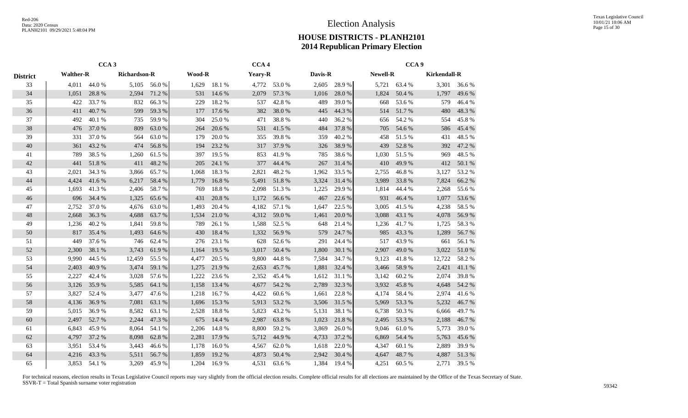|                 |                                           | CCA <sub>3</sub> |              |              |        |        | CCA <sub>4</sub> |              |         |        |          | CCA <sub>9</sub> |                     |              |
|-----------------|-------------------------------------------|------------------|--------------|--------------|--------|--------|------------------|--------------|---------|--------|----------|------------------|---------------------|--------------|
| <b>District</b> | <b>Walther-R</b><br>4,011<br>1,051<br>422 |                  | Richardson-R |              | Wood-R |        | Yeary-R          |              | Davis-R |        | Newell-R |                  | <b>Kirkendall-R</b> |              |
| 33              |                                           | 44.0 %           |              | 5,105 56.0 % | 1,629  | 18.1 % |                  | 4,772 53.0 % | 2,605   | 28.9%  |          | 5,721 63.4 %     |                     | 3,301 36.6 % |
| 34              |                                           | 28.8%            | 2,594        | 71.2 %       | 531    | 14.6 % | 2,079            | 57.3 %       | 1,016   | 28.0%  | 1,824    | 50.4 %           | 1,797               | 49.6 %       |
| 35              |                                           | 33.7 %           | 832          | 66.3%        | 229    | 18.2%  | 537              | 42.8%        | 489     | 39.0%  | 668      | 53.6 %           | 579                 | 46.4 %       |
| 36              | 411                                       | 40.7%            | 599          | 59.3%        | 177    | 17.6 % | 382              | 38.0%        | 445     | 44.3 % | 514      | 51.7%            | 480                 | 48.3%        |
| 37              | 492                                       | 40.1%            | 735          | 59.9%        | 304    | 25.0%  | 471              | 38.8%        | 440     | 36.2%  | 656      | 54.2 %           | 554                 | 45.8%        |
| 38              | 476                                       | 37.0%            | 809          | 63.0%        | 264    | 20.6 % | 531              | 41.5 %       | 484     | 37.8%  | 705      | 54.6%            | 586                 | 45.4 %       |
| 39              | 331                                       | 37.0%            | 564          | 63.0%        | 179    | 20.0%  | 355              | 39.8%        | 359     | 40.2%  | 458      | 51.5%            | 431                 | 48.5 %       |
| 40              | 361                                       | 43.2 %           | 474          | 56.8%        | 194    | 23.2 % | 317              | 37.9 %       | 326     | 38.9%  | 439      | 52.8%            | 392                 | 47.2 %       |
| 41              | 789                                       | 38.5%            | 1,260        | 61.5%        | 397    | 19.5 % | 853              | 41.9%        | 785     | 38.6%  | 1,030    | 51.5 %           | 969                 | 48.5 %       |
| 42              | 441                                       | 51.8%            | 411          | 48.2%        | 205    | 24.1 % | 377              | 44.4 %       | 267     | 31.4 % | 410      | 49.9%            | 412                 | 50.1 %       |
| 43              | 2,021                                     | 34.3 %           | 3,866        | 65.7%        | 1,068  | 18.3%  | 2,821            | 48.2%        | 1,962   | 33.5 % | 2,755    | 46.8%            | 3,127               | 53.2 %       |
| 44              | 4,424                                     | 41.6%            | 6,217        | 58.4 %       | 1,779  | 16.8%  | 5,491            | 51.8%        | 3,324   | 31.4%  | 3,989    | 33.8%            | 7,824               | 66.2%        |
| 45              | 1,693                                     | 41.3%            | 2,406        | 58.7%        | 769    | 18.8%  | 2,098            | 51.3%        | 1,225   | 29.9%  | 1,814    | 44.4 %           | 2,268               | 55.6%        |
| 46              | 696                                       | 34.4 %           | 1,325        | 65.6%        | 431    | 20.8 % | 1,172            | 56.6%        | 467     | 22.6 % | 931      | 46.4%            | 1,077               | 53.6%        |
| 47              | 2,752                                     | 37.0%            | 4,676        | 63.0%        | 1,493  | 20.4 % | 4,182            | 57.1 %       | 1,647   | 22.5 % | 3,005    | 41.5 %           | 4,238               | 58.5%        |
| 48              | 2,668                                     | 36.3 %           | 4,688        | 63.7%        | 1,534  | 21.0%  | 4,312            | 59.0%        | 1,461   | 20.0%  | 3,088    | 43.1 %           | 4,078               | 56.9%        |
| 49              | 1,236                                     | 40.2 %           | 1,841        | 59.8%        | 789    | 26.1 % | 1,588            | 52.5 %       | 648     | 21.4 % | 1,236    | 41.7%            | 1,725               | 58.3%        |
| 50              | 817                                       | 35.4 %           | 1,493        | 64.6 %       | 430    | 18.4 % | 1,332            | 56.9%        | 579     | 24.7 % | 985      | 43.3 %           | 1,289               | 56.7%        |
| 51              | 449                                       | 37.6 %           | 746          | 62.4 %       | 276    | 23.1 % | 628              | 52.6 %       | 291     | 24.4 % | 517      | 43.9%            | 661                 | 56.1 %       |
| 52              | 2,300                                     | 38.1 %           | 3,743        | 61.9%        | 1,164  | 19.5 % | 3,017            | 50.4 %       | 1,800   | 30.1 % | 2,907    | 49.0%            | 3,022               | 51.0%        |
| 53              | 9,990                                     | 44.5 %           | 12,459       | 55.5 %       | 4,477  | 20.5 % | 9,800            | 44.8%        | 7,584   | 34.7 % | 9,123    | 41.8%            | 12,722              | 58.2%        |
| 54              | 2,403                                     | 40.9%            | 3,474        | 59.1 %       | 1,275  | 21.9%  | 2,653            | 45.7%        | 1,881   | 32.4 % | 3,466    | 58.9%            | 2,421               | 41.1 %       |
| 55              | 2,227                                     | 42.4 %           | 3,028        | 57.6 %       | 1,222  | 23.6 % | 2,352            | 45.4 %       | 1,612   | 31.1 % | 3,142    | 60.2%            | 2,074               | 39.8%        |
| 56              | 3,126                                     | 35.9%            | 5,585        | 64.1 %       | 1,158  | 13.4 % | 4,677            | 54.2 %       | 2,789   | 32.3 % | 3,932    | 45.8%            | 4,648               | 54.2 %       |
| 57              | 3,827                                     | 52.4 %           | 3,477        | 47.6%        | 1,218  | 16.7%  | 4,422            | 60.6%        | 1,661   | 22.8%  | 4,174    | 58.4%            | 2,974               | 41.6%        |
| 58              | 4,136                                     | 36.9%            | 7,081        | 63.1 %       | 1,696  | 15.3 % | 5,913            | 53.2 %       | 3,506   | 31.5 % | 5,969    | 53.3 %           | 5,232               | 46.7%        |
| 59              | 5,015                                     | 36.9%            | 8,582        | 63.1 %       | 2,528  | 18.8%  | 5,823            | 43.2 %       | 5,131   | 38.1 % | 6,738    | 50.3 %           | 6,666               | 49.7%        |
| 60              | 2,497                                     | 52.7 %           | 2,244        | 47.3 %       | 675    | 14.4 % | 2,987            | 63.8%        | 1,023   | 21.8%  | 2,495    | 53.3 %           | 2,188               | 46.7%        |
| 61              | 6,843                                     | 45.9%            | 8,064        | 54.1 %       | 2,206  | 14.8%  | 8,800            | 59.2%        | 3,869   | 26.0%  | 9,046    | 61.0%            | 5,773               | 39.0%        |
| 62              | 4,797                                     | 37.2 %           | 8,098        | 62.8%        | 2,281  | 17.9 % | 5,712            | 44.9%        | 4,733   | 37.2 % | 6,869    | 54.4 %           | 5,763               | 45.6%        |
| 63              | 3,951                                     | 53.4 %           | 3,443        | 46.6%        | 1,178  | 16.0%  | 4,567            | 62.0%        | 1,618   | 22.0%  | 4,347    | 60.1%            | 2,889               | 39.9%        |
| 64              | 4,216                                     | 43.3%            | 5,511        | 56.7%        | 1,859  | 19.2 % | 4,873            | 50.4 %       | 2,942   | 30.4 % | 4,647    | 48.7%            | 4,887               | 51.3%        |
| 65              | 3.853                                     | 54.1 %           | 3,269        | 45.9%        | 1,204  | 16.9%  | 4,531            | 63.6 %       | 1,384   | 19.4 % | 4,251    | 60.5 %           | 2,771               | 39.5 %       |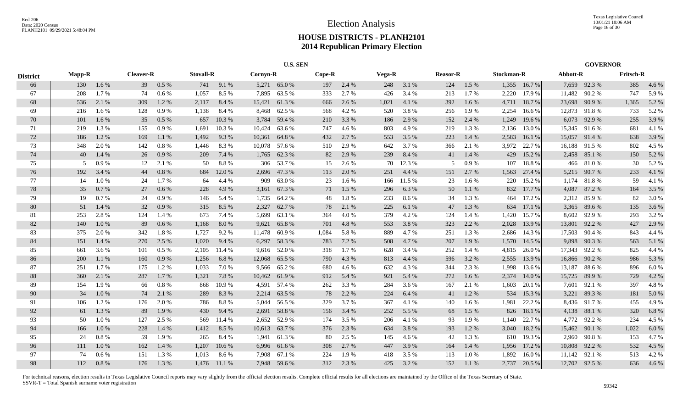|                 |               |         |                  |         |                  | <b>U.S. SEN</b> |          |               |        |       |        |        |                 |       |            | <b>GOVERNOR</b> |          |               |                  |         |
|-----------------|---------------|---------|------------------|---------|------------------|-----------------|----------|---------------|--------|-------|--------|--------|-----------------|-------|------------|-----------------|----------|---------------|------------------|---------|
| <b>District</b> | <b>Mapp-R</b> |         | <b>Cleaver-R</b> |         | <b>Stovall-R</b> |                 | Cornyn-R |               | Cope-R |       | Vega-R |        | <b>Reasor-R</b> |       | Stockman-R |                 | Abbott-R |               | <b>Fritsch-R</b> |         |
| 66              | 130           | 1.6 %   | 39               | 0.5 %   | 741              | 9.1%            |          | 5,271 65.0 %  | 197    | 2.4 % | 248    | 3.1 %  | 124             | 1.5 % |            | 1,355 16.7 %    |          | 7,659 92.3 %  | 385              | 4.6 %   |
| 67              | 208           | 1.7%    | 74               | $0.6\%$ | 1,057            | 8.5%            | 7,895    | 63.5 %        | 333    | 2.7%  | 426    | 3.4 %  | 213             | 1.7%  | 2,220      | 17.9%           | 11,482   | 90.2%         | 747              | 5.9%    |
| 68              | 536           | 2.1 %   | 309              | 1.2%    | 2,117            | 8.4 %           | 15,421   | 61.3%         | 666    | 2.6 % | 1,021  | 4.1 %  | 392             | 1.6 % | 4,711      | 18.7 %          | 23,698   | 90.9%         | 1,365            | 5.2 %   |
| 69              | 216           | 1.6 %   | 128              | 0.9%    | 1,138            | 8.4%            | 8,468    | 62.5 %        | 568    | 4.2 % | 520    | 3.8%   | 256             | 1.9%  | 2,254      | 16.6%           |          | 12,873 91.8 % | 733              | 5.2 %   |
| 70              | 101           | 1.6%    | 35               | 0.5 %   | 657              | 10.3%           | 3,784    | 59.4 %        | 210    | 3.3 % | 186    | 2.9%   | 152             | 2.4 % | 1,249      | 19.6 %          |          | 6,073 92.9 %  | 255              | 3.9%    |
| 71              | 219           | 1.3 %   | 155              | 0.9%    | 1,691            | 10.3 %          | 10,424   | 63.6 %        | 747    | 4.6 % | 803    | 4.9%   | 219             | 1.3 % | 2,136      | 13.0 %          |          | 15,345 91.6 % | 681              | 4.1 %   |
| 72              | 186           | 1.2 %   | 169              | 1.1 %   | 1,492            | 9.3%            | 10,361   | 64.8%         | 432    | 2.7%  | 553    | 3.5 %  | 223             | 1.4 % | 2,583      | 16.1 %          |          | 15,057 91.4 % | 638              | 3.9%    |
| 73              | 348           | 2.0%    | 142              | 0.8 %   | 1,446            | 8.3%            |          | 10,078 57.6 % | 510    | 2.9%  | 642    | 3.7%   | 366             | 2.1 % | 3,972      | 22.7 %          |          | 16,188 91.5 % | 802              | 4.5 %   |
| 74              | 40            | 1.4 %   | 26               | 0.9%    | 209              | 7.4 %           |          | 1,765 62.3 %  | 82     | 2.9%  | 239    | 8.4 %  | 41              | 1.4 % | 429        | 15.2 %          |          | 2,458 85.1 %  | 150              | 5.2 %   |
| 75              |               | 0.9%    | 12               | 2.1 %   | 50               | 8.8%            |          | 306 53.7 %    | 15     | 2.6 % | 70     | 12.3 % | $\sim$          | 0.9%  | 107        | 18.8%           | 466      | 81.0 %        | 30               | 5.2%    |
| 76              | 192           | 3.4 %   | 44               | 0.8 %   | 684              | 12.0 %          | 2,696    | 47.3 %        | 113    | 2.0%  | 251    | 4.4 %  | 151             | 2.7 % | 1,563      | 27.4 %          |          | 5,215 90.7 %  | 233              | 4.1 %   |
| 77              | 14            | 1.0%    | 24               | 1.7%    | 64               | 4.4 %           | 909      | 63.0%         | 23     | 1.6 % | 166    | 11.5 % | 23              | 1.6 % | 220        | 15.2 %          | 1,174    | 81.8%         | 59               | 4.1 %   |
| 78              | 35            | 0.7%    | 27               | 0.6 %   | 228              | 4.9 %           | 3,161    | 67.3 %        | 71     | 1.5 % | 296    | 6.3 %  | 50              | 1.1 % | 832        | 17.7 %          | 4,087    | 87.2 %        | 164              | 3.5 %   |
| 79              | 19            | 0.7%    | 24               | 0.9%    | 146              | 5.4 %           |          | 1,735 64.2 %  | 48     | 1.8%  | 233    | 8.6 %  | 34              | 1.3%  | 464        | 17.2 %          |          | 2,312 85.9 %  | 82               | 3.0%    |
| 80              | 51            | 1.4 %   | 32               | 0.9%    | 315              | 8.5 %           | 2,327    | 62.7 %        | 78     | 2.1 % | 225    | 6.1 %  | 47              | 1.3 % | 634        | 17.1 %          |          | 3,365 89.6 %  | 135              | 3.6 %   |
| 81              | 253           | 2.8%    | 124              | 1.4 %   | 673              | 7.4 %           | 5,699    | 63.1 %        | 364    | 4.0%  | 379    | 4.2 %  | 124             | 1.4 % | 1,420      | 15.7 %          |          | 8,602 92.9 %  | 293              | 3.2%    |
| 82              | 140           | 1.0%    | -89              | 0.6%    | 1,168            | 8.0%            | 9,621    | 65.8%         | 701    | 4.8 % | 553    | 3.8%   | 323             | 2.2 % | 2,028      | 13.9 %          |          | 13,801 92.2 % | 427              | 2.9%    |
| 83              | 375           | 2.0 %   | 342              | 1.8%    | 1.727            | 9.2%            |          | 11,478 60.9 % | 1,084  | 5.8%  | 889    | 4.7%   | 251             | 1.3%  | 2,686      | 14.3 %          |          | 17,503 90.4 % | 843              | 4.4 %   |
| 84              | 151           | 1.4 %   | 270              | 2.5 %   | 1,020            | 9.4 %           |          | 6,297 58.3 %  | 783    | 7.2 % | 508    | 4.7 %  | 207             | 1.9%  | 1,570      | 14.5 %          | 9,898    | 90.3%         | 563              | 5.1 %   |
| 85              | 661           | 3.6 %   | 101              | 0.5%    | 2,105            | 11.4 %          |          | 9,616 52.0 %  | 318    | 1.7 % | 628    | 3.4 %  | 252             | 1.4 % | 4,815      | 26.0%           | 17,343   | 92.2 %        | 825              | 4.4 %   |
| 86              | 200           | 1.1 %   | 160              | 0.9%    | 1,256            | 6.8%            | 12,068   | 65.5 %        | 790    | 4.3 % | 813    | 4.4 %  | 596             | 3.2 % | 2,555      | 13.9 %          | 16,866   | 90.2 %        | 986              | 5.3 %   |
| 87              | 251           | 1.7 %   | 175              | 1.2 %   | 1,033            | 7.0%            |          | 9,566 65.2 %  | 680    | 4.6 % | 632    | 4.3 %  | 344             | 2.3 % | 1,998      | 13.6 %          | 13,187   | 88.6%         | 896              | 6.0 $%$ |
| 88              | 360           | 2.1 %   | 287              | 1.7 %   | 1,321            | 7.8 %           |          | 10,462 61.9%  | 912    | 5.4 % | 921    | 5.4 %  | 272             | 1.6%  | 2,374      | 14.0 %          | 15,725   | 89.9%         | 729              | 4.2 %   |
| 89              | 154           | 1.9%    | 66               | 0.8%    | 868              | 10.9%           | 4,591    | 57.4 %        | 262    | 3.3%  | 284    | 3.6%   | 167             | 2.1 % | 1,603      | 20.1 %          | 7,601    | 92.1 %        | 397              | 4.8%    |
| 90              | 34            | 1.0%    | 74               | 2.1 %   | 289              | 8.3%            |          | 2,214 63.5 %  | 78     | 2.2 % | 224    | 6.4%   | 41              | 1.2%  | 534        | 15.3 %          | 3,221    | 89.3%         | 181              | 5.0%    |
| 91              | 106           | 1.2%    | 176              | 2.0 %   | 786              | 8.8%            |          | 5,044 56.5 %  | 329    | 3.7 % | 367    | 4.1 %  | 140             | 1.6 % | 1.981      | 22.2 %          |          | 8,436 91.7 %  | 455              | 4.9%    |
| 92              | 61            | 1.3 %   | 89               | 1.9%    | 430              | 9.4 %           | 2,691    | 58.8%         | 156    | 3.4 % | 252    | 5.5 %  | 68              | 1.5 % | 826        | 18.1 %          |          | 4,138 88.1 %  | 320              | 6.8%    |
| 93              | 50            | 1.0%    | 127              | 2.5 %   | 569              | 11.4 %          | 2,652    | 52.9 %        | 174    | 3.5 % | 206    | 4.1 %  | 93              | 1.9%  | 1,140      | 22.7 %          | 4,772    | 92.2 %        | 234              | 4.5 %   |
| 94              | 166           | $1.0\%$ | 228              | 1.4 %   | 1,412            | 8.5 %           |          | 10,613 63.7 % | 376    | 2.3 % | 634    | 3.8%   | 193             | 1.2%  | 3,040      | 18.2 %          |          | 15,462 90.1 % | 1,022            | 6.0%    |
| 95              | 24            | 0.8%    | 59               | 1.9%    | 265              | 8.4%            | 1,941    | 61.3%         | -80    | 2.5 % | 145    | 4.6 %  | 42              | 1.3%  | 610        | 19.3 %          | 2,960    | 90.8%         | 153              | 4.7%    |
| 96              | 111           | 1.0%    | 162              | 1.4 %   | 1,207            | 10.6 %          |          | 6,996 61.6 %  | 308    | 2.7 % | 447    | 3.9%   | 164             | 1.4 % | 1,956      | 17.2 %          | 10,808   | 92.2 %        | 532              | 4.5 %   |
| 97              | 74            | 0.6 %   | 151              | 1.3 %   | 1,013            | 8.6%            | 7,908    | 67.1 %        | 224    | 1.9%  | 418    | 3.5 %  | 113             | 1.0%  | 1,892      | 16.0%           | 11,142   | 92.1 %        | 513              | 4.2 %   |
| 98              | 112           | 0.8%    | 176              | 1.3 %   | 1,476            | 11.1 %          |          | 7,948 59.6 %  | 312    | 2.3 % | 425    | 3.2 %  | 152             | 1.1%  | 2,737      | 20.5 %          |          | 12,702 92.5 % | 636              | 4.6 %   |
|                 |               |         |                  |         |                  |                 |          |               |        |       |        |        |                 |       |            |                 |          |               |                  |         |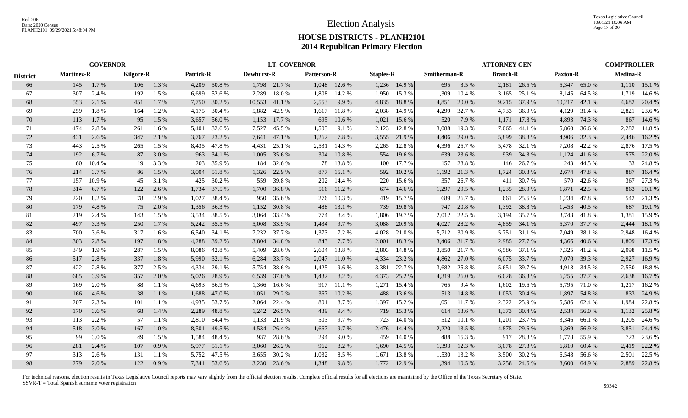|                 | <b>GOVERNOR</b>   |        |                  |         |                  |              | <b>LT. GOVERNOR</b> |              |                    |              |                  |              |              | <b>ATTORNEY GEN</b> |                 |              |                 | <b>COMPTROLLER</b> |                 |              |
|-----------------|-------------------|--------|------------------|---------|------------------|--------------|---------------------|--------------|--------------------|--------------|------------------|--------------|--------------|---------------------|-----------------|--------------|-----------------|--------------------|-----------------|--------------|
| <b>District</b> | <b>Martinez-R</b> |        | <b>Kilgore-R</b> |         | <b>Patrick-R</b> |              | Dewhurst-R          |              | <b>Patterson-R</b> |              | <b>Staples-R</b> |              | Smitherman-R |                     | <b>Branch-R</b> |              | <b>Paxton-R</b> |                    | <b>Medina-R</b> |              |
| 66              | 145               | 1.7%   | 106              | 1.3 %   |                  | 4,209 50.8 % |                     | 1,798 21.7 % |                    | 1,048 12.6 % |                  | 1,236 14.9 % | 695          | 8.5 %               |                 | 2,181 26.5 % | 5,347           | 65.0%              |                 | 1,110 15.1 % |
| 67              | 307               | 2.4 %  | 192              | 1.5 %   | 6.699            | 52.6 %       | 2,289               | 18.0%        | 1,808              | 14.2 %       | 1,950            | 15.3 %       | 1,309        | 10.4 %              | 3,165           | 25.1 %       | 8,145           | 64.5 %             |                 | 1,719 14.6 % |
| 68              | 553               | 2.1 %  | 451              | $1.7\%$ | 7,750            | 30.2 %       | 10,553              | 41.1 %       | 2,553              | 9.9 %        | 4,835            | 18.8%        | 4,851        | 20.0 %              | 9,215           | 37.9 %       | 10,217          | 42.1 %             | 4,682           | 20.4 %       |
| 69              | 259               | 1.8%   | 164              | 1.2%    | 4.175            | 30.4 %       | 5,882               | 42.9 %       | 1,617              | 11.8 %       | 2,038            | 14.9 %       | 4,299        | 32.7 %              | 4,733           | 36.0%        | 4,129           | 31.4 %             | 2,821           | 23.6 %       |
| 70              | 113               | 1.7%   | 95               | 1.5 %   | 3,657            | 56.0%        | 1,153               | 17.7 %       | 695                | 10.6%        | 1,021            | 15.6 %       | 520          | 7.9 %               | 1,171           | 17.8%        | 4,893           | 74.3 %             | 867             | 14.6 %       |
| 71              | 474               | 2.8%   | 261              | 1.6 %   | 5,401            | 32.6 %       | 7,527               | 45.5 %       | 1,503              | 9.1 %        | 2,123            | 12.8 %       | 3,088        | 19.3 %              | 7,065           | 44.1 %       | 5,860           | 36.6 %             | 2,282           | 14.8%        |
| 72              | 431               | 2.6 %  | 347              | 2.1 %   | 3,767            | 23.2 %       | 7,641               | 47.1 %       | 1,262              | 7.8 %        | 3,555            | 21.9 %       | 4,406        | 29.0 %              | 5,899           | 38.8%        | 4,906           | 32.3 %             |                 | 2,446 16.2 % |
| 73              | 443               | 2.5 %  | 265              | 1.5 %   | 8,435            | 47.8%        | 4,431               | 25.1 %       | 2,531              | 14.3 %       | 2,265            | 12.8%        | 4,396        | 25.7 %              | 5,478           | 32.1 %       | 7,208           | 42.2 %             |                 | 2,876 17.5 % |
| 74              | 192               | 6.7 %  | 87               | 3.0 %   |                  | 963 34.1 %   | 1,005               | 35.6 %       | 304                | 10.8%        | 554              | 19.6 %       | 639          | 23.6 %              | 939             | 34.8%        | 1,124           | 41.6 %             |                 | 575 22.0 %   |
| 75              | 60                | 10.4 % | 19               | 3.3 %   | 203              | 35.9%        | 184                 | 32.6 %       | 78                 | 13.8%        |                  | 100 17.7 %   | 157          | 28.8%               | 146             | 26.7%        | 243             | 44.5 %             | 133             | 24.8%        |
| 76              | 214               | 3.7 %  | 86               | 1.5 %   | 3,004            | 51.8%        | 1,326               | 22.9 %       | 877                | 15.1 %       | 592              | $10.2\%$     | 1,192        | 21.3%               | 1,724           | 30.8%        | 2,674           | 47.8%              | 887             | 16.4 %       |
| 77              | 157               | 10.9%  | 45               | 3.1 %   | 425              | 30.2 %       | 559                 | 39.8%        | 202                | 14.4 %       | 220              | 15.6 %       | 357          | 26.7 %              | 411             | 30.7%        | 570             | 42.6 %             | 367             | 27.3 %       |
| 78              | 314               | 6.7 %  | 122              | 2.6 %   | 1,734            | 37.5 %       | 1,700               | 36.8%        | 516                | 11.2 %       |                  | 674 14.6 %   | 1,297        | 29.5 %              | 1,235           | 28.0%        | 1,871           | 42.5 %             | 863             | 20.1 %       |
| 79              | 220               | 8.2%   | 78               | 2.9 %   | 1,027            | 38.4 %       | 950                 | 35.6 %       | 276                | 10.3%        | 419              | 15.7 %       | 689          | 26.7%               | 661             | 25.6 %       | 1,234           | 47.8%              |                 | 542 21.3 %   |
| 80              | 179               | 4.8%   | 75               | 2.0 %   | 1,356            | 36.3 %       | 1,152               | 30.8%        | 488                | 13.1 %       | 739              | 19.8%        | 747          | 20.8%               | 1,392           | 38.8%        | 1,453           | 40.5 %             | 687             | 19.1 %       |
| 81              | 219               | 2.4 %  | 143              | 1.5 %   | 3,534            | 38.5 %       | 3,064               | 33.4 %       | 774                | 8.4%         | 1,806            | 19.7 %       | 2,012        | 22.5 %              | 3,194           | 35.7 %       | 3,743           | 41.8%              | 1,381           | 15.9%        |
| 82              | 497               | 3.3 %  | 250              | 1.7 %   | 5,242            | 35.5 %       | 5,008               | 33.9 %       | 1,434              | 9.7 %        | 3,088            | 20.9 %       | 4,027        | 28.2 %              | 4,859           | 34.1 %       | 5,370           | 37.7 %             | 2,444           | 18.1 %       |
| 83              | 700               | 3.6 %  | 317              | 1.6 %   |                  | 6,540 34.1 % |                     | 7,232 37.7 % | 1,373              | 7.2 %        | 4,028            | 21.0%        |              | 5,712 30.9 %        |                 | 5,751 31.1 % | 7,049           | 38.1 %             | 2,948           | 16.4 %       |
| 84              | 303               | 2.8 %  | 197              | 1.8%    | 4,288            | 39.2 %       | 3,804               | 34.8%        | 843                | 7.7 %        | 2,001            | 18.3%        | 3,406        | 31.7 %              | 2,985           | 27.7 %       | 4,366           | 40.6 %             | 1,809           | 17.3 %       |
| 85              | 349               | 1.9%   | 287              | 1.5 %   | 8,086            | 42.8%        | 5,409               | 28.6 %       | 2,604              | 13.8%        | 2,803            | 14.8%        | 3,850        | 21.7 %              | 6,586           | 37.1 %       | 7,325           | 41.2 %             | 2,098           | 11.5 %       |
| 86              | 517               | 2.8 %  | 337              | 1.8 %   | 5,990            | 32.1 %       | 6,284               | 33.7 %       | 2,047              | 11.0 %       | 4,334            | 23.2 %       | 4,862        | 27.0 %              | 6,075           | 33.7 %       | 7,070           | 39.3 %             | 2,927           | 16.9%        |
| 87              | 422               | 2.8%   | 377              | 2.5 %   | 4,334            | 29.1 %       | 5,754               | 38.6 %       | 1,425              | 9.6 %        | 3,381            | 22.7 %       | 3,682        | 25.8%               | 5,651           | 39.7 %       | 4,918           | 34.5 %             | 2,550           | 18.8%        |
| 88              | 685               | 3.9%   | 357              | 2.0 %   | 5,026            | 28.9 %       | 6,539               | 37.6 %       | 1,432              | 8.2 %        | 4,373            | 25.2 %       | 4,319        | 26.0%               | 6,028           | 36.3 %       | 6,255           | 37.7 %             | 2,638           | 16.7 %       |
| 89              | 169               | 2.0%   | 88               | 1.1%    | 4.693            | 56.9%        | 1,366               | 16.6 %       | 917                | 11.1 %       | 1,271            | 15.4 %       | 765          | 9.4 %               | 1,602           | 19.6 %       | 5,795           | 71.0%              | 1,217           | 16.2 %       |
| 90              | 166               | 4.6 %  | 38               | 1.1%    | 1,688            | 47.0%        | 1,051               | 29.2 %       | 367                | 10.2 %       | 488              | 13.6 %       | 513          | 14.8%               | 1,053           | 30.4 %       | 1,897           | 54.8%              |                 | 833 24.9 %   |
| 91              | 207               | 2.3 %  | 101              | 1.1 %   | 4.935            | 53.7 %       | 2,064               | 22.4 %       | 801                | 8.7%         | 1,397            | 15.2 %       | 1.051        | 11.7 %              | 2,322           | 25.9%        | 5.586           | 62.4 %             | 1.984           | 22.8%        |
| 92              | 170               | 3.6 %  | 68               | 1.4 %   | 2,289            | 48.8%        |                     | 1,242 26.5 % | 439                | 9.4%         |                  | 719 15.3 %   | 614          | 13.6 %              | 1,373           | 30.4 %       | 2,534           | 56.0%              | 1,132           | 25.8%        |
| 93              | 113               | 2.2 %  | 57               | 1.1 %   | 2,810            | 54.4 %       | 1,133               | 21.9 %       | 503                | 9.7 %        | 723              | 14.0 %       | 512          | 10.1 %              | 1,201           | 23.7 %       | 3,346           | 66.1 %             | 1,205           | 24.6 %       |
| 94              | 518               | 3.0 %  | 167              | $1.0\%$ | 8,501            | 49.5 %       | 4,534               | 26.4 %       | 1,667              | 9.7 %        | 2,476            | 14.4 %       | 2,220        | 13.5 %              | 4,875           | 29.6 %       | 9,369           | 56.9%              |                 | 3,851 24.4 % |
| 95              | 99                | 3.0 %  | 49               | 1.5 %   | 1,584            | 48.4%        | 937                 | 28.6 %       | 294                | 9.0%         | 459              | 14.0 %       | 488          | 15.3 %              | 917             | 28.8%        | 1,778           | 55.9%              | 723             | 23.6 %       |
| 96              | 281               | 2.4 %  | 107              | 0.9%    | 5,977            | 51.1 %       | 3,060               | 26.2 %       | 962                | 8.2 %        | 1,690            | 14.5 %       | 1,393        | 12.3 %              | 3,078           | 27.3 %       | 6,810           | 60.4 %             |                 | 2,419 22.2 % |
| 97              | 313               | 2.6 %  | 131              | 1.1 %   | 5,752            | 47.5 %       | 3,655               | 30.2 %       | 1,032              | 8.5 %        | 1,671            | 13.8 %       | 1,530        | 13.2 %              | 3,500           | 30.2 %       | 6,548           | 56.6 %             | 2,501           | 22.5 %       |
| 98              | 279               | 2.0%   | 122              | 0.9%    |                  | 7,341 53.6 % |                     | 3,230 23.6 % | 1,348              | 9.8%         | 1,772            | 12.9 %       | 1,394        | 10.5 %              |                 | 3,258 24.6 % |                 | 8,600 64.9 %       |                 | 2,889 22.8 % |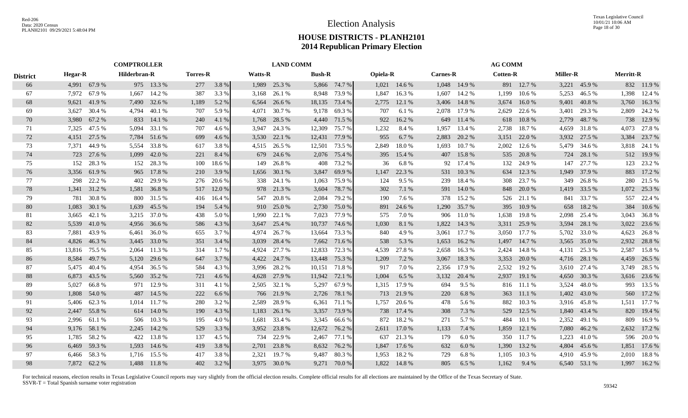|                 |                | <b>COMPTROLLER</b> |              |              |                 |        | <b>LAND COMM</b> |              |               |               |                 |              |                 | <b>AG COMM</b> |                 |              |                 |              |                  |              |
|-----------------|----------------|--------------------|--------------|--------------|-----------------|--------|------------------|--------------|---------------|---------------|-----------------|--------------|-----------------|----------------|-----------------|--------------|-----------------|--------------|------------------|--------------|
| <b>District</b> | <b>Hegar-R</b> |                    | Hilderbran-R |              | <b>Torres-R</b> |        | <b>Watts-R</b>   |              | <b>Bush-R</b> |               | <b>Opiela-R</b> |              | <b>Carnes-R</b> |                | <b>Cotten-R</b> |              | <b>Miller-R</b> |              | <b>Merritt-R</b> |              |
| 66              |                | 4,991 67.9 %       |              | 975 13.3 %   | 277             | 3.8%   | 1,989            | 25.3 %       |               | 5,866 74.7 %  |                 | 1,021 14.6 % |                 | 1,048 14.9 %   |                 | 891 12.7%    |                 | 3,221 45.9 % |                  | 832 11.9 %   |
| 67              | 7,972          | 67.9%              | 1,667        | 14.2 %       | 387             | 3.3 %  | 3,168            | 26.1 %       | 8,948         | 73.9 %        | 1,847           | 16.3%        | 1,607           | 14.2 %         | 1,199           | 10.6 %       | 5,253           | 46.5 %       | 1,398            | 12.4 %       |
| 68              |                | 9,621 41.9 %       | 7,490        | 32.6 %       | 1,189           | 5.2 %  | 6,564            | 26.6 %       | 18,135        | 73.4 %        | 2,775           | 12.1 %       | 3,406           | 14.8%          | 3,674           | 16.0%        | 9,401           | 40.8%        | 3,760            | 16.3%        |
| 69              | 3,627          | 30.4 %             | 4,794        | 40.1 %       | 707             | 5.9%   | 4,071            | 30.7 %       | 9,178         | 69.3%         | 707             | 6.1%         | 2,078           | 17.9 %         | 2,629           | 22.6 %       | 3,401           | 29.3 %       |                  | 2,809 24.2 % |
| 70              | 3,980          | 67.2 %             | 833          | 14.1 %       | 240             | 4.1 %  | 1,768            | 28.5 %       |               | 4,440 71.5 %  | 922             | 16.2%        | 649             | 11.4 %         | 618             | 10.8%        | 2,779           | 48.7%        | 738              | 12.9 %       |
| 71              | 7,325          | 47.5 %             | 5,094        | 33.1 %       | 707             | 4.6 %  | 3,947            | 24.3 %       | 12,309        | 75.7 %        | 1,232           | 8.4 %        | 1,957           | 13.4 %         | 2,738           | 18.7%        | 4,659           | 31.8%        | 4,073            | 27.8%        |
| 72              | 4,151          | 27.5 %             | 7,784        | 51.6 %       | 699             | 4.6 %  | 3,530            | 22.1 %       | 12,431        | 77.9 %        | 955             | 6.7%         | 2,883           | 20.2 %         | 3,151           | 22.0%        | 3,932           | 27.5 %       | 3,384            | 23.7 %       |
| 73              |                | 7,371 44.9 %       | 5,554        | 33.8%        | 617             | 3.8%   |                  | 4,515 26.5 % | 12,501        | 73.5 %        | 2,849           | 18.0%        | 1,693           | 10.7 %         | 2,002           | 12.6 %       | 5,479           | 34.6 %       |                  | 3,818 24.1 % |
| 74              |                | 723 27.6 %         | 1,099        | 42.0 %       | 221             | 8.4 %  |                  | 679 24.6 %   |               | 2,076 75.4 %  | 395             | 15.4 %       | 407             | 15.8%          |                 | 535 20.8 %   | 724             | 28.1 %       |                  | 512 19.9 %   |
| 75              | 152            | 28.3 %             | 152          | 28.3 %       | 100             | 18.6%  | 149              | 26.8%        | 408           | 73.2 %        | 36              | 6.8%         | 92              | 17.4 %         | 132             | 24.9 %       | 147             | 27.7 %       | 123              | 23.2 %       |
| 76              | 3,356          | 61.9%              | 965          | 17.8 %       | 210             | 3.9 %  | 1,656            | 30.1 %       | 3,847         | 69.9%         | 1,147           | 22.3 %       | 531             | 10.3%          | 634             | 12.3 %       | 1,949           | 37.9 %       | 883              | 17.2 %       |
| 77              | 298            | 22.2 %             | 402          | 29.9 %       | 276             | 20.6 % | 338              | 24.1 %       | 1,063         | 75.9%         | 124             | 9.5 %        | 239             | 18.4 %         | 308             | 23.7 %       | 349             | 26.8%        | 280              | 21.5 %       |
| 78              |                | 1,341 31.2 %       | 1,581        | 36.8%        | 517             | 12.0 % |                  | 978 21.3 %   | 3,604         | 78.7%         | 302             | 7.1 %        | 591             | 14.0 %         | 848             | 20.0 %       | 1,419           | 33.5 %       |                  | 1,072 25.3 % |
| 79              | 781            | 30.8%              | 800          | 31.5 %       | 416             | 16.4 % | 547              | 20.8 %       | 2,084         | 79.2 %        | 190             | 7.6 %        | 378             | 15.2 %         |                 | 526 21.1 %   | 841             | 33.7 %       | 557              | 22.4 %       |
| 80              | 1,083          | 30.1 %             | 1,639        | 45.5 %       | 194             | 5.4 %  | 910              | 25.0 %       | 2,730         | 75.0 %        | 891             | 24.6 %       | 1,290           | 35.7 %         | 395             | 10.9%        | 658             | 18.2 %       | 384              | 10.6%        |
| 81              |                | 3,665 42.1 %       |              | 3,215 37.0 % | 438             | 5.0%   | 1,990            | 22.1 %       | 7,023         | 77.9 %        | 575             | 7.0%         | 906             | 11.0%          | 1,638           | 19.8%        | 2,098           | 25.4 %       |                  | 3,043 36.8%  |
| 82              |                | 5,539 41.0 %       | 4,956        | 36.6 %       | 586             | 4.3 %  | 3,647            | 25.4 %       | 10,737        | 74.6 %        | 1,030           | 8.1 %        | 1,822           | 14.3 %         |                 | 3,311 25.9 % | 3,594           | 28.1 %       |                  | 3,022 23.6 % |
| 83              |                | 7,881 43.9 %       | 6,461        | 36.0 %       | 655             | 3.7 %  | 4,974            | 26.7 %       | 13,664        | 73.3 %        | 840             | 4.9%         | 3,061           | 17.7 %         | 3,050           | 17.7 %       | 5,702           | 33.0 %       |                  | 4,623 26.8 % |
| 84              | 4,826          | 46.3%              | 3,445        | 33.0 %       | 351             | 3.4 %  | 3,039            | 28.4 %       |               | 7,662 71.6 %  | 538             | 5.3 %        | 1,653           | 16.2 %         | 1,497           | 14.7 %       | 3,565           | 35.0 %       |                  | 2,932 28.8 % |
| 85              | 13,816         | 75.5 %             | 2,064        | 11.3 %       | 314             | 1.7 %  | 4,924            | 27.7 %       | 12,833        | 72.3 %        | 4,539           | 27.8%        | 2,658           | 16.3%          | 2,424           | 14.8%        | 4,131           | 25.3 %       | 2,587            | 15.8%        |
| 86              | 8,584          | 49.7 %             | 5,120        | 29.6 %       | 647             | 3.7 %  | 4,422            | 24.7 %       |               | 13,448 75.3 % | 1,209           | 7.2 %        | 3,067           | 18.3%          | 3,353           | 20.0 %       | 4,716           | 28.1 %       | 4,459            | 26.5 %       |
| 87              | 5,475          | 40.4 %             | 4,954        | 36.5 %       | 584             | 4.3 %  | 3,996            | 28.2 %       | 10,151        | 71.8 %        | 917             | 7.0%         | 2,356           | 17.9 %         | 2,532           | 19.2 %       | 3,610           | 27.4 %       |                  | 3,749 28.5 % |
| 88              | 6,873          | 43.5 %             | 5,560        | 35.2 %       | 721             | 4.6 %  | 4,628            | 27.9 %       | 11,942        | 72.1 %        | 1,004           | 6.5%         | 3,132           | 20.4 %         | 2,937           | 19.1 %       | 4,650           | 30.3 %       |                  | 3,616 23.6 % |
| 89              | 5.027          | 66.8%              | 971          | 12.9 %       | 311             | 4.1 %  | 2,505            | 32.1 %       | 5,297         | 67.9 %        | 1,315           | 17.9%        | 694             | 9.5%           | 816             | 11.1 %       | 3,524           | 48.0%        | 993              | 13.5 %       |
| 90              | 1,808          | 54.0 %             | 487          | 14.5 %       | 222             | 6.6%   | 766              | 21.9 %       | 2,726         | 78.1 %        |                 | 713 21.9%    | 220             | 6.8%           | 363             | 11.1 %       | 1,402           | 43.0 %       | 560              | 17.2 %       |
| 91              |                | 5,406 62.3 %       | 1,014        | 11.7 %       | 280             | 3.2 %  | 2,589            | 28.9%        | 6,361         | 71.1 %        | 1,757           | 20.6 %       | 478             | 5.6 %          | 882             | 10.3 %       | 3,916           | 45.8%        | 1,511            | 17.7 %       |
| 92              | 2,447          | 55.8%              | 614          | 14.0 %       | 190             | 4.3 %  | 1,183            | 26.1 %       | 3,357         | 73.9 %        | 738             | 17.4 %       | 308             | 7.3 %          | 529             | 12.5 %       | 1,840           | 43.4 %       | 820              | 19.4 %       |
| 93              | 2,996          | 61.1 %             | 506          | 10.3%        | 195             | 4.0%   | 1,681            | 33.4 %       | 3,345         | 66.6 %        | 872             | 18.2 %       | 271             | 5.7 %          | 484             | 10.1 %       | 2,352           | 49.1 %       | 809              | 16.9%        |
| 94              |                | 9,176 58.1 %       | 2,245        | 14.2 %       | 529             | 3.3 %  | 3,952            | 23.8 %       | 12,672        | 76.2 %        | 2,611           | 17.0 %       | 1,133           | 7.4 %          | 1,859           | 12.1 %       | 7,080           | 46.2%        |                  | 2,632 17.2 % |
| 95              |                | 1,785 58.2 %       | 422          | 13.8%        | 137             | 4.5 %  | 734              | 22.9 %       | 2,467         | 77.1 %        | 637             | 21.3 %       | 179             | 6.0%           | 350             | 11.7 %       | 1,223           | 41.0%        |                  | 596 20.0 %   |
| 96              |                | 6,469 59.3 %       | 1,593        | 14.6 %       | 419             | 3.8 %  | 2,701            | 23.8%        | 8,632         | 76.2 %        | 1,847           | 17.6 %       | 632             | 6.0%           | 1,390           | 13.2 %       | 4,804           | 45.6 %       | 1,851            | 17.6 %       |
| 97              | 6,466          | 58.3%              | 1,716        | 15.5 %       | 417             | 3.8%   | 2,321            | 19.7 %       | 9,487         | 80.3%         | 1,953           | 18.2%        | 729             | 6.8%           | 1,105           | 10.3%        | 4,910           | 45.9%        | 2,010            | 18.8%        |
| 98              |                | 7,872 62.2 %       |              | 1,488 11.8 % | 402             | 3.2 %  |                  | 3,975 30.0 % | 9.271         | 70.0%         | 1,822           | 14.8%        | 805             | 6.5 %          | 1.162           | 9.4 %        |                 | 6,540 53.1 % |                  | 1,997 16.2 % |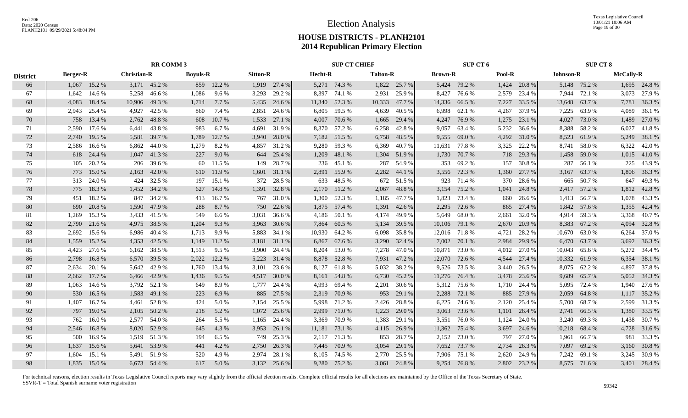Texas Legislative Council 10/01/21 10:06 AM Page 19 of 30

## **HOUSE DISTRICTS - PLANH2101 2014 Republican Primary Election**

|                 |                 | <b>RR COMM 3</b> |                    |              |                 |            |                 |              |         | <b>SUP CT CHIEF</b> |                 |               |                | SUP CT 6      |        |              |                  | <b>SUP CT 8</b> |                  |              |
|-----------------|-----------------|------------------|--------------------|--------------|-----------------|------------|-----------------|--------------|---------|---------------------|-----------------|---------------|----------------|---------------|--------|--------------|------------------|-----------------|------------------|--------------|
| <b>District</b> | <b>Berger-R</b> |                  | <b>Christian-R</b> |              | <b>Boyuls-R</b> |            | <b>Sitton-R</b> |              | Hecht-R |                     | <b>Talton-R</b> |               | <b>Brown-R</b> |               | Pool-R |              | <b>Johnson-R</b> |                 | <b>McCally-R</b> |              |
| 66              |                 | 1,067 15.2 %     |                    | 3,171 45.2 % |                 | 859 12.2 % |                 | 1,919 27.4 % |         | 5,271 74.3 %        |                 | 1,822 25.7 %  |                | 5,424 79.2 %  |        | 1,424 20.8 % |                  | 5,148 75.2 %    |                  | 1,695 24.8 % |
| 67              | 1,642           | 14.6 %           | 5,258              | 46.6 %       | 1,086           | 9.6 %      | 3,293           | 29.2 %       |         | 8,397 74.1 %        |                 | 2,931 25.9 %  | 8,427          | 76.6 %        | 2,579  | 23.4 %       | 7,944            | 72.1 %          |                  | 3,073 27.9 % |
| 68              | 4,083           | 18.4%            | 10,906             | 49.3%        | 1,714           | 7.7 %      |                 | 5,435 24.6 % |         | 11,340 52.3 %       |                 | 10,333 47.7 % | 14,336         | 66.5 %        | 7,227  | 33.5 %       |                  | 13,648 63.7 %   |                  | 7,781 36.3 % |
| 69              | 2,943           | 25.4 %           | 4,927              | 42.5 %       | 860             | 7.4 %      |                 | 2,851 24.6 % |         | 6,805 59.5 %        | 4,639           | 40.5 %        | 6,998          | 62.1 %        | 4,267  | 37.9 %       | 7,225            | 63.9%           |                  | 4,089 36.1 % |
| 70              | 758             | 13.4 %           | 2,762              | 48.8%        | 608             | 10.7 %     | 1,533           | 27.1 %       | 4,007   | 70.6 %              | 1,665           | 29.4 %        | 4,247          | 76.9 %        | 1,275  | 23.1 %       | 4,027            | 73.0 %          |                  | 1,489 27.0 % |
| 71              | 2,590           | 17.6 %           | 6,441              | 43.8%        | 983             | 6.7%       | 4,691           | 31.9%        |         | 8,370 57.2 %        | 6,258           | 42.8%         | 9,057          | 63.4 %        | 5,232  | 36.6 %       | 8,388            | 58.2 %          |                  | 6,027 41.8 % |
| 72              | 2,740           | 19.5 %           | 5,581              | 39.7 %       | 1,789           | 12.7 %     | 3,940           | 28.0 %       |         | 7,182 51.5 %        |                 | 6,758 48.5 %  | 9,555          | 69.0%         | 4,292  | 31.0 %       | 8,523            | 61.9%           |                  | 5,249 38.1 % |
| 73              | 2.586           | 16.6 %           | 6.862              | 44.0%        | 1.279           | 8.2%       | 4,857           | 31.2 %       |         | 9,280 59.3 %        | 6,369           | 40.7%         | 11,631         | 77.8%         | 3,325  | 22.2 %       | 8.741            | 58.0%           |                  | 6,322 42.0 % |
| 74              |                 | 618 24.4 %       | 1,047              | 41.3%        | 227             | 9.0%       | 644             | 25.4 %       | 1,209   | 48.1 %              |                 | 1,304 51.9 %  | 1,730          | 70.7 %        |        | 718 29.3 %   | 1,458            | 59.0%           |                  | 1,015 41.0 % |
| 75              | 105             | 20.2 %           | 206                | 39.6 %       | 60              | 11.5 %     | 149             | 28.7 %       |         | 236 45.1 %          |                 | 287 54.9 %    | 353            | 69.2%         | 157    | 30.8%        | 287              | 56.1 %          | 225              | 43.9%        |
| 76              | 773             | 15.0%            | 2,163              | 42.0 %       | 610             | 11.9 %     |                 | 1,601 31.1 % |         | 2,891 55.9 %        |                 | 2,282 44.1 %  | 3,556          | 72.3 %        | 1,360  | 27.7 %       | 3,167            | 63.7 %          |                  | 1,806 36.3 % |
| 77              |                 | 313 24.0 %       |                    | 424 32.5 %   | 197             | 15.1 %     |                 | 372 28.5 %   | 633     | 48.5 %              |                 | 672 51.5 %    | 923            | 71.4 %        | 370    | 28.6 %       | 665              | 50.7 %          |                  | 647 49.3 %   |
| 78              | 775             | 18.3%            |                    | 1,452 34.2 % | 627             | 14.8%      |                 | 1,391 32.8 % |         | 2,170 51.2 %        | 2,067           | 48.8%         | 3,154          | 75.2 %        | 1,041  | 24.8%        |                  | 2,417 57.2 %    |                  | 1,812 42.8 % |
| 79              | 451             | 18.2%            |                    | 847 34.2 %   | 413             | 16.7%      |                 | 767 31.0 %   |         | 1,300 52.3 %        | 1,185           | 47.7 %        | 1,823          | 73.4 %        | 660    | 26.6 %       | 1,413            | 56.7 %          |                  | 1,078 43.3 % |
| 80              | 690             | 20.8%            |                    | 1,590 47.9 % | 288             | 8.7 %      |                 | 750 22.6 %   |         | 1,875 57.4 %        |                 | 1,391 42.6 %  | 2,295          | 72.6 %        | 865    | 27.4 %       |                  | 1,842 57.6 %    |                  | 1,355 42.4 % |
| 81              | 1.269           | 15.3 %           |                    | 3,433 41.5 % | 549             | 6.6%       |                 | 3,031 36.6 % |         | 4,186 50.1 %        |                 | 4,174 49.9 %  |                | 5,649 68.0 %  | 2,661  | 32.0 %       |                  | 4,914 59.3 %    |                  | 3,368 40.7%  |
| 82              | 2,790           | 21.6 %           | 4,975              | 38.5 %       | 1,204           | 9.3%       | 3,963           | 30.6 %       |         | 7,864 60.5 %        |                 | 5,134 39.5 %  |                | 10,106 79.1 % |        | 2,670 20.9 % |                  | 8,383 67.2 %    |                  | 4,094 32.8 % |
| 83              | 2,692           | 15.6 %           | 6.986              | 40.4 %       | 1.713           | 9.9%       | 5,883           | 34.1 %       |         | 10,930 64.2 %       | 6,098           | 35.8%         |                | 12,016 71.8 % | 4,721  | 28.2 %       | 10,670           | 63.0%           |                  | 6,264 37.0 % |
| 84              | 1,559           | 15.2 %           | 4,353              | 42.5 %       | 1,149           | 11.2 %     |                 | 3,181 31.1 % | 6,867   | 67.6 %              |                 | 3,290 32.4 %  | 7,002          | 70.1 %        | 2,984  | 29.9 %       | 6,470            | 63.7 %          |                  | 3,692 36.3 % |
| 85              | 4,423           | 27.6 %           | 6,162              | 38.5 %       | 1,513           | 9.5 %      |                 | 3,900 24.4 % |         | 8,204 53.0 %        |                 | 7,278 47.0 %  | 10,871         | 73.0 %        | 4,012  | 27.0 %       | 10,043           | 65.6 %          |                  | 5,272 34.4 % |
| 86              | 2,798           | 16.8%            | 6,570              | 39.5 %       | 2,022           | 12.2 %     |                 | 5,223 31.4 % |         | 8,878 52.8 %        |                 | 7,931 47.2 %  | 12,070         | 72.6 %        | 4,544  | 27.4 %       |                  | 10,332 61.9 %   |                  | 6,354 38.1 % |
| 87              | 2.634           | 20.1 %           |                    | 5,642 42.9 % | 1,760           | 13.4 %     | 3,101           | 23.6 %       | 8,127   | 61.8%               |                 | 5,032 38.2 %  | 9,526          | 73.5 %        | 3,440  | 26.5 %       |                  | 8,075 62.2 %    |                  | 4,897 37.8 % |
| 88              | 2.662           | 17.7 %           | 6,466              | 42.9%        | 1,436           | 9.5 %      | 4,517           | 30.0 %       |         | 8,161 54.8 %        |                 | 6,730 45.2 %  | 11,276         | 76.4 %        | 3,478  | 23.6 %       | 9,689            | 65.7 %          |                  | 5,052 34.3 % |
| 89              | 1,063           | 14.6 %           | 3,792              | 52.1 %       | 649             | 8.9%       | 1,777           | 24.4 %       | 4,993   | 69.4 %              | 2,201           | 30.6 %        | 5,312          | 75.6 %        |        | 1,710 24.4 % | 5,095            | 72.4 %          |                  | 1,940 27.6 % |
| 90              | 530             | 16.5 %           | 1,583              | 49.1 %       | 223             | 6.9%       | 885             | 27.5 %       |         | 2,319 70.9 %        | 953             | 29.1 %        | 2,288          | 72.1 %        | 885    | 27.9 %       | 2,059            | 64.8%           |                  | 1,117 35.2 % |
| 91              | 1.407           | 16.7%            | 4,461              | 52.8%        | 424             | 5.0%       | 2,154           | 25.5 %       |         | 5,998 71.2 %        | 2,426           | 28.8%         | 6,225          | 74.6 %        | 2,120  | 25.4 %       | 5,700            | 68.7%           |                  | 2,599 31.3 % |
| 92              | 797             | 19.0 %           | 2,105              | 50.2 %       | 218             | 5.2 %      | 1,072           | 25.6 %       | 2,999   | 71.0 %              | 1,223           | 29.0 %        | 3,063          | 73.6 %        | 1,101  | 26.4 %       | 2,741            | 66.5%           |                  | 1,380 33.5 % |
| 93              | 762             | 16.0%            | 2,577              | 54.0%        | 264             | 5.5 %      | 1,165           | 24.4 %       | 3,369   | 70.9 %              | 1,383           | 29.1 %        | 3,551          | 76.0%         | 1,124  | 24.0 %       | 3,240            | 69.3%           |                  | 1,438 30.7 % |
| 94              | 2,546           | 16.8%            | 8,020              | 52.9%        | 645             | 4.3 %      |                 | 3,953 26.1 % | 11,181  | 73.1 %              |                 | 4,115 26.9 %  | 11,362         | 75.4 %        | 3,697  | 24.6 %       |                  | 10,218 68.4 %   |                  | 4,728 31.6 % |
| 95              | 500             | 16.9%            |                    | 1,519 51.3 % | 194             | 6.5 %      |                 | 749 25.3 %   |         | 2,117 71.3 %        |                 | 853 28.7 %    |                | 2,152 73.0 %  | 797    | 27.0 %       |                  | 1,961 66.7 %    |                  | 981 33.3 %   |
| 96              | 1,637           | 15.6 %           |                    | 5,641 53.9 % | 441             | 4.2 %      | 2,750           | 26.3 %       |         | 7,445 70.9 %        | 3,054           | 29.1 %        |                | 7,652 73.7 %  | 2,734  | 26.3 %       | 7,097            | 69.2 %          |                  | 3,160 30.8 % |
| 97              | 1.604           | 15.1 %           |                    | 5,491 51.9 % | 520             | 4.9%       | 2,974           | 28.1 %       | 8,105   | 74.5 %              | 2,770           | 25.5 %        | 7,906          | 75.1 %        | 2,620  | 24.9 %       | 7,242            | 69.1 %          |                  | 3,245 30.9 % |
| 98              |                 | 1,835 15.0 %     |                    | 6,673 54.4 % | 617             | 5.0 %      |                 | 3,132 25.6 % |         | 9,280 75.2 %        |                 | 3,061 24.8 %  |                | 9,254 76.8%   |        | 2,802 23.2 % |                  | 8,575 71.6 %    |                  | 3,401 28.4 % |
|                 |                 |                  |                    |              |                 |            |                 |              |         |                     |                 |               |                |               |        |              |                  |                 |                  |              |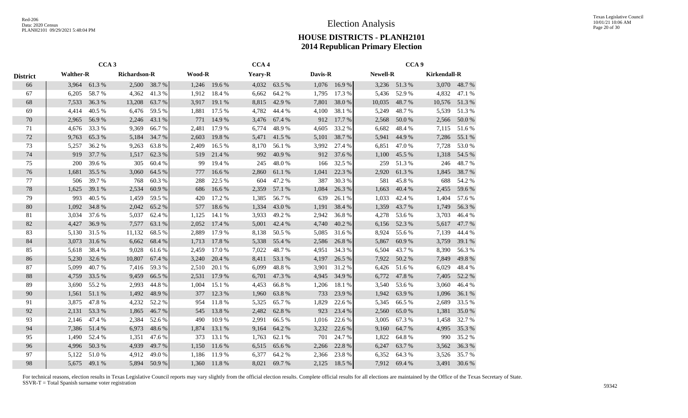|                 |                           | CCA <sub>3</sub> |                     |        |        |        | CCA <sub>4</sub> |        |         |        |                 | CCA <sub>9</sub> |                     |              |
|-----------------|---------------------------|------------------|---------------------|--------|--------|--------|------------------|--------|---------|--------|-----------------|------------------|---------------------|--------------|
| <b>District</b> | <b>Walther-R</b><br>3,964 |                  | <b>Richardson-R</b> |        | Wood-R |        | Yeary-R          |        | Davis-R |        | <b>Newell-R</b> |                  | <b>Kirkendall-R</b> |              |
| 66              |                           | 61.3%            | 2,500               | 38.7 % | 1,246  | 19.6 % | 4,032            | 63.5 % | 1,076   | 16.9%  |                 | 3,236 51.3 %     |                     | 3,070 48.7 % |
| 67              | 6,205                     | 58.7%            | 4,362               | 41.3%  | 1,912  | 18.4%  | 6,662            | 64.2%  | 1,795   | 17.3 % | 5,436           | 52.9%            | 4,832               | 47.1 %       |
| 68              | 7,533                     | 36.3%            | 13,208              | 63.7 % | 3,917  | 19.1 % | 8,815            | 42.9%  | 7,801   | 38.0%  | 10,035          | 48.7%            | 10,576              | 51.3%        |
| 69              | 4,414                     | 40.5 %           | 6,476               | 59.5 % | 1,881  | 17.5 % | 4,782            | 44.4 % | 4,100   | 38.1 % | 5,249           | 48.7%            | 5,539               | 51.3%        |
| 70              | 2,965                     | 56.9%            | 2,246               | 43.1 % | 771    | 14.9 % | 3,476            | 67.4 % | 912     | 17.7 % | 2,568           | 50.0%            | 2,566               | 50.0%        |
| 71              | 4,676                     | 33.3%            | 9,369               | 66.7%  | 2,481  | 17.9%  | 6,774            | 48.9%  | 4,605   | 33.2 % | 6,682           | 48.4%            | 7,115               | 51.6%        |
| $72\,$          | 9,763                     | 65.3%            | 5,184               | 34.7 % | 2,603  | 19.8%  | 5,471            | 41.5 % | 5,101   | 38.7%  | 5,941           | 44.9%            | 7,286               | 55.1 %       |
| 73              | 5,257                     | 36.2 %           | 9,263               | 63.8%  | 2,409  | 16.5 % | 8,170            | 56.1 % | 3,992   | 27.4 % | 6,851           | 47.0%            | 7,728               | 53.0%        |
| 74              | 919                       | 37.7 %           | 1,517               | 62.3 % | 519    | 21.4 % | 992              | 40.9%  | 912     | 37.6 % | 1,100           | 45.5 %           | 1,318               | 54.5 %       |
| 75              | 200                       | 39.6%            | 305                 | 60.4%  | 99     | 19.4 % | 245              | 48.0%  | 166     | 32.5 % | 259             | 51.3%            | 246                 | 48.7%        |
| 76              | 1,681                     | 35.5 %           | 3,060               | 64.5 % | 777    | 16.6 % | 2,860            | 61.1 % | 1,041   | 22.3 % | 2,920           | 61.3%            | 1,845               | 38.7%        |
| 77              | 506                       | 39.7 %           | 768                 | 60.3%  | 288    | 22.5 % | 604              | 47.2 % | 387     | 30.3 % | 581             | 45.8%            | 688                 | 54.2 %       |
| 78              | 1,625                     | 39.1 %           | 2,534               | 60.9%  | 686    | 16.6%  | 2,359            | 57.1 % | 1,084   | 26.3%  | 1,663           | 40.4 %           | 2,455               | 59.6%        |
| 79              | 993                       | 40.5 %           | 1,459               | 59.5 % | 420    | 17.2 % | 1,385            | 56.7%  | 639     | 26.1%  | 1,033           | 42.4 %           | 1,404               | 57.6%        |
| 80              | 1,092                     | 34.8%            | 2,042               | 65.2%  | 577    | 18.6%  | 1,334            | 43.0%  | 1,191   | 38.4 % | 1,359           | 43.7%            | 1,749               | 56.3%        |
| 81              | 3,034                     | 37.6 %           | 5,037               | 62.4 % | 1,125  | 14.1 % | 3,933            | 49.2 % | 2,942   | 36.8%  | 4,278           | 53.6 %           | 3,703               | 46.4%        |
| 82              | 4,427                     | 36.9%            | 7,577               | 63.1 % | 2,052  | 17.4 % | 5,001            | 42.4 % | 4,740   | 40.2 % | 6,156           | 52.3 %           | 5,617               | 47.7 %       |
| 83              | 5,130                     | 31.5%            | 11,132              | 68.5%  | 2,889  | 17.9%  | 8,138            | 50.5%  | 5,085   | 31.6 % | 8,924           | 55.6%            | 7,139               | 44.4 %       |
| 84              | 3,073                     | 31.6 %           | 6,662               | 68.4 % | 1,713  | 17.8 % | 5,338            | 55.4 % | 2,586   | 26.8%  | 5,867           | 60.9%            | 3,759               | 39.1 %       |
| 85              | 5,618                     | 38.4 %           | 9,028               | 61.6 % | 2,459  | 17.0%  | 7,022            | 48.7%  | 4,951   | 34.3 % | 6,504           | 43.7 %           | 8,390               | 56.3%        |
| 86              | 5,230                     | 32.6 %           | 10,807              | 67.4 % | 3,240  | 20.4 % | 8,411            | 53.1 % | 4,197   | 26.5 % | 7,922           | 50.2%            | 7,849               | 49.8%        |
| $87\,$          | 5,099                     | 40.7%            | 7,416               | 59.3%  | 2,510  | 20.1 % | 6,099            | 48.8%  | 3,901   | 31.2 % | 6,426           | 51.6%            | 6,029               | 48.4%        |
| $88\,$          | 4,759                     | 33.5 %           | 9,459               | 66.5 % | 2,531  | 17.9 % | 6,701            | 47.3 % | 4,945   | 34.9 % | 6,772           | 47.8%            | 7,405               | 52.2 %       |
| 89              | 3,690                     | 55.2 %           | 2,993               | 44.8%  | 1,004  | 15.1 % | 4,453            | 66.8%  | 1,206   | 18.1%  | 3,540           | 53.6%            | 3,060               | 46.4%        |
| 90              | 1,561                     | 51.1%            | 1,492               | 48.9%  | 377    | 12.3 % | 1,960            | 63.8%  | 733     | 23.9%  | 1,942           | 63.9%            | 1,096               | 36.1 %       |
| 91              | 3,875                     | 47.8%            | 4,232               | 52.2%  | 954    | 11.8%  | 5,325            | 65.7%  | 1,829   | 22.6 % | 5,345           | 66.5%            | 2,689               | 33.5 %       |
| 92              | 2,131                     | 53.3 %           | 1,865               | 46.7%  | 545    | 13.8%  | 2,482            | 62.8%  | 923     | 23.4 % | 2,560           | 65.0%            | 1,381               | 35.0%        |
| 93              | 2,146                     | 47.4 %           | 2,384               | 52.6 % | 490    | 10.9%  | 2,991            | 66.5 % | 1,016   | 22.6 % | 3,005           | 67.3 %           | 1,458               | 32.7 %       |
| 94              | 7,386                     | 51.4 %           | 6,973               | 48.6%  | 1,874  | 13.1 % | 9,164            | 64.2 % | 3,232   | 22.6 % | 9,160           | 64.7%            | 4,995               | 35.3 %       |
| 95              | 1,490                     | 52.4 %           | 1,351               | 47.6 % | 373    | 13.1 % | 1,763            | 62.1 % | 701     | 24.7%  | 1,822           | 64.8%            | 990                 | 35.2%        |
| 96              | 4,996                     | 50.3%            | 4,939               | 49.7 % | 1,150  | 11.6 % | 6,515            | 65.6%  | 2,266   | 22.8 % | 6,247           | 63.7%            | 3,562               | 36.3%        |
| 97              | 5,122                     | 51.0%            | 4,912               | 49.0%  | 1,186  | 11.9%  | 6,377            | 64.2%  | 2,366   | 23.8%  | 6,352           | 64.3 %           | 3,526               | 35.7%        |
| 98              | 5,675                     | 49.1 %           | 5,894               | 50.9%  | 1,360  | 11.8%  | 8,021            | 69.7%  | 2,125   | 18.5 % | 7,912           | 69.4 %           | 3,491               | 30.6 %       |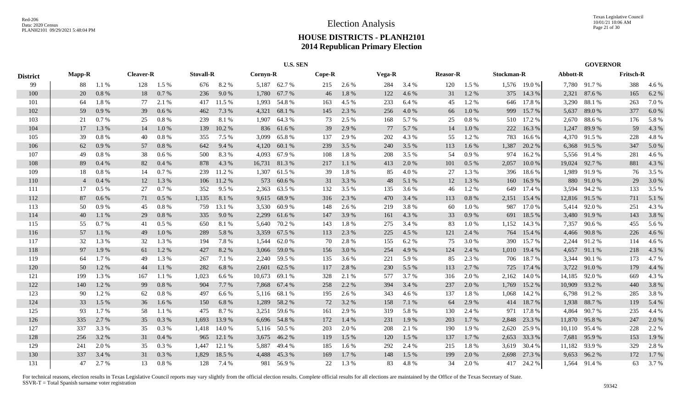|                 |                |       |                  |         |                  |        |          | <b>U.S. SEN</b> |        |       |        |       |                 |           |                   |              |          | <b>GOVERNOR</b> |                  |       |
|-----------------|----------------|-------|------------------|---------|------------------|--------|----------|-----------------|--------|-------|--------|-------|-----------------|-----------|-------------------|--------------|----------|-----------------|------------------|-------|
| <b>District</b> | <b>Mapp-R</b>  |       | <b>Cleaver-R</b> |         | <b>Stovall-R</b> |        | Cornyn-R |                 | Cope-R |       | Vega-R |       | <b>Reasor-R</b> |           | <b>Stockman-R</b> |              | Abbott-R |                 | <b>Fritsch-R</b> |       |
| 99              | 88             | 1.1%  | 128              | 1.5 %   | 676              | 8.2%   |          | 5,187 62.7%     | 215    | 2.6 % | 284    | 3.4 % | 120             | 1.5 %     |                   | 1,576 19.0 % |          | 7,780 91.7%     | 388              | 4.6 % |
| 100             | 20             | 0.8%  | 18               | 0.7%    | 236              | 9.0%   | 1,780    | 67.7 %          | 46     | 1.8 % | 122    | 4.6 % | 31              | 1.2%      | 375               | 14.3 %       | 2,321    | 87.6 %          | 165              | 6.2%  |
| 101             | 64             | 1.8%  | 77               | 2.1 %   | 417              | 11.5 % | 1,993    | 54.8%           | 163    | 4.5 % | 233    | 6.4 % | 45              | 1.2%      | 646               | 17.8%        | 3,290    | 88.1%           | 263              | 7.0 % |
| 102             | 59             | 0.9%  | 39               | 0.6 %   | 462              | 7.3 %  | 4,321    | 68.1 %          | 145    | 2.3 % | 256    | 4.0 % | 66              | 1.0%      | 999               | 15.7 %       | 5,637    | 89.0%           | 377              | 6.0%  |
| 103             | 21             | 0.7%  | 25               | 0.8 %   | 239              | 8.1 %  | 1,907    | 64.3 %          | 73     | 2.5 % | 168    | 5.7 % | 25              | 0.8 %     | 510               | 17.2 %       | 2,670    | 88.6%           | 176              | 5.8%  |
| 104             | 17             | 1.3%  | 14               | 1.0%    | 139              | 10.2 % | 836      | 61.6%           | 39     | 2.9%  | 77     | 5.7%  | 14              | 1.0%      | 222               | 16.3%        | 1,247    | 89.9%           | 59               | 4.3 % |
| 105             | 39             | 0.8%  | 40               | 0.8%    | 355              | 7.5 %  | 3,099    | 65.8%           | 137    | 2.9%  | 202    | 4.3 % | 55              | 1.2%      | 783               | 16.6%        |          | 4,370 91.5 %    | 228              | 4.8%  |
| 106             | 62             | 0.9%  | 57               | 0.8 %   | 642              | 9.4 %  |          | 4,120 60.1 %    | 239    | 3.5 % | 240    | 3.5 % | 113             | 1.6 %     | 1,387             | 20.2 %       |          | 6,368 91.5 %    | 347              | 5.0%  |
| 107             | 49             | 0.8%  | 38               | 0.6 %   | 500              | 8.3%   | 4,093    | 67.9 %          | 108    | 1.8%  | 208    | 3.5 % | 54              | 0.9%      | 974               | 16.2%        |          | 5,556 91.4 %    | 281              | 4.6%  |
| 108             | 89             | 0.4%  | 82               | 0.4%    | 878              | 4.3 %  | 16,731   | 81.3%           | 217    | 1.1%  | 413    | 2.0%  | 101             | $0.5\ \%$ | 2,057             | 10.0%        | 19,024   | 92.7 %          | 881              | 4.3 % |
| 109             | 18             | 0.8%  | 14               | 0.7%    | 239              | 11.2 % | 1,307    | 61.5%           | 39     | 1.8%  | 85     | 4.0%  | 27              | 1.3%      | 396               | 18.6%        | 1,989    | 91.9%           | 76               | 3.5 % |
| 110             | $\overline{4}$ | 0.4%  | 12               | 1.3 %   | 106              | 11.2 % |          | 573 60.6%       | 31     | 3.3 % | 48     | 5.1 % | 12              | 1.3%      | 160               | 16.9%        |          | 880 91.0 %      | 29               | 3.0 % |
| 111             | 17             | 0.5%  | 27               | 0.7%    | 352              | 9.5 %  | 2,363    | 63.5 %          | 132    | 3.5 % | 135    | 3.6 % | 46              | 1.2%      | 649               | 17.4 %       |          | 3,594 94.2 %    | 133              | 3.5 % |
| 112             | 87             | 0.6%  | 71               | 0.5%    | 1,135            | 8.1 %  |          | 9,615 68.9%     | 316    | 2.3 % | 470    | 3.4 % | 113             | 0.8 %     | 2,151             | 15.4 %       |          | 12,816 91.5 %   | 711              | 5.1 % |
| 113             | 50             | 0.9%  | 45               | 0.8%    | 759              | 13.1 % | 3,530    | 60.9%           | 148    | 2.6 % | 219    | 3.8%  | 60              | 1.0%      | 987               | 17.0%        |          | 5,414 92.0 %    | 251              | 4.3 % |
| 114             | 40             | 1.1 % | 29               | 0.8 %   | 335              | 9.0 %  | 2,299    | 61.6%           | 147    | 3.9%  | 161    | 4.3 % | 33              | 0.9%      | 691               | 18.5 %       |          | 3,480 91.9 %    | 143              | 3.8%  |
| 115             | 55             | 0.7 % | 41               | $0.5\%$ | 650              | 8.1 %  |          | 5,640 70.2 %    | 143    | 1.8%  | 275    | 3.4 % | 83              | 1.0%      | 1,152             | 14.3 %       |          | 7,357 90.6 %    | 455              | 5.6 % |
| 116             | 57             | 1.1 % | 49               | 1.0%    | 289              | 5.8 %  | 3,359    | 67.5 %          | 113    | 2.3 % | 225    | 4.5 % | 121             | 2.4 %     | 764               | 15.4 %       | 4,466    | 90.8%           | 226              | 4.6 % |
| 117             | 32             | 1.3%  | 32               | 1.3%    | 194              | 7.8%   | 1,544    | 62.0%           | 70     | 2.8%  | 155    | 6.2 % | 75              | 3.0 %     | 390               | 15.7 %       | 2,244    | 91.2%           | 114              | 4.6 % |
| 118             | 97             | 1.9%  | 61               | 1.2 %   | 427              | 8.2 %  |          | 3,066 59.0 %    | 156    | 3.0 % | 254    | 4.9 % | 124             | 2.4 %     | 1,010             | 19.4 %       |          | 4,657 91.1 %    | 218              | 4.3 % |
| 119             | 64             | 1.7%  | 49               | 1.3 %   | 267              | 7.1 %  | 2,240    | 59.5 %          | 135    | 3.6 % | 221    | 5.9%  | 85              | 2.3 %     | 706               | 18.7%        |          | 3,344 90.1 %    | 173              | 4.7%  |
| 120             | 50             | 1.2%  | 44               | 1.1 %   | 282              | 6.8%   | 2,601    | 62.5 %          | 117    | 2.8%  | 230    | 5.5 % | 113             | 2.7 %     | 725               | 17.4 %       |          | 3,722 91.0 %    | 179              | 4.4 % |
| 121             | 199            | 1.3%  | 167              | 1.1 %   | 1,023            | 6.6 %  | 10,673   | 69.1 %          | 328    | 2.1 % | 577    | 3.7%  | 316             | 2.0 %     | 2,162             | 14.0%        | 14,185   | 92.0%           | 669              | 4.3 % |
| 122             | 140            | 1.2%  | 99               | 0.8 %   | 904              | 7.7 %  | 7,868    | 67.4 %          | 258    | 2.2 % | 394    | 3.4 % | 237             | 2.0%      | 1,769             | 15.2 %       | 10,909   | 93.2 %          | 440              | 3.8%  |
| 123             | -90            | 1.2%  | 62               | 0.8%    | 497              | 6.6 %  |          | 5,116 68.1 %    | 195    | 2.6 % | 343    | 4.6 % | 137             | 1.8%      | 1,068             | 14.2 %       |          | 6,798 91.2 %    | 285              | 3.8%  |
| 124             | 33             | 1.5 % | 36               | 1.6 %   | 150              | 6.8%   | 1,289    | 58.2 %          | 72     | 3.2%  | 158    | 7.1 % | 64              | 2.9 %     | 414               | 18.7%        | 1,938    | 88.7%           | 119              | 5.4 % |
| 125             | 93             | 1.7%  | 58               | 1.1 %   | 475              | 8.7%   | 3,251    | 59.6%           | 161    | 2.9%  | 319    | 5.8%  | 130             | 2.4 %     | 971               | 17.8 %       | 4,864    | 90.7%           | 235              | 4.4 % |
| 126             | 335            | 2.7 % | 35               | 0.3 %   | 1,693            | 13.9 % |          | 6,696 54.8 %    | 172    | 1.4 % | 231    | 1.9%  | 203             | 1.7%      | 2,848             | 23.3 %       | 11,870   | 95.8%           | 247              | 2.0 % |
| 127             | 337            | 3.3 % | 35               | $0.3\%$ | 1,418            | 14.0 % |          | 5,116 50.5 %    | 203    | 2.0 % | 208    | 2.1 % | 190             | 1.9%      | 2,620             | 25.9%        |          | 10,110 95.4 %   | 228              | 2.2 % |
| 128             | 256            | 3.2 % | 31               | 0.4%    | 965              | 12.1 % |          | 3,675 46.2 %    | 119    | 1.5 % | 120    | 1.5 % | 137             | 1.7%      | 2,653             | 33.3 %       | 7,681    | 95.9%           | 153              | 1.9%  |
| 129             | 241            | 2.0%  | 35               | 0.3%    | 1.447            | 12.1 % | 5,887    | 49.4 %          | 185    | 1.6 % | 292    | 2.4 % | 215             | 1.8%      | 3,619             | 30.4 %       | 11,182   | 93.9%           | 329              | 2.8%  |
| 130             | 337            | 3.4 % | 31               | 0.3%    | 1,829            | 18.5 % | 4,488    | 45.3 %          | 169    | 1.7%  | 148    | 1.5 % | 199             | 2.0%      | 2,698             | 27.3 %       |          | 9,653 96.2 %    | 172              | 1.7%  |
| 131             | 47             | 2.7 % | 13               | 0.8%    | 128              | 7.4 %  |          | 981 56.9%       | 22     | 1.3 % | 83     | 4.8%  | 34              | 2.0 %     |                   | 417 24.2 %   |          | 1,564 91.4 %    | 63               | 3.7 % |
|                 |                |       |                  |         |                  |        |          |                 |        |       |        |       |                 |           |                   |              |          |                 |                  |       |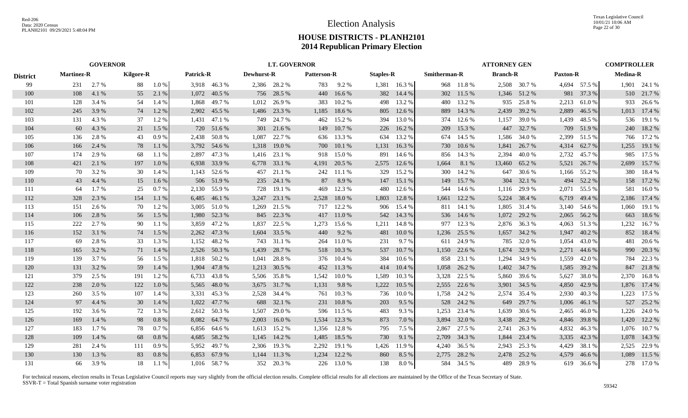|                 | <b>GOVERNOR</b>   |         |                  |         |                  |              | <b>LT. GOVERNOR</b> |              |                    |        |                  |              |              | <b>ATTORNEY GEN</b> |                 |              |                 | <b>COMPTROLLER</b> |                 |              |
|-----------------|-------------------|---------|------------------|---------|------------------|--------------|---------------------|--------------|--------------------|--------|------------------|--------------|--------------|---------------------|-----------------|--------------|-----------------|--------------------|-----------------|--------------|
| <b>District</b> | <b>Martinez-R</b> |         | <b>Kilgore-R</b> |         | <b>Patrick-R</b> |              | Dewhurst-R          |              | <b>Patterson-R</b> |        | <b>Staples-R</b> |              | Smitherman-R |                     | <b>Branch-R</b> |              | <b>Paxton-R</b> |                    | <b>Medina-R</b> |              |
| 99              | 231               | 2.7 %   | 88               | 1.0%    |                  | 3,918 46.3 % |                     | 2,386 28.2 % | 783                | 9.2 %  |                  | 1,381 16.3 % |              | 968 11.8 %          |                 | 2,508 30.7 % |                 | 4,694 57.5 %       |                 | 1,901 24.1 % |
| 100             | 108               | 4.1 %   | 55               | 2.1 %   | 1,072            | 40.5 %       |                     | 756 28.5 %   | 440                | 16.6 % |                  | 382 14.4 %   |              | 302 11.5 %          | 1,346           | 51.2 %       | 981             | 37.3 %             | 510             | 21.7 %       |
| 101             | 128               | 3.4 %   | 54               | 1.4 %   | 1,868            | 49.7%        | 1,012               | 26.9%        | 383                | 10.2 % | 498              | 13.2 %       | 480          | 13.2 %              | 935             | 25.8%        | 2,213           | 61.0 %             | 933             | 26.6 %       |
| 102             | 245               | 3.9%    | 74               | 1.2%    | 2,902            | 45.5 %       | 1,486               | 23.3 %       | 1,185              | 18.6 % | 805              | 12.6%        | 889          | 14.3 %              | 2,439           | 39.2 %       | 2,889           | 46.5 %             | 1,013           | 17.4 %       |
| 103             | 131               | 4.3 %   | 37               | 1.2%    | 1,431            | 47.1 %       | 749                 | 24.7 %       | 462                | 15.2 % | 394              | 13.0 %       | 374          | 12.6 %              | 1,157           | 39.0 %       | 1,439           | 48.5 %             |                 | 536 19.1 %   |
| 104             | 60                | 4.3 %   | 21               | 1.5 %   | 720              | 51.6 %       | 301                 | 21.6 %       | 149                | 10.7%  | 226              | 16.2%        | 209          | 15.3 %              | 447             | 32.7 %       | 709             | 51.9%              |                 | 240 18.2 %   |
| 105             | 136               | 2.8 %   | 43               | 0.9%    | 2,438            | 50.8%        | 1,087               | 22.7 %       | 636                | 13.3 % | 634              | 13.2 %       | 674          | 14.5 %              | 1,586           | 34.0 %       | 2,399           | 51.5 %             |                 | 766 17.2 %   |
| 106             | 166               | 2.4 %   | 78               | 1.1 %   | 3,792            | 54.6 %       | 1,318               | 19.0 %       | 700                | 10.1%  | 1,131            | 16.3 %       | 730          | 10.6%               | 1,841           | 26.7 %       | 4,314           | 62.7 %             |                 | 1,255 19.1 % |
| 107             | 174               | 2.9 %   | 68               | 1.1 %   | 2,897            | 47.3 %       | 1,416               | 23.1 %       | 918                | 15.0%  | 891              | 14.6 %       | 856          | 14.3 %              | 2,394           | 40.0%        | 2,732           | 45.7 %             | 985             | 17.5 %       |
| 108             | 421               | 2.1 %   | 197              | $1.0\%$ | 6,938            | 33.9%        | 6,778               | 33.1 %       | 4,191              | 20.5 % | 2,575            | 12.6 %       | 1,664        | 8.1 %               | 13,460          | 65.2 %       | 5,521           | 26.7 %             | 2,699           | 15.7 %       |
| 109             | 70                | 3.2 %   | 30               | 1.4 %   | 1,143            | 52.6 %       | 457                 | 21.1 %       | 242                | 11.1 % | 329              | 15.2 %       | 300          | 14.2 %              | 647             | 30.6 %       | 1,166           | 55.2 %             | 380             | 18.4 %       |
| 110             | 43                | 4.4 %   | 15               | 1.6 %   | 506              | 51.9%        | 235                 | 24.1 %       | 87                 | 8.9%   | 147              | 15.1 %       | 149          | 15.7 %              | 304             | 32.1 %       | 494             | 52.2 %             | 158             | 17.2 %       |
| 111             | 64                | 1.7 %   | 25               | 0.7%    | 2,130            | 55.9%        | 728                 | 19.1 %       | 469                | 12.3 % | 480              | 12.6 %       | 544          | 14.6 %              | 1,116           | 29.9 %       | 2,071           | 55.5 %             | 581             | 16.0%        |
| 112             | 328               | 2.3 %   | 154              | 1.1%    | 6,485            | 46.1 %       | 3,247               | 23.1 %       | 2,528              | 18.0%  | 1,803            | 12.8 %       | 1,661        | 12.2 %              | 5,224           | 38.4 %       | 6,719           | 49.4 %             | 2,186           | 17.4 %       |
| 113             | 151               | 2.6 %   | 70               | 1.2%    | 3,005            | 51.0%        | 1,269               | 21.5 %       | 717                | 12.2 % | 906              | 15.4 %       | 811          | 14.1 %              | 1,805           | 31.4 %       | 3,140           | 54.6 %             | 1,060           | 19.1 %       |
| 114             | 106               | 2.8 %   | 56               | 1.5 %   | 1,980            | 52.3 %       |                     | 845 22.3 %   | 417                | 11.0 % | 542              | 14.3 %       |              | 536 14.6 %          | 1,072           | 29.2 %       | 2,065           | 56.2 %             | 663             | 18.6%        |
| 115             | 222               | 2.7 %   | 90               | 1.1 %   | 3,859            | 47.2 %       | 1,837               | 22.5 %       | 1,273              | 15.6 % | 1,211            | 14.8 %       | 977          | 12.3 %              | 2,876           | 36.3 %       | 4,063           | 51.3%              | 1,232           | 16.7%        |
| 116             | 152               | 3.1 %   | 74               | 1.5 %   | 2,262            | 47.3 %       | 1,604               | 33.5 %       | 440                | 9.2 %  | 481              | 10.0%        | 1,236        | 25.5 %              | 1,657           | 34.2 %       | 1,947           | 40.2 %             | 852             | 18.4 %       |
| 117             | 69                | 2.8 %   | 33               | 1.3 %   | 1,152            | 48.2%        | 743                 | 31.1 %       | 264                | 11.0%  | 231              | 9.7%         | 611          | 24.9 %              | 785             | 32.0 %       | 1,054           | 43.0 %             | 481             | 20.6 %       |
| 118             | 165               | 3.2 %   | 71               | 1.4 %   | 2,526            | 50.3 %       | 1,439               | 28.7 %       | 518                | 10.3 % | 537              | 10.7 %       | 1,150        | 22.6 %              | 1,674           | 32.9 %       | 2,271           | 44.6 %             | 990             | 20.3 %       |
| 119             | 139               | 3.7 %   | 56               | 1.5 %   | 1,818            | 50.2 %       | 1,041               | 28.8%        | 376                | 10.4 % | 384              | 10.6%        | 858          | 23.1 %              | 1,294           | 34.9 %       | 1,559           | 42.0 %             | 784             | 22.3 %       |
| 120             | 131               | 3.2 %   | 59               | 1.4 %   | 1,904            | 47.8%        | 1,213               | 30.5 %       | 452                | 11.3 % | 414              | 10.4%        | 1,058        | 26.2 %              | 1,402           | 34.7 %       | 1,585           | 39.2 %             | 847             | 21.8%        |
| 121             | 379               | 2.5 %   | 191              | 1.2%    | 6,733            | 43.8%        | 5,506               | 35.8%        | 1,542              | 10.0%  | 1,589            | 10.3 %       | 3,328        | 22.5 %              | 5,860           | 39.6 %       | 5,627           | 38.0%              | 2,370           | 16.8%        |
| 122             | 238               | 2.0 %   | 122              | 1.0%    | 5,565            | 48.0%        | 3,675               | 31.7 %       | 1,131              | 9.8%   | 1,222            | 10.5 %       | 2,555        | 22.6 %              | 3,901           | 34.5 %       | 4,850           | 42.9 %             |                 | 1,876 17.4 % |
| 123             | 260               | 3.5 %   | 107              | 1.4 %   | 3,331            | 45.3 %       | 2,528               | 34.4 %       | 761                | 10.3 % | 736              | 10.0 %       | 1,758        | 24.2 %              | 2,574           | 35.4 %       | 2,930           | 40.3 %             | 1,223           | 17.5 %       |
| 124             | 97                | 4.4 %   | 30               | 1.4 %   | 1,022            | 47.7 %       | 688                 | 32.1 %       | 231                | 10.8%  | 203              | 9.5 %        | 528          | 24.2 %              | 649             | 29.7 %       | 1,006           | 46.1 %             | 527             | 25.2 %       |
| 125             | 192               | 3.6 %   | 72               | 1.3 %   | 2,612            | 50.3%        | 1,507               | 29.0 %       | 596                | 11.5 % | 483              | 9.3%         | 1,253        | 23.4 %              | 1,639           | 30.6 %       | 2,465           | 46.0 %             | 1,226           | 24.0 %       |
| 126             | 169               | 1.4 %   | 98               | 0.8 %   | 8,082            | 64.7%        | 2,003               | 16.0%        | 1,534              | 12.3 % | 873              | 7.0 %        | 3,894        | 32.0 %              | 3,438           | 28.2 %       | 4,846           | 39.8%              |                 | 1,420 12.2 % |
| 127             | 183               | $1.7\%$ | 78               | 0.7%    | 6,856            | 64.6 %       |                     | 1,613 15.2 % | 1,356              | 12.8%  | 795              | 7.5 %        | 2,867        | 27.5 %              | 2,741           | 26.3 %       | 4,832           | 46.3%              |                 | 1,076 10.7 % |
| 128             | 109               | 1.4 %   | 68               | 0.8%    | 4,685            | 58.2 %       | 1,145               | 14.2 %       | 1,485              | 18.5 % | 730              | 9.1 %        | 2,709        | 34.3 %              | 1,844           | 23.4 %       | 3,335           | 42.3 %             | 1,078           | 14.3 %       |
| 129             | 281               | 2.4 %   | 111              | 0.9%    | 5,952            | 49.7 %       |                     | 2,306 19.3 % | 2,292              | 19.1 % | 1,426            | 11.9 %       | 4,240        | 36.5 %              | 2,943           | 25.3 %       | 4,429           | 38.1 %             | 2,525           | 22.9 %       |
| 130             | 130               | 1.3 %   | 83               | 0.8%    | 6,853            | 67.9%        | 1,144               | 11.3 %       | 1,234              | 12.2 % | 860              | 8.5 %        | 2,775        | 28.2 %              | 2,478           | 25.2 %       | 4,579           | 46.6 %             | 1,089           | 11.5 %       |
| 131             | 66                | 3.9 %   | 18               | 1.1 %   |                  | 1,016 58.7 % |                     | 352 20.3 %   | 226                | 13.0 % | 138              | 8.0%         | 584          | 34.5 %              | 489             | 28.9%        | 619             | 36.6 %             |                 | 278 17.0 %   |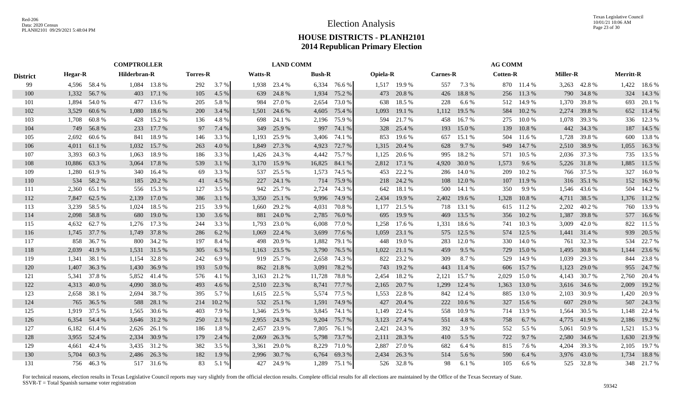|                 |                | <b>COMPTROLLER</b> |              |              |                 |        |                | <b>LAND COMM</b> |               |              |                 |              |                 |        | <b>AG COMM</b>  |            |                 |              |                  |              |
|-----------------|----------------|--------------------|--------------|--------------|-----------------|--------|----------------|------------------|---------------|--------------|-----------------|--------------|-----------------|--------|-----------------|------------|-----------------|--------------|------------------|--------------|
| <b>District</b> | <b>Hegar-R</b> |                    | Hilderbran-R |              | <b>Torres-R</b> |        | <b>Watts-R</b> |                  | <b>Bush-R</b> |              | <b>Opiela-R</b> |              | <b>Carnes-R</b> |        | <b>Cotten-R</b> |            | <b>Miller-R</b> |              | <b>Merritt-R</b> |              |
| 99              |                | 4,596 58.4 %       |              | 1,084 13.8 % | 292             | 3.7%   |                | 1,938 23.4 %     |               | 6,334 76.6 % |                 | 1,517 19.9 % | 557             | 7.3 %  |                 | 870 11.4 % |                 | 3,263 42.8 % |                  | 1,422 18.6 % |
| 100             | 1,332          | 56.7 %             | 403          | 17.1 %       | 105             | 4.5 %  | 639            | 24.8%            | 1,934         | 75.2 %       |                 | 473 20.8 %   | 426             | 18.8%  | 256             | 11.3 %     | 790             | 34.8%        | 324              | 14.3 %       |
| 101             | 1,894          | 54.0%              | 477          | 13.6 %       | 205             | 5.8 %  | 984            | 27.0 %           | 2,654         | 73.0 %       | 638             | 18.5 %       | 228             | 6.6 %  | 512             | 14.9 %     | 1,370           | 39.8%        | 693              | 20.1 %       |
| 102             | 3,529          | 60.6 %             | 1,080        | 18.6%        | 200             | 3.4 %  | 1,501          | 24.6 %           | 4,605         | 75.4 %       | 1,093           | 19.1 %       | 1,112           | 19.5 % | 584             | 10.2 %     | 2,274           | 39.8%        |                  | 652 11.4 %   |
| 103             | 1,708          | 60.8%              | 428          | 15.2 %       | 136             | 4.8%   | 698            | 24.1 %           | 2,196         | 75.9 %       | 594             | 21.7%        | 458             | 16.7%  | 275             | 10.0%      | 1,078           | 39.3 %       |                  | 336 12.3 %   |
| 104             | 749            | 56.8%              | 233          | 17.7 %       | 97              | 7.4 %  | 349            | 25.9 %           | 997           | 74.1 %       | 328             | 25.4 %       | 193             | 15.0%  | 139             | 10.8 %     | 442             | 34.3 %       |                  | 187 14.5 %   |
| 105             | 2,692          | 60.6%              | 841          | 18.9%        | 146             | 3.3 %  | 1,193          | 25.9%            | 3,406         | 74.1 %       | 853             | 19.6%        | 657             | 15.1 % | 504             | 11.6 %     | 1,728           | 39.8%        | 600              | 13.8%        |
| 106             | 4,011          | 61.1 %             | 1,032        | 15.7 %       | 263             | 4.0 %  | 1,849          | 27.3 %           | 4,923         | 72.7 %       |                 | 1,315 20.4 % | 628             | 9.7%   |                 | 949 14.7 % | 2,510           | 38.9%        | 1,055            | 16.3%        |
| 107             | 3,393          | 60.3%              | 1,063        | 18.9%        | 186             | 3.3 %  | 1,426          | 24.3 %           | 4,442         | 75.7 %       | 1,125           | 20.6 %       | 995             | 18.2 % | 571             | 10.5 %     | 2,036           | 37.3 %       |                  | 735 13.5 %   |
| 108             | 10,886         | 63.3 %             | 3,064        | 17.8 %       | 539             | 3.1 %  | 3,170          | 15.9 %           | 16,825        | 84.1 %       |                 | 2,812 17.1 % | 4,920           | 30.0 % | 1,573           | 9.6 %      | 5,226           | 31.8%        | 1,885            | 11.5 %       |
| 109             | 1,280          | 61.9%              | 340          | 16.4 %       | 69              | 3.3 %  | 537            | 25.5 %           | 1,573         | 74.5 %       | 453             | 22.2 %       | 286             | 14.0 % | 209             | 10.2%      | 766             | 37.5 %       | 327              | 16.0%        |
| 110             | 534            | 58.2 %             | 185          | 20.2 %       | 41              | 4.5 %  | 227            | 24.1 %           | 714           | 75.9 %       |                 | 218 24.2 %   | 108             | 12.0 % | 107             | 11.9 %     | 316             | 35.1 %       |                  | 152 16.9 %   |
| 111             | 2,360          | 65.1 %             |              | 556 15.3 %   | 127             | 3.5 %  | 942            | 25.7 %           | 2,724         | 74.3 %       | 642             | 18.1 %       | 500             | 14.1 % | 350             | 9.9%       | 1,546           | 43.6 %       |                  | 504 14.2 %   |
| 112             | 7,847          | 62.5 %             | 2,139        | 17.0 %       | 386             | 3.1 %  | 3,350          | 25.1 %           | 9,996         | 74.9 %       | 2,434           | 19.9%        | 2,402           | 19.6 % | 1,328           | 10.8 %     | 4,711           | 38.5 %       | 1,376            | 11.2 %       |
| 113             |                | 3,239 58.5 %       | 1,024        | 18.5 %       | 215             | 3.9%   | 1,660          | 29.2 %           | 4,031         | 70.8%        |                 | 1,177 21.5 % | 718             | 13.1 % |                 | 615 11.2 % | 2,202           | 40.2%        | 760              | 13.9%        |
| 114             |                | 2,098 58.8 %       | 680          | 19.0 %       | 130             | 3.6%   |                | 881 24.0 %       | 2,785         | 76.0%        | 695             | 19.9%        | 469             | 13.5 % |                 | 356 10.2 % | 1,387           | 39.8%        |                  | 577 16.6 %   |
| 115             | 4,632          | 62.7 %             |              | 1,276 17.3 % | 244             | 3.3 %  | 1,793          | 23.0 %           | 6,008         | 77.0 %       |                 | 1,258 17.6 % | 1,331           | 18.6 % |                 | 741 10.3 % | 3,009           | 42.0%        |                  | 822 11.5 %   |
| 116             |                | 1,745 37.7 %       | 1,749        | 37.8 %       | 286             | 6.2 %  | 1,069          | 22.4 %           | 3,699         | 77.6 %       | 1,059           | 23.1 %       | 575             | 12.5 % |                 | 574 12.5 % | 1,441           | 31.4 %       | 939              | 20.5 %       |
| 117             | 858            | 36.7%              | 800          | 34.2 %       | 197             | 8.4 %  | 498            | 20.9 %           | 1,882         | 79.1 %       | 448             | 19.0%        | 283             | 12.0 % | 330             | 14.0 %     | 761             | 32.3 %       | 534              | 22.7 %       |
| 118             | 2,039          | 41.9%              | 1,531        | 31.5 %       | 305             | 6.3 %  | 1,163          | 23.5 %           | 3,790         | 76.5 %       |                 | 1,022 21.1 % | 459             | 9.5 %  | 729             | 15.0 %     | 1,495           | 30.8%        | 1,144            | 23.6 %       |
| 119             | 1,341          | 38.1 %             | 1,154        | 32.8%        | 242             | 6.9%   | 919            | 25.7 %           | 2,658         | 74.3 %       | 822             | 23.2 %       | 309             | 8.7%   | 529             | 14.9 %     | 1,039           | 29.3 %       | 844              | 23.8%        |
| 120             | 1,407          | 36.3%              | 1,430        | 36.9%        | 193             | 5.0 %  | 862            | 21.8%            | 3,091         | 78.2 %       | 743             | 19.2 %       | 443             | 11.4 % | 606             | 15.7%      | 1,123           | 29.0 %       | 955              | 24.7 %       |
| 121             | 5,341          | 37.8%              | 5,852        | 41.4 %       | 576             | 4.1 %  | 3,163          | 21.2 %           | 11,728        | 78.8%        | 2,454           | 18.2%        | 2,121           | 15.7 % | 2,029           | 15.0 %     | 4,143           | 30.7 %       | 2,760            | 20.4 %       |
| 122             | 4,313          | 40.0 %             | 4,090        | 38.0%        | 493             | 4.6 %  | 2,510          | 22.3 %           | 8,741         | 77.7 %       | 2,165           | 20.7 %       | 1,299           | 12.4 % | 1,363           | 13.0 %     | 3,616           | 34.6 %       | 2,009            | 19.2 %       |
| 123             | 2,658          | 38.1 %             | 2,694        | 38.7 %       | 395             | 5.7 %  |                | 1,615 22.5 %     | 5,574         | 77.5 %       |                 | 1,553 22.8 % | 842             | 12.4 % | 885             | 13.0 %     | 2,103           | 30.9%        | 1,420            | 20.9%        |
| 124             | 765            | 36.5 %             | 588          | 28.1 %       | 214             | 10.2 % |                | 532 25.1 %       | 1,591         | 74.9 %       | 427             | 20.4 %       | 222             | 10.6%  | 327             | 15.6 %     | 607             | 29.0 %       |                  | 507 24.3 %   |
| 125             | 1,919          | 37.5 %             | 1,565        | 30.6 %       | 403             | 7.9 %  | 1,346          | 25.9%            | 3,845         | 74.1 %       | 1,149           | 22.4 %       | 558             | 10.9%  | 714             | 13.9%      | 1,564           | 30.5 %       | 1,148            | 22.4 %       |
| 126             | 6,354          | 54.4 %             | 3,646        | 31.2 %       | 250             | 2.1 %  | 2,955          | 24.3 %           | 9,204         | 75.7 %       | 3,123           | 27.4 %       | 551             | 4.8%   | 758             | 6.7%       | 4,775           | 41.9%        | 2,186            | 19.2 %       |
| 127             | 6,182          | 61.4 %             | 2,626        | 26.1 %       | 186             | 1.8%   | 2,457          | 23.9 %           | 7,805         | 76.1 %       | 2,421           | 24.3 %       | 392             | 3.9%   | 552             | 5.5 %      | 5,061           | 50.9%        | 1,521            | 15.3 %       |
| 128             |                | 3,955 52.4 %       |              | 2,334 30.9 % | 179             | 2.4 %  | 2,069          | 26.3 %           | 5,798         | 73.7 %       |                 | 2,111 28.3 % | 410             | 5.5 %  | 722             | 9.7 %      | 2,580           | 34.6 %       | 1,630            | 21.9%        |
| 129             | 4.661          | 42.4 %             |              | 3,435 31.2 % | 382             | 3.5 %  | 3,361          | 29.0 %           | 8,229         | 71.0%        | 2,887           | 27.0 %       | 682             | 6.4 %  | 815             | 7.6 %      | 4,204           | 39.3 %       | 2,105            | 19.7 %       |
| 130             | 5.704          | 60.3%              |              | 2,486 26.3 % | 182             | 1.9%   | 2,996          | 30.7 %           | 6,764         | 69.3%        | 2.434           | 26.3 %       | 514             | 5.6 %  | 590             | 6.4 %      | 3,976           | 43.0 %       | 1,734            | 18.8%        |
| 131             |                | 756 46.3%          |              | 517 31.6 %   | 83              | 5.1 %  |                | 427 24.9 %       |               | 1,289 75.1 % |                 | 526 32.8%    | 98              | 6.1%   | 105             | 6.6 %      |                 | 525 32.8%    |                  | 348 21.7 %   |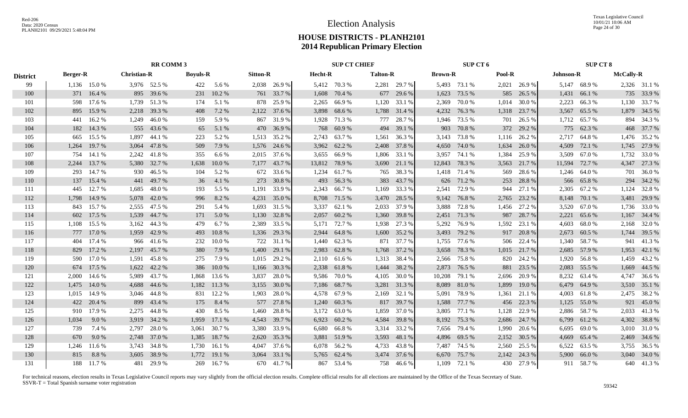|                 | <b>RR COMM 3</b> |              |                    |              |                 |           |                 |              |         | <b>SUP CT CHIEF</b> |                 |              |                | SUP CT 6     |        |              |           | <b>SUP CT 8</b> |                  |              |
|-----------------|------------------|--------------|--------------------|--------------|-----------------|-----------|-----------------|--------------|---------|---------------------|-----------------|--------------|----------------|--------------|--------|--------------|-----------|-----------------|------------------|--------------|
| <b>District</b> | <b>Berger-R</b>  |              | <b>Christian-R</b> |              | <b>Boyuls-R</b> |           | <b>Sitton-R</b> |              | Hecht-R |                     | <b>Talton-R</b> |              | <b>Brown-R</b> |              | Pool-R |              | Johnson-R |                 | <b>McCally-R</b> |              |
| 99              |                  | 1,136 15.0 % |                    | 3,976 52.5 % | 422             | 5.6 %     |                 | 2,038 26.9 % |         | 5,412 70.3 %        |                 | 2,281 29.7 % |                | 5,493 73.1 % | 2,021  | 26.9%        |           | 5,147 68.9 %    |                  | 2,326 31.1 % |
| 100             | 371              | 16.4 %       |                    | 895 39.6 %   | 231             | 10.2%     |                 | 761 33.7 %   | 1,608   | 70.4 %              |                 | 677 29.6 %   | 1,623          | 73.5 %       | 585    | 26.5 %       | 1,431     | 66.1 %          |                  | 735 33.9 %   |
| 101             | 598              | 17.6 %       |                    | 1,739 51.3 % | 174             | 5.1 %     | 878             | 25.9 %       | 2,265   | 66.9 %              | 1,120           | 33.1 %       | 2,369          | 70.0 %       | 1,014  | 30.0%        | 2,223     | 66.3%           | 1,130            | 33.7 %       |
| 102             | 895              | 15.9%        |                    | 2,218 39.3 % | 408             | 7.2 %     |                 | 2,122 37.6 % | 3,898   | 68.6 %              |                 | 1,788 31.4 % | 4,232          | 76.3 %       | 1,318  | 23.7 %       | 3,567     | 65.5 %          |                  | 1,879 34.5 % |
| 103             | 441              | 16.2%        |                    | 1,249 46.0 % | 159             | 5.9%      | 867             | 31.9%        | 1,928   | 71.3 %              | 777             | 28.7 %       | 1,946          | 73.5 %       | 701    | 26.5 %       |           | 1,712 65.7 %    | 894              | 34.3 %       |
| 104             | 182              | 14.3 %       |                    | 555 43.6 %   | 65              | 5.1 %     |                 | 470 36.9 %   | 768     | 60.9%               |                 | 494 39.1 %   | 903            | 70.8%        | 372    | 29.2 %       |           | 775 62.3 %      |                  | 468 37.7 %   |
| 105             | 665              | 15.5 %       | 1,897              | 44.1 %       | 223             | 5.2 %     |                 | 1,513 35.2 % |         | 2,743 63.7 %        |                 | 1,561 36.3 % |                | 3,143 73.8 % |        | 1,116 26.2 % | 2,717     | 64.8 %          |                  | 1,476 35.2 % |
| 106             | 1,264            | 19.7 %       | 3,064              | 47.8%        | 509             | 7.9%      |                 | 1,576 24.6 % |         | 3,962 62.2 %        |                 | 2,408 37.8 % | 4,650          | 74.0 %       | 1,634  | 26.0%        | 4,509     | 72.1 %          |                  | 1,745 27.9 % |
| 107             | 754              | 14.1 %       | 2,242              | 41.8%        | 355             | 6.6 %     |                 | 2,015 37.6 % |         | 3,655 66.9 %        |                 | 1,806 33.1 % | 3,957          | 74.1 %       | 1,384  | 25.9%        | 3,509     | 67.0 %          | 1,732            | 33.0%        |
| 108             | 2.244            | 13.7 %       |                    | 5,380 32.7 % | 1,638           | 10.0%     | 7,177           | 43.7 %       |         | 13,812 78.9 %       |                 | 3,690 21.1 % | 12,843         | 78.3 %       | 3,563  | 21.7 %       | 11,594    | 72.7 %          | 4,347            | 27.3 %       |
| 109             | 293              | 14.7%        |                    | 930 46.5 %   | 104             | 5.2 %     |                 | 672 33.6 %   | 1,234   | 61.7%               | 765             | 38.3 %       | 1,418          | 71.4 %       | 569    | 28.6%        |           | 1,246 64.0 %    | 701              | 36.0%        |
| 110             | 137              | 15.4 %       |                    | 441 49.7 %   | 36              | 4.1 %     | 273             | 30.8%        | 493     | 56.3%               | 383             | 43.7 %       |                | 626 71.2 %   | 253    | 28.8%        |           | 566 65.8%       |                  | 294 34.2 %   |
| 111             | 445              | 12.7 %       | 1,685              | 48.0%        | 193             | 5.5 %     | 1,191           | 33.9 %       |         | 2,343 66.7 %        | 1,169           | 33.3 %       | 2,541          | 72.9 %       | 944    | 27.1 %       |           | 2,305 67.2 %    | 1,124            | 32.8%        |
| 112             |                  | 1,798 14.9 % | 5,078              | 42.0 %       | 996             | 8.2 %     | 4,231           | 35.0 %       |         | 8,708 71.5 %        | 3,470           | 28.5 %       |                | 9,142 76.8 % | 2,765  | 23.2 %       |           | 8,148 70.1 %    |                  | 3,481 29.9 % |
| 113             |                  | 843 15.7%    |                    | 2,555 47.5 % | 291             | 5.4 %     |                 | 1,693 31.5 % |         | 3,337 62.1 %        | 2,033           | 37.9 %       | 3,888          | 72.8%        | 1,456  | 27.2 %       |           | 3,520 67.0 %    |                  | 1,736 33.0 % |
| 114             |                  | 602 17.5 %   |                    | 1,539 44.7 % | 171             | 5.0 %     |                 | 1,130 32.8 % | 2,057   | 60.2 %              |                 | 1,360 39.8 % |                | 2,451 71.3 % | 987    | 28.7%        | 2,221     | 65.6%           |                  | 1,167 34.4 % |
| 115             |                  | 1,108 15.5 % |                    | 3,162 44.3 % | 479             | 6.7%      |                 | 2,389 33.5 % |         | 5,171 72.7 %        |                 | 1,938 27.3 % | 5,292          | 76.9 %       | 1,592  | 23.1 %       | 4,603     | 68.0%           | 2,168            | 32.0 %       |
| 116             | 777              | 17.0 %       |                    | 1,959 42.9 % | 493             | 10.8%     |                 | 1,336 29.3 % | 2,944   | 64.8%               |                 | 1,600 35.2 % | 3,493          | 79.2 %       | 917    | 20.8%        | 2,673     | 60.5 %          |                  | 1,744 39.5 % |
| 117             | 404              | 17.4 %       | 966                | 41.6 %       | 232             | 10.0%     |                 | 722 31.1 %   | 1,440   | 62.3%               |                 | 871 37.7 %   | 1,755          | 77.6 %       | 506    | 22.4 %       | 1.340     | 58.7%           | 941              | 41.3%        |
| 118             | 829              | 17.2 %       |                    | 2,197 45.7 % | 380             | 7.9 %     | 1,400           | 29.1 %       | 2,983   | 62.8%               |                 | 1,768 37.2 % | 3,658          | 78.3 %       |        | 1,015 21.7 % |           | 2,685 57.9 %    |                  | 1,953 42.1 % |
| 119             | 590              | 17.0 %       |                    | 1,591 45.8 % | 275             | 7.9 %     |                 | 1,015 29.2 % |         | 2,110 61.6 %        |                 | 1,313 38.4 % | 2,566          | 75.8%        | 820    | 24.2 %       |           | 1,920 56.8 %    | 1,459            | 43.2 %       |
| 120             | 674              | 17.5 %       | 1,622              | 42.2 %       | 386             | 10.0%     | 1,166           | 30.3 %       | 2,338   | 61.8%               | 1,444           | 38.2 %       | 2,873          | 76.5 %       | 881    | 23.5 %       | 2,083     | 55.5 %          | 1,669            | 44.5 %       |
| 121             | 2,000            | 14.6 %       |                    | 5,989 43.7 % | 1,868           | 13.6 %    | 3,837           | 28.0%        | 9,586   | 70.0%               | 4,105           | 30.0%        | 10,208         | 79.1 %       | 2,696  | 20.9%        | 8,232     | 63.4 %          | 4,747            | 36.6 %       |
| 122             | 1,475            | 14.0 %       |                    | 4,688 44.6 % | 1,182           | 11.3 %    | 3,155           | 30.0 %       |         | 7,186 68.7 %        | 3,281           | 31.3%        | 8,089          | 81.0%        | 1,899  | 19.0 %       | 6,479     | 64.9%           |                  | 3,510 35.1 % |
| 123             | 1,015            | 14.9 %       |                    | 3,046 44.8 % | 831             | 12.2 %    | 1,903           | 28.0%        |         | 4,578 67.9 %        |                 | 2,169 32.1 % | 5,091          | 78.9 %       | 1,361  | 21.1 %       | 4.003     | 61.8 %          |                  | 2,475 38.2 % |
| 124             |                  | 422 20.4 %   |                    | 899 43.4 %   | 175             | 8.4 %     |                 | 577 27.8 %   |         | 1,240 60.3 %        |                 | 817 39.7 %   | 1,588          | 77.7 %       | 456    | 22.3 %       |           | 1,125 55.0 %    |                  | 921 45.0%    |
| 125             | 910              | 17.9 %       | 2,275              | 44.8%        | 430             | 8.5 %     | 1,460           | 28.8%        | 3,172   | 63.0%               | 1,859           | 37.0 %       | 3,805          | 77.1 %       | 1,128  | 22.9 %       | 2,886     | 58.7 %          | 2,033            | 41.3%        |
| 126             | 1,034            | 9.0 %        | 3,919              | 34.2 %       | 1,959           | 17.1 %    | 4,543           | 39.7 %       | 6,923   | 60.2%               | 4,584           | 39.8%        | 8,192          | 75.3 %       | 2,686  | 24.7 %       | 6,799     | 61.2 %          |                  | 4,302 38.8 % |
| 127             | 739              | 7.4 %        | 2,797              | 28.0 %       | 3,061           | 30.7 %    | 3,380           | 33.9 %       | 6,680   | 66.8 %              |                 | 3,314 33.2 % |                | 7,656 79.4 % | 1,990  | 20.6 %       | 6,695     | 69.0 %          |                  | 3,010 31.0 % |
| 128             | 670              | 9.0 %        |                    | 2,748 37.0 % | 1,385           | 18.7 %    |                 | 2,620 35.3 % |         | 3,881 51.9 %        | 3,593           | 48.1 %       | 4,896          | 69.5 %       | 2,152  | 30.5 %       | 4,669     | 65.4 %          |                  | 2,469 34.6 % |
| 129             | 1,246            | 11.6 %       |                    | 3,743 34.8 % | 1,730           | 16.1 %    | 4,047           | 37.6 %       |         | 6,078 56.2 %        | 4,733           | 43.8%        | 7,487          | 74.5 %       | 2,560  | 25.5 %       | 6,522     | 63.5 %          |                  | 3,755 36.5 % |
| 130             | 815              | 8.8%         | 3,605              | 38.9%        | 1,772           | 19.1 %    | 3,064           | 33.1 %       | 5,765   | 62.4 %              |                 | 3,474 37.6 % | 6,670          | 75.7 %       | 2,142  | 24.3 %       | 5,900     | 66.0%           |                  | 3,040 34.0 % |
| 131             |                  | 188 11.7 %   |                    | 481 29.9 %   |                 | 269 16.7% |                 | 670 41.7 %   |         | 867 53.4 %          |                 | 758 46.6 %   |                | 1,109 72.1 % |        | 430 27.9 %   |           | 911 58.7 %      |                  | 640 41.3%    |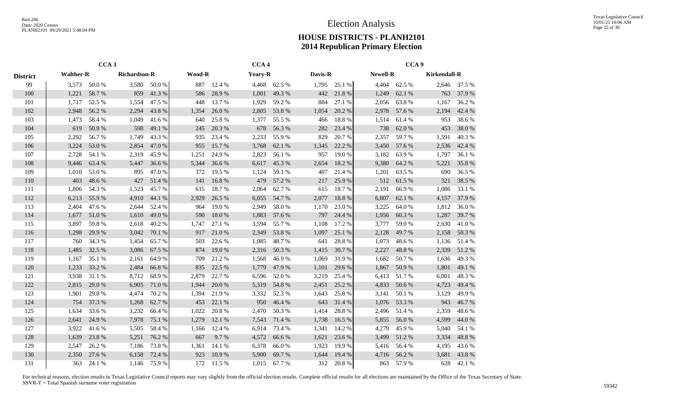|                 |                  | CCA <sub>3</sub> |              |        |               |        | CCA <sub>4</sub> |        |         | CCA <sub>9</sub> |          |        |                     |              |  |  |
|-----------------|------------------|------------------|--------------|--------|---------------|--------|------------------|--------|---------|------------------|----------|--------|---------------------|--------------|--|--|
| <b>District</b> | <b>Walther-R</b> |                  | Richardson-R |        | <b>Wood-R</b> |        | Yeary-R          |        | Davis-R |                  | Newell-R |        | <b>Kirkendall-R</b> |              |  |  |
| 99              | 3,573            | $50.0\ \%$       | 3,580        | 50.0%  | 887           | 12.4 % | 4,468            | 62.5 % | 1,795   | 25.1 %           | 4,404    | 62.5 % |                     | 2,646 37.5 % |  |  |
| 100             | 1,221            | 58.7%            | 859          | 41.3%  | 586           | 28.9%  | 1,001            | 49.3 % | 442     | 21.8%            | 1,249    | 62.1 % | 763                 | 37.9 %       |  |  |
| 101             | 1,717            | 52.5 %           | 1,554        | 47.5 % | 448           | 13.7 % | 1,929            | 59.2 % | 884     | 27.1 %           | 2,056    | 63.8%  | 1,167               | 36.2 %       |  |  |
| 102             | 2,948            | 56.2 %           | 2,294        | 43.8%  | 1,354         | 26.0%  | 2,805            | 53.8%  | 1,054   | 20.2 %           | 2,978    | 57.6 % | 2,194               | 42.4 %       |  |  |
| 103             | 1,473            | 58.4%            | 1,049        | 41.6%  | 640           | 25.8%  | 1,377            | 55.5 % | 466     | 18.8%            | 1,514    | 61.4%  | 953                 | 38.6%        |  |  |
| 104             | 619              | 50.9%            | 598          | 49.1 % | 245           | 20.3 % | 678              | 56.3%  | 282     | 23.4 %           | 738      | 62.0%  | 453                 | 38.0%        |  |  |
| 105             | 2,292            | 56.7%            | 1,749        | 43.3%  | 935           | 23.4 % | 2,233            | 55.9%  | 829     | 20.7%            | 2,357    | 59.7%  | 1,591               | 40.3%        |  |  |
| 106             | 3,224            | 53.0 %           | 2,854        | 47.0%  | 955           | 15.7 % | 3,768            | 62.1 % | 1,345   | 22.2 %           | 3,450    | 57.6 % | 2,536               | 42.4 %       |  |  |
| 107             | 2,728            | 54.1 %           | 2,319        | 45.9%  | 1,251         | 24.9%  | 2,823            | 56.1 % | 957     | 19.0%            | 3,182    | 63.9%  | 1,797               | 36.1 %       |  |  |
| 108             | 9,446            | 63.4 %           | 5,447        | 36.6%  | 5,344         | 36.6%  | 6,617            | 45.3 % | 2,654   | 18.2%            | 9,380    | 64.2 % | 5,221               | 35.8%        |  |  |
| 109             | 1,010            | 53.0%            | 895          | 47.0%  | 372           | 19.5 % | 1,124            | 59.1 % | 407     | 21.4 %           | 1,201    | 63.5 % | 690                 | 36.5 %       |  |  |
| 110             | 403              | 48.6%            | 427          | 51.4 % | 141           | 16.8%  | 479              | 57.2 % | 217     | 25.9%            | 512      | 61.5%  | 321                 | 38.5%        |  |  |
| 111             | 1,806            | 54.3 %           | 1,523        | 45.7%  | 615           | 18.7%  | 2,064            | 62.7%  | 615     | 18.7%            | 2,191    | 66.9%  | 1,086               | 33.1 %       |  |  |
| 112             | 6,213            | 55.9%            | 4,910        | 44.1 % | 2,929         | 26.5 % | 6,055            | 54.7%  | 2,077   | 18.8%            | 6,807    | 62.1 % | 4,157               | 37.9%        |  |  |
| 113             | 2.404            | 47.6%            | 2,644        | 52.4 % | 964           | 19.0%  | 2,949            | 58.0%  | 1,170   | 23.0%            | 3,225    | 64.0%  | 1,812               | 36.0%        |  |  |
| 114             | 1,677            | 51.0%            | 1,610        | 49.0%  | 590           | 18.0%  | 1,883            | 57.6 % | 797     | 24.4 %           | 1,956    | 60.3%  | 1,287               | 39.7%        |  |  |
| 115             | 3,897            | 59.8%            | 2,618        | 40.2%  | 1,747         | 27.1 % | 3,594            | 55.7%  | 1,108   | 17.2 %           | 3,777    | 59.0%  | 2,630               | 41.0%        |  |  |
| 116             | 1,298            | 29.9 %           | 3,042        | 70.1 % | 917           | 21.0%  | 2,349            | 53.8%  | 1,097   | 25.1 %           | 2,128    | 49.7 % | 2,158               | 50.3%        |  |  |
| 117             | 760              | 34.3 %           | 1,454        | 65.7%  | 503           | 22.6 % | 1,085            | 48.7%  | 641     | 28.8%            | 1,073    | 48.6%  | 1,136               | 51.4 %       |  |  |
| 118             | 1,485            | 32.5 %           | 3,086        | 67.5 % | 874           | 19.0%  | 2,316            | 50.3%  | 1,415   | 30.7%            | 2,227    | 48.8%  | 2,339               | 51.2%        |  |  |
| 119             | 1,167            | 35.1 %           | 2,161        | 64.9%  | 709           | 21.2%  | 1,568            | 46.9%  | 1,069   | 31.9%            | 1,682    | 50.7%  | 1,636               | 49.3%        |  |  |
| 120             | 1,233            | 33.2 %           | 2,484        | 66.8%  | 835           | 22.5 % | 1,779            | 47.9%  | 1,101   | 29.6%            | 1,867    | 50.9%  | 1,801               | 49.1 %       |  |  |
| 121             | 3,938            | 31.1 %           | 8,712        | 68.9%  | 2,879         | 22.7 % | 6,596            | 52.0 % | 3,219   | 25.4 %           | 6,413    | 51.7%  | 6,001               | 48.3%        |  |  |
| 122             | 2,815            | 29.0 %           | 6,905        | 71.0%  | 1,944         | 20.0 % | 5,319            | 54.8%  | 2,451   | 25.2%            | 4,833    | 50.6%  | 4,723               | 49.4 %       |  |  |
| 123             | 1,901            | 29.8%            | 4,474        | 70.2 % | 1,394         | 21.9%  | 3,332            | 52.3 % | 1,643   | 25.8%            | 3,141    | 50.1%  | 3,129               | 49.9%        |  |  |
| 124             | 754              | 37.3 %           | 1,268        | 62.7%  | 453           | 22.1 % | 950              | 46.4 % | 643     | 31.4 %           | 1,076    | 53.3 % | 943                 | 46.7%        |  |  |
| 125             | 1,634            | 33.6 %           | 3,232        | 66.4 % | 1,022         | 20.8%  | 2,470            | 50.3 % | 1,414   | 28.8%            | 2,496    | 51.4%  | 2,359               | 48.6%        |  |  |
| 126             | 2,641            | 24.9 %           | 7,978        | 75.1 % | 1,279         | 12.1 % | 7,543            | 71.4 % | 1,738   | 16.5 %           | 5,855    | 56.0%  | 4,599               | 44.0%        |  |  |
| 127             | 3,922            | 41.6%            | 5,505        | 58.4%  | 1,166         | 12.4 % | 6,914            | 73.4 % | 1,341   | 14.2 %           | 4,279    | 45.9%  | 5,040               | 54.1 %       |  |  |
| 128             | 1,639            | 23.8%            | 5,251        | 76.2 % | 667           | 9.7%   | 4,572            | 66.6%  | 1,621   | 23.6%            | 3,499    | 51.2%  | 3,334               | 48.8%        |  |  |
| 129             | 2,547            | 26.2 %           | 7,186        | 73.8%  | 1,361         | 14.1 % | 6,378            | 66.0%  | 1,923   | 19.9%            | 5,416    | 56.4 % | 4,195               | 43.6%        |  |  |
| 130             | 2,350            | 27.6 %           | 6,158        | 72.4 % | 923           | 10.9%  | 5,900            | 69.7%  | 1,644   | 19.4 %           | 4,716    | 56.2%  | 3,681               | 43.8%        |  |  |
| 131             | 363              | 24.1 %           | 1,146        | 75.9%  | 172           | 11.5 % | 1,015            | 67.7 % | 312     | 20.8%            | 863      | 57.9 % | 628                 | 42.1 %       |  |  |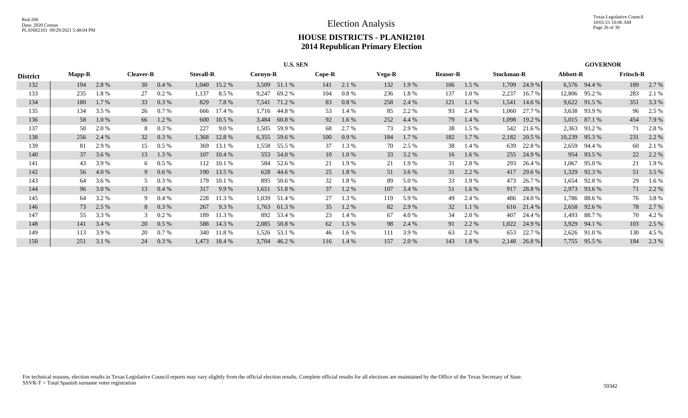|                 | <b>U.S. SEN</b> |       |                  |         |       |                              |       |              |          |         |        |       |                 |         |            | <b>GOVERNOR</b> |          |               |                  |          |
|-----------------|-----------------|-------|------------------|---------|-------|------------------------------|-------|--------------|----------|---------|--------|-------|-----------------|---------|------------|-----------------|----------|---------------|------------------|----------|
| <b>District</b> | <b>Mapp-R</b>   |       | <b>Cleaver-R</b> |         |       | <b>Stovall-R</b><br>Cornyn-R |       |              | $Cope-R$ |         | Vega-R |       | <b>Reasor-R</b> |         | Stockman-R |                 | Abbott-R |               | <b>Fritsch-R</b> |          |
| 132             | 194             | 2.8 % | 30               | $0.4\%$ | 1,040 | 15.2 %                       |       | 3,509 51.1 % | 141      | 2.1 %   | 132    | 1.9 % | 106             | $1.5\%$ | 1,709      | 24.9 %          |          | 6,576 94.4 %  | 189              | 2.7 %    |
| 133             | 235             | 1.8%  | 27               | $0.2\%$ | 1,137 | 8.5 %                        | 9,247 | 69.2%        | 104      | $0.8\%$ | 236    | 1.8%  | 137             | 1.0 %   | 2,237      | 16.7 %          |          | 12,806 95.2 % | 283              | 2.1 %    |
| 134             | 180             | 1.7 % | 33               | 0.3 %   | 829   | 7.8%                         | 7,541 | 71.2 %       | 83       | 0.8 %   | 258    | 2.4 % | 121             | 1.1%    | 1,541      | 14.6 %          |          | 9,622 91.5 %  | 351              | 3.3 %    |
| 135             | 134             | 3.5 % | 26               | 0.7 %   | 666   | 17.4 %                       | 1,716 | 44.8%        | 53       | 1.4 %   | 85     | 2.2 % | 93              | 2.4 %   | 1,060      | 27.7 %          |          | 3,638 93.9 %  | 96               | 2.5 %    |
| 136             | 58              | 1.0%  | 66               | 1.2 %   | 600   | 10.5%                        | 3,484 | 60.8%        | 92       | $1.6\%$ | 252    | 4.4 % | 79              | 1.4 %   | 1,098      | 19.2 %          |          | 5,015 87.1 %  | 454              | 7.9 %    |
| 137             | 50              | 2.0 % | 8                | $0.3\%$ | 227   | 9.0%                         | 1,505 | 59.9%        | 68       | 2.7 %   | 73     | 2.9 % | 38              | $1.5\%$ | 542        | 21.6 %          |          | 2,363 93.2 %  | 71               | 2.8%     |
| 138             | 256             | 2.4 % | 32               | 0.3 %   | 1,368 | 12.8 %                       | 6,355 | 59.6 %       | 100      | 0.9%    | 184    | 1.7 % | 182             | $1.7\%$ | 2,182      | 20.5 %          | 10,239   | 95.3%         | 231              | 2.2 %    |
| 139             | 81              | 2.9 % | 15               | $0.5\%$ | 369   | 13.1 %                       | 1,558 | 55.5 %       | 37       | 1.3 %   | 70     | 2.5 % | 38              | 1.4 %   | 639        | 22.8 %          |          | 2,659 94.4 %  | 60               | 2.1 %    |
| 140             | 37              | 3.6 % | 13               | 1.3 %   | 107   | 10.4%                        |       | 553 54.0 %   | 10       | $1.0\%$ | 33     | 3.2 % | 16              | $1.6\%$ |            | 255 24.9 %      |          | 954 93.5 %    | 22               | 2.2 %    |
| 141             | 43              | 3.9%  | 6                | $0.5\%$ | 112   | 10.1%                        |       | 584 52.6 %   | 21       | 1.9 %   | 21     | 1.9 % | 31              | 2.8%    | 293        | 26.4 %          | 1,067    | 95.0 %        | 21               | 1.9 %    |
| 142             | 56              | 4.0 % | 9                | $0.6\%$ |       | 190 13.5 %                   |       | 628 44.6 %   | 25       | 1.8%    | 51     | 3.6 % | 31              | 2.2 %   |            | 417 29.6 %      | 1,329    | 92.3 %        |                  | 51 3.5 % |
| 143             | 64              | 3.6 % | 5                | $0.3\%$ | 179   | 10.1 %                       |       | 895 50.6 %   | 32       | 1.8%    | -89    | 5.0 % | 33              | 1.9 %   | 473        | 26.7 %          | 1,654    | 92.8 %        | 29               | 1.6 %    |
| 144             | 96              | 3.0 % | 13               | $0.4\%$ | 317   | 9.9 %                        | 1,651 | 51.8%        | 37       | $1.2\%$ | 107    | 3.4 % | 51              | $1.6\%$ |            | 917 28.8 %      |          | 2,973 93.6 %  |                  | 71 2.2 % |
| 145             | 64              | 3.2 % | 9                | $0.4\%$ | 228   | 11.3 %                       | 1,039 | 51.4 %       | 27       | 1.3 %   | 119    | 5.9 % | 49              | 2.4 %   | 486        | 24.0 %          |          | 1,786 88.6 %  | 76               | 3.8%     |
| 146             | 73              | 2.5 % | 8                | $0.3\%$ | 267   | 9.3 %                        | 1,763 | 61.3%        | 35       | $1.2\%$ | 82     | 2.9 % | 32              | 1.1 %   |            | 616 21.4 %      |          | 2,658 92.6 %  | 78               | 2.7 %    |
| 147             | 55              | 3.3 % | $\mathcal{E}$    | $0.2\%$ | 189   | 11.3 %                       |       | 892 53.4 %   | 23       | 1.4 %   | 67     | 4.0 % | 34              | 2.0 %   | 407        | 24.4 %          | 1,493    | 88.7 %        | 70               | 4.2 %    |
| 148             | 141             | 3.4 % | 20               | $0.5\%$ | 588   | 14.3 %                       |       | 2,085 50.8 % | 62       | $1.5\%$ | 98     | 2.4 % | 91              | 2.2 %   | 1,022      | 24.9 %          |          | 3,929 94.1 %  | 103              | 2.5 %    |
| 149             | 113             | 3.9%  | 20               | 0.7 %   | 340   | 11.8 %                       | 1,526 | 53.1 %       | 46       | $1.6\%$ | 111    | 3.9 % | 63              | 2.2 %   | 653        | 22.7 %          |          | 2,626 91.0 %  | 130              | 4.5 %    |
| 150             | 251             | 3.1 % | 24               | $0.3\%$ | 1,473 | 18.4 %                       | 3,704 | 46.2 %       | 116      | $1.4\%$ | 157    | 2.0 % | 143             | 1.8%    | 2,148      | 26.8 %          | 7,755    | 95.5 %        | 184              | 2.3 %    |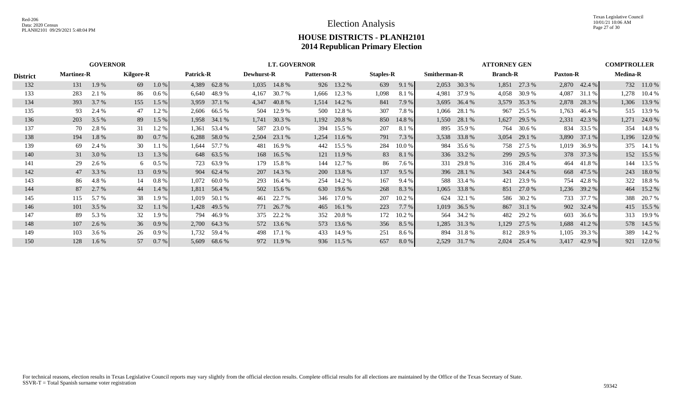|                 |                   |         | <b>LT. GOVERNOR</b> |          |       |                  |       |                   |       |                    |                  | <b>COMPTROLLER</b><br><b>ATTORNEY GEN</b> |                     |                |                 |            |                 |              |                 |              |
|-----------------|-------------------|---------|---------------------|----------|-------|------------------|-------|-------------------|-------|--------------------|------------------|-------------------------------------------|---------------------|----------------|-----------------|------------|-----------------|--------------|-----------------|--------------|
| <b>District</b> | <b>Martinez-R</b> |         | <b>Kilgore-R</b>    |          |       | <b>Patrick-R</b> |       | <b>Dewhurst-R</b> |       | <b>Patterson-R</b> | <b>Staples-R</b> |                                           | <b>Smitherman-R</b> |                | <b>Branch-R</b> |            | <b>Paxton-R</b> |              | <b>Medina-R</b> |              |
| 132             | 131               | 1.9 %   | 69                  | $1.0\%$  |       | 4,389 62.8 %     | 1,035 | 14.8%             |       | 926 13.2 %         | 639              | 9.1%                                      |                     | 2,053 30.3 %   | 1,851           | 27.3 %     |                 | 2,870 42.4 % |                 | 732 11.0 %   |
| 133             | 283               | 2.1 %   | 86                  | $0.6\%$  | 6,640 | 48.9 %           | 4,167 | 30.7 %            | 1,666 | 12.3 %             | 1,098            | 8.1%                                      | 4,981               | 37.9 %         | 4,058           | 30.9 %     | 4,087           | 31.1 %       |                 | 1,278 10.4 % |
| 134             | 393               | 3.7 %   | 155                 | 1.5%     |       | 3,959 37.1 %     | 4,347 | 40.8%             | 1,514 | 14.2 %             | 841              | 7.9 %                                     | 3,695               | 36.4 %         | 3,579           | 35.3 %     | 2,878           | 28.3 %       |                 | 1,306 13.9 % |
| 135             | 93                | 2.4 %   | 47                  | 1.2%     |       | 2,606 66.5 %     | 504   | 12.9 %            |       | 500 12.8 %         | 307              | 7.8%                                      | 1,066               | 28.1 %         | 967             | 25.5 %     | 1,763           | 46.4 %       |                 | 515 13.9 %   |
| 136             | 203               | 3.5 %   | 89                  | 1.5%     |       | 1,958 34.1 %     |       | 1,741 30.3 %      | 1,192 | 20.8 %             |                  | 850 14.8 %                                |                     | 1,550 28.1 %   | 1,627           | 29.5 %     | 2,331           | 42.3%        |                 | 1,271 24.0 % |
| 137             | 70                | 2.8 %   | 31                  | 1.2%     | 1,361 | 53.4 %           | 587   | 23.0 %            | 394   | 15.5 %             | 207              | 8.1 %                                     | 895                 | 35.9 %         | 764             | 30.6 %     | 834             | 33.5 %       |                 | 354 14.8 %   |
| 138             | 194               | 1.8%    | 80                  | 0.7 %    | 6,288 | 58.0 %           | 2,504 | 23.1 %            | 1,254 | 11.6 %             | 791              | 7.3 %                                     | 3,538               | 33.8%          | 3,054           | 29.1 %     | 3,890           | 37.1 %       |                 | 1,196 12.0 % |
| 139             | 69                | 2.4 %   | 30                  | 1.1%     | 1,644 | 57.7 %           | 481   | 16.9%             |       | 442 15.5 %         | 284              | 10.0 %                                    | 984                 | 35.6 %         | 758             | 27.5 %     | 1,019           | 36.9 %       |                 | 375 14.1 %   |
| 140             | 31                | 3.0 %   | 13                  | 1.3 %    |       | 648 63.5 %       | 168   | 16.5 %            |       | 121 11.9 %         | 83               | 8.1 %                                     |                     | 336 33.2 %     |                 | 299 29.5 % |                 | 378 37.3 %   |                 | 152 15.5 %   |
| 141             | 29                | 2.6 %   | 6                   | $0.5\%$  | 723   | 63.9 %           | 179   | 15.8%             | 144   | 12.7 %             | 86               | 7.6 %                                     | 331                 | 29.8 %         |                 | 316 28.4 % | 464             | 41.8 %       |                 | 144 13.5 %   |
| 142             | 47                | 3.3 %   | 13                  | 0.9%     |       | 904 62.4 %       | 207   | 14.3 %            |       | 200 13.8 %         | 137              | 9.5%                                      |                     | 396 28.1 %     |                 | 343 24.4 % | 668             | 47.5 %       |                 | 243 18.0 %   |
| 143             | 86                | 4.8%    | 14                  | $0.8 \%$ | 1,072 | 60.0 %           | 293   | 16.4 %            | 254   | 14.2 %             | 167              | 9.4%                                      |                     | 588 33.4 %     | 421             | 23.9 %     | 754             | 42.8%        | 322             | 18.8%        |
| 144             | 87                | 2.7 %   | 44                  | $1.4\%$  | 1,811 | 56.4 %           | 502   | 15.6 %            |       | 630 19.6 %         | 268              | 8.3 %                                     |                     | $1,065$ 33.8 % | 851             | 27.0 %     |                 | 1,236 39.2 % |                 | 464 15.2 %   |
| 145             | 115               | 5.7 %   | 38                  | 1.9%     | 1,019 | 50.1 %           | 461   | 22.7 %            |       | 346 17.0 %         | 207              | 10.2 %                                    |                     | 624 32.1 %     | 586             | 30.2 %     | 733             | 37.7 %       | 388             | 20.7 %       |
| 146             | 101               | 3.5 %   | 32                  | 1.1%     | 1,428 | 49.5 %           |       | 771 26.7 %        |       | 465 16.1 %         | 223              | 7.7 %                                     | 1,019               | 36.5 %         | 867             | 31.1 %     |                 | 902 32.4 %   |                 | 415 15.5 %   |
| 147             | 89                | 5.3 %   | 32                  | 1.9 %    | 794   | 46.9 %           |       | 375 22.2 %        | 352   | 20.8 %             | 172              | 10.2 %                                    |                     | 564 34.2 %     | 482             | 29.2 %     | 603             | 36.6 %       |                 | 313 19.9 %   |
| 148             | 107               | 2.6 %   | 36                  | 0.9%     |       | 2,700 64.3 %     |       | 572 13.6 %        |       | 573 13.6 %         | 356              | 8.5 %                                     |                     | 1,285 31.3 %   | 1,129           | 27.5 %     |                 | 1,688 41.2 % |                 | 578 14.5 %   |
| 149             | 103               | 3.6 %   | 26                  | 0.9%     | 1,732 | 59.4 %           | 498   | 17.1 %            | 433   | 14.9 %             | 251              | 8.6 %                                     |                     | 894 31.8 %     | 812             | 28.9 %     | 1,105           | 39.3 %       |                 | 389 14.2 %   |
| 150             | 128               | $1.6\%$ | 57                  | $0.7\%$  | 5,609 | 68.6 %           | 972   | 11.9 %            |       | 936 11.5 %         | 657              | 8.0%                                      | 2,529               | 31.7 %         | 2,024           | 25.4 %     | 3,417           | 42.9 %       | 921             | 12.0 %       |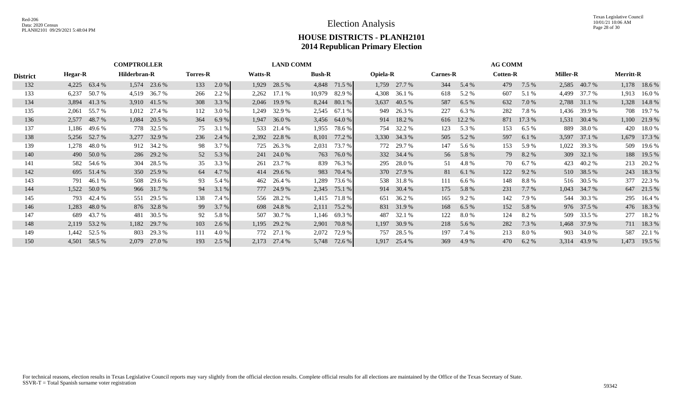|                 |       | <b>COMPTROLLER</b>             |       |                 |     |                |       | <b>LAND COMM</b> |        |                 |       | <b>AG COMM</b>  |     |                 |     |                 |       |                  |       |              |
|-----------------|-------|--------------------------------|-------|-----------------|-----|----------------|-------|------------------|--------|-----------------|-------|-----------------|-----|-----------------|-----|-----------------|-------|------------------|-------|--------------|
| <b>District</b> |       | Hilderbran-R<br><b>Hegar-R</b> |       | <b>Torres-R</b> |     | <b>Watts-R</b> |       | <b>Bush-R</b>    |        | <b>Opiela-R</b> |       | <b>Carnes-R</b> |     | <b>Cotten-R</b> |     | <b>Miller-R</b> |       | <b>Merritt-R</b> |       |              |
| 132             |       | 4,225 63.4 %                   |       | 1,574 23.6 %    | 133 | $2.0\%$        |       | 1,929 28.5 %     |        | 4,848 71.5 %    |       | 1,759 27.7 %    | 344 | 5.4 %           | 479 | 7.5 %           |       | 2,585 40.7 %     |       | 1,178 18.6 % |
| 133             | 6,237 | 50.7 %                         | 4,519 | 36.7%           | 266 | 2.2 %          | 2,262 | 17.1 %           | 10,979 | 82.9 %          | 4,308 | 36.1 %          | 618 | 5.2 %           | 607 | 5.1 %           | 4,499 | 37.7 %           | 1,913 | 16.0 %       |
| 134             |       | 3,894 41.3 %                   |       | 3,910 41.5 %    | 308 | 3.3 %          |       | 2,046 19.9 %     |        | 8,244 80.1 %    | 3,637 | 40.5 %          | 587 | 6.5%            | 632 | 7.0 %           |       | 2,788 31.1 %     |       | 1,328 14.8 % |
| 135             |       | 2,061 55.7 %                   |       | $1,012$ 27.4 %  | 112 | 3.0 %          |       | 1,249 32.9 %     | 2,545  | 67.1 %          |       | 949 26.3 %      | 227 | $6.3\%$         | 282 | 7.8%            |       | 1,436 39.9 %     |       | 708 19.7 %   |
| 136             |       | 2,577 48.7 %                   |       | 1,084 20.5 %    | 364 | 6.9%           |       | $1,947$ 36.0 %   |        | 3,456 64.0 %    |       | 914 18.2 %      |     | 616 12.2 %      |     | 871 17.3 %      |       | 1,531 30.4 %     |       | 1,100 21.9 % |
| 137             | 1,186 | 49.6 %                         |       | 778 32.5 %      | 75  | 3.1 %          |       | 533 21.4 %       | 1,955  | 78.6%           |       | 754 32.2 %      | 123 | 5.3 %           | 153 | 6.5%            | 889   | 38.0 %           |       | 420 18.0 %   |
| 138             |       | 5,256 52.7 %                   |       | 3,277 32.9 %    | 236 | 2.4 %          |       | 2,392 22.8 %     | 8,101  | 77.2 %          |       | 3,330 34.3 %    | 505 | 5.2 %           | 597 | 6.1 %           | 3,597 | 37.1 %           |       | 1,679 17.3 % |
| 139             | 1,278 | 48.0 %                         |       | 912 34.2 %      | 98  | 3.7 %          |       | 725 26.3 %       | 2,031  | 73.7 %          |       | 772 29.7 %      | 147 | 5.6 %           | 153 | 5.9 %           | 1,022 | 39.3 %           |       | 509 19.6 %   |
| 140             |       | 490 50.0 %                     |       | 286 29.2 %      | 52  | 5.3 %          |       | 241 24.0 %       | 763    | 76.0 %          |       | 332 34.4 %      |     | 56 5.8 %        | 79  | 8.2%            |       | 309 32.1 %       |       | 188 19.5 %   |
| 141             |       | 582 54.6 %                     |       | 304 28.5 %      | 35  | 3.3 %          |       | 261 23.7 %       | 839    | 76.3 %          | 295   | 28.0 %          | 51  | 4.8%            | 70  | 6.7%            | 423   | 40.2 %           |       | 213 20.2 %   |
| 142             |       | 695 51.4 %                     |       | 350 25.9 %      | 64  | 4.7 %          |       | 414 29.6 %       | 983    | 70.4 %          |       | 370 27.9 %      | 81  | 6.1 %           | 122 | 9.2 %           |       | 510 38.5 %       |       | 243 18.3 %   |
| 143             | 791   | 46.1 %                         |       | 508 29.6 %      | 93  | 5.4 %          |       | 462 26.4 %       | 1,289  | 73.6 %          |       | 538 31.8 %      | 111 | $6.6\%$         | 148 | 8.8%            |       | 516 30.5 %       |       | 377 22.3 %   |
| 144             |       | 1,522 50.0 %                   |       | 966 31.7 %      | 94  | 3.1 %          |       | 777 24.9 %       | 2,345  | 75.1 %          |       | 914 30.4 %      | 175 | 5.8%            | 231 | $7.7\%$         |       | 1,043 34.7 %     |       | 647 21.5 %   |
| 145             | 793   | 42.4 %                         |       | 551 29.5 %      | 138 | 7.4 %          |       | 556 28.2 %       | 1,415  | 71.8 %          | 651   | 36.2 %          | 165 | $9.2\%$         | 142 | 7.9 %           |       | 544 30.3 %       |       | 295 16.4 %   |
| 146             | 1,283 | 48.0 %                         |       | 876 32.8 %      | 99  | 3.7 %          |       | 698 24.8 %       | 2,111  | 75.2 %          |       | 831 31.9 %      | 168 | 6.5%            | 152 | 5.8 %           |       | 976 37.5 %       |       | 476 18.3 %   |
| 147             | 689   | 43.7 %                         | 481   | 30.5 %          | 92  | 5.8%           |       | 507 30.7 %       | 1,146  | 69.3 %          | 487   | 32.1 %          | 122 | 8.0 %           | 124 | 8.2%            |       | 509 33.5 %       |       | 277 18.2 %   |
| 148             |       | 2,119 53.2 %                   |       | 1,182 29.7 %    | 103 | 2.6 %          |       | 1,195 29.2 %     | 2,901  | 70.8%           | 1,197 | 30.9 %          | 218 | 5.6 %           | 282 | 7.3 %           |       | 1,468 37.9 %     |       | 711 18.3 %   |
| 149             |       | 1,442 52.5 %                   | 803   | 29.3 %          | 111 | 4.0 %          |       | 772 27.1 %       | 2,072  | 72.9 %          | 757   | 28.5 %          | 197 | 7.4 %           | 213 | 8.0 %           | 903   | 34.0 %           | 587   | 22.1 %       |
| 150             |       | 4,501 58.5 %                   | 2,079 | 27.0 %          | 193 | 2.5 %          |       | 2,173 27.4 %     | 5,748  | 72.6 %          | 1,917 | 25.4 %          | 369 | 4.9 %           | 470 | 6.2%            |       | 3,314 43.9 %     |       | 1,473 19.5 % |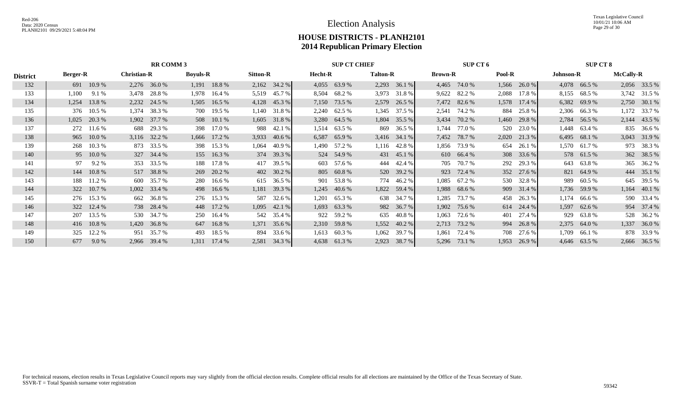|                 | <b>RR COMM 3</b>                      |          |       |                 |       |                 |         |              |       | <b>SUP CT CHIEF</b> |       |                |       | SUP CT 6   | <b>SUP CT 8</b> |            |       |                  |       |              |
|-----------------|---------------------------------------|----------|-------|-----------------|-------|-----------------|---------|--------------|-------|---------------------|-------|----------------|-------|------------|-----------------|------------|-------|------------------|-------|--------------|
| <b>District</b> | <b>Christian-R</b><br><b>Berger-R</b> |          |       | <b>Boyuls-R</b> |       | <b>Sitton-R</b> | Hecht-R |              |       | <b>Talton-R</b>     |       | <b>Brown-R</b> |       | Pool-R     |                 | Johnson-R  |       | <b>McCally-R</b> |       |              |
| 132             | 691                                   | 10.9 %   |       | 2,276 36.0 %    | 1,191 | 18.8%           |         | 2,162 34.2 % | 4,055 | 63.9%               | 2,293 | 36.1%          | 4,465 | 74.0 %     | 1,566           | 26.0%      |       | 4,078 66.5 %     |       | 2,056 33.5 % |
| 133             | 1,100                                 | 9.1 %    | 3,478 | 28.8%           | 1,978 | 16.4 %          |         | 5,519 45.7 % | 8,504 | 68.2 %              |       | 3,973 31.8 %   | 9,622 | 82.2 %     | 2,088           | 17.8%      |       | 8,155 68.5 %     |       | 3,742 31.5 % |
| 134             | 1.254                                 | 13.8 %   | 2,232 | 24.5 %          | 1,505 | 16.5 %          | 4,128   | 45.3 %       | 7,150 | 73.5 %              | 2,579 | 26.5 %         | 7,472 | 82.6 %     | 1,578           | 17.4 %     | 6,382 | 69.9%            | 2,750 | 30.1 %       |
| 135             | 376                                   | 10.5 %   | 1,374 | 38.3 %          | 700   | 19.5 %          |         | 1,140 31.8 % | 2,240 | 62.5 %              | 1,345 | 37.5 %         | 2,541 | 74.2 %     | 884             | 25.8%      |       | 2,306 66.3 %     | 1,172 | 33.7 %       |
| 136             | 1,025                                 | 20.3 %   | 1,902 | 37.7 %          | 508   | 10.1 %          |         | 1,605 31.8 % | 3,280 | 64.5 %              | 1,804 | 35.5 %         | 3,434 | 70.2 %     | 1,460           | 29.8 %     | 2,784 | 56.5 %           | 2,144 | 43.5 %       |
| 137             | 272                                   | 11.6 %   | 688   | 29.3 %          | 398   | 17.0 %          | 988     | 42.1 %       | 1,514 | 63.5 %              | 869   | 36.5 %         | 1,744 | 77.0 %     | 520             | 23.0 %     |       | 1,448 63.4 %     |       | 835 36.6 %   |
| 138             | 965                                   | 10.0%    | 3,116 | 32.2 %          | 1,666 | 17.2 %          | 3,933   | 40.6 %       | 6,587 | 65.9%               | 3,416 | 34.1 %         | 7,452 | 78.7 %     | 2,020           | 21.3 %     | 6,495 | 68.1 %           | 3,043 | 31.9 %       |
| 139             | 268                                   | 10.3 %   |       | 873 33.5 %      | 398   | 15.3 %          | 1,064   | 40.9%        | 1,490 | 57.2 %              | 1,116 | 42.8%          | 1,856 | 73.9 %     | 654             | 26.1 %     |       | 1,570 61.7 %     | 973   | 38.3 %       |
| 140             | 95                                    | $10.0\%$ |       | 327 34.4 %      |       | 155 16.3 %      |         | 374 39.3 %   | 524   | 54.9 %              |       | 431 45.1 %     |       | 610 66.4 % | 308             | 33.6 %     |       | 578 61.5 %       |       | 362 38.5 %   |
| 141             | 97                                    | 9.2 %    | 353   | 33.5 %          | 188   | 17.8 %          | 417     | 39.5 %       | 603   | 57.6 %              | 444   | 42.4 %         | 705   | 70.7 %     | 292             | 29.3 %     |       | 643 63.8 %       | 365   | 36.2 %       |
| 142             | 144                                   | 10.8 %   |       | 517 38.8 %      | 269   | 20.2 %          |         | 402 30.2 %   |       | 805 60.8%           |       | 520 39.2 %     | 923   | 72.4 %     | 352             | 27.6 %     |       | 821 64.9 %       | 444   | 35.1 %       |
| 143             | 188                                   | 11.2 %   | 600   | 35.7 %          | 280   | 16.6 %          |         | 615 36.5 %   | 901   | 53.8%               | 774   | 46.2 %         | 1,085 | 67.2 %     | 530             | 32.8 %     | 989   | 60.5 %           | 645   | 39.5 %       |
| 144             | 322                                   | 10.7 %   |       | 1,002 33.4 %    |       | 498 16.6 %      |         | 1,181 39.3 % | 1,245 | 40.6 %              |       | 1,822 59.4 %   | 1,988 | 68.6 %     |                 | 909 31.4 % |       | 1,736 59.9 %     | 1,164 | 40.1 %       |
| 145             | 276                                   | 15.3 %   | 662   | 36.8%           | 276   | 15.3 %          | 587     | 32.6 %       | 1,201 | 65.3%               | 638   | 34.7 %         | 1,285 | 73.7 %     | 458             | 26.3 %     | 1.174 | 66.6 %           | 590   | 33.4 %       |
| 146             | 322                                   | 12.4 %   |       | 738 28.4 %      | 448   | 17.2 %          |         | 1,095 42.1 % | 1,693 | 63.3%               |       | 982 36.7 %     | 1,902 | 75.6 %     |                 | 614 24.4 % | 1,597 | 62.6 %           |       | 954 37.4 %   |
| 147             | 207                                   | 13.5 %   | 530   | 34.7 %          | 250   | 16.4 %          |         | 542 35.4 %   | 922   | 59.2 %              | 635   | 40.8%          | 1,063 | 72.6 %     | 401             | 27.4 %     |       | 929 63.8 %       | 528   | 36.2 %       |
| 148             | 416                                   | 10.8 %   | 1,420 | 36.8%           | 647   | 16.8%           |         | 1,371 35.6 % |       | 2,310 59.8 %        | 1,552 | 40.2 %         | 2,713 | 73.2 %     | 994             | 26.8 %     |       | 2,375 64.0 %     | 1,337 | 36.0%        |
| 149             | 325                                   | 12.2 %   | 951   | 35.7 %          | 493   | 18.5 %          | 894     | 33.6 %       | 1,613 | 60.3%               | 1,062 | 39.7 %         | 1.861 | 72.4 %     | 708             | 27.6 %     | 1.709 | 66.1 %           | 878   | 33.9 %       |
| 150             | 677                                   | 9.0%     | 2,966 | 39.4 %          | 1,311 | 17.4 %          | 2,581   | 34.3 %       | 4,638 | 61.3%               | 2,923 | 38.7 %         | 5,296 | 73.1 %     | 1,953           | 26.9 %     |       | 4,646 63.5 %     |       | 2,666 36.5 % |